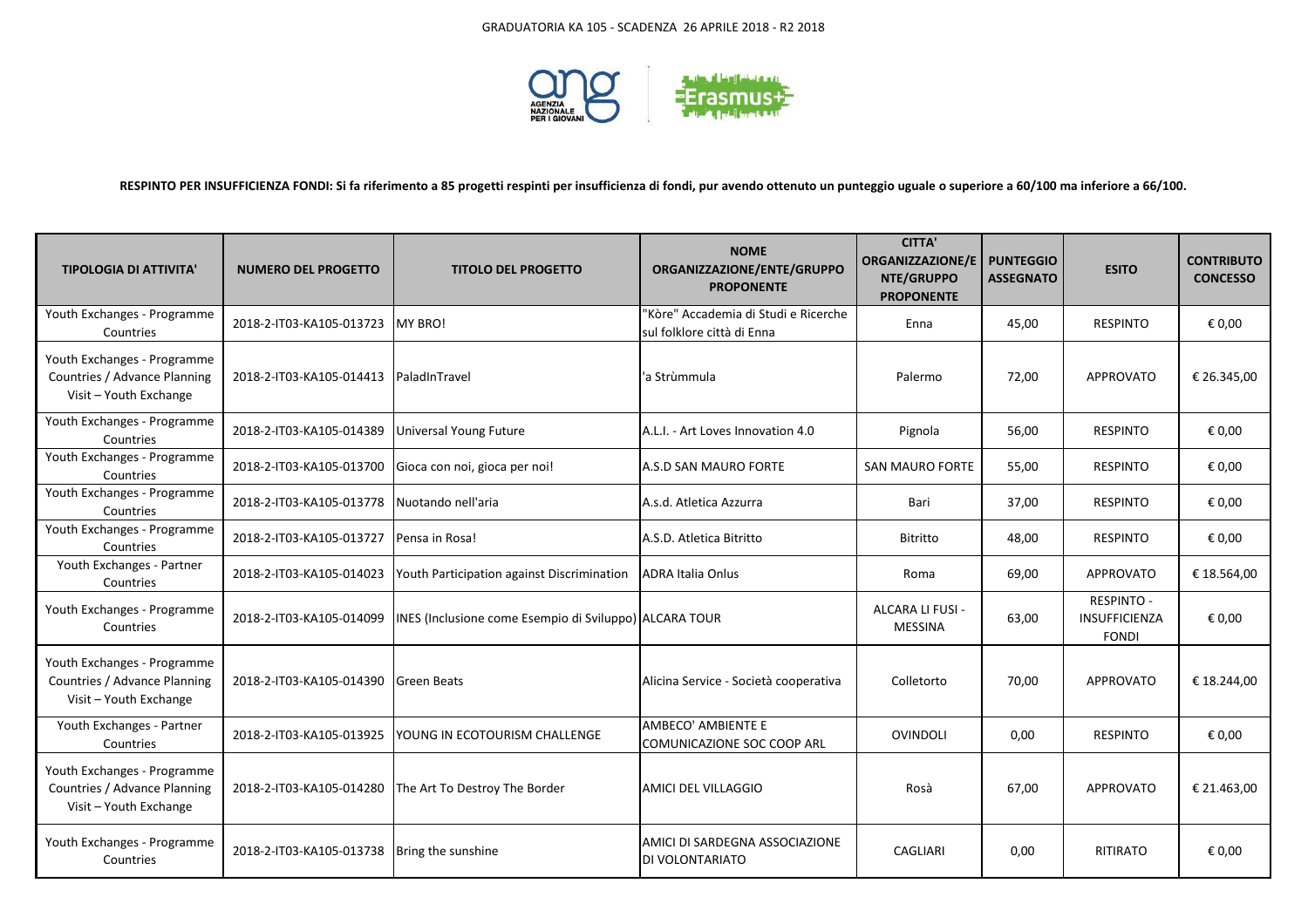

## **RESPINTO PER INSUFFICIENZA FONDI: Si fa riferimento a 85 progetti respinti per insufficienza di fondi, pur avendo ottenuto un punteggio uguale o superiore a 60/100 ma inferiore a 66/100.**

| <b>TIPOLOGIA DI ATTIVITA'</b>                                                         | <b>NUMERO DEL PROGETTO</b>               | <b>TITOLO DEL PROGETTO</b>                             | <b>NOME</b><br>ORGANIZZAZIONE/ENTE/GRUPPO<br><b>PROPONENTE</b>     | <b>CITTA'</b><br><b>ORGANIZZAZIONE/E</b><br>NTE/GRUPPO<br><b>PROPONENTE</b> | <b>PUNTEGGIO</b><br><b>ASSEGNATO</b> | <b>ESITO</b>                                              | <b>CONTRIBUTO</b><br><b>CONCESSO</b> |
|---------------------------------------------------------------------------------------|------------------------------------------|--------------------------------------------------------|--------------------------------------------------------------------|-----------------------------------------------------------------------------|--------------------------------------|-----------------------------------------------------------|--------------------------------------|
| Youth Exchanges - Programme<br>Countries                                              | 2018-2-IT03-KA105-013723                 | IMY BRO!                                               | "Kòre" Accademia di Studi e Ricerche<br>sul folklore città di Enna | Enna                                                                        | 45,00                                | <b>RESPINTO</b>                                           | € 0,00                               |
| Youth Exchanges - Programme<br>Countries / Advance Planning<br>Visit - Youth Exchange | 2018-2-IT03-KA105-014413   PaladInTravel |                                                        | 'a Strùmmula                                                       | Palermo                                                                     | 72,00                                | APPROVATO                                                 | € 26.345,00                          |
| Youth Exchanges - Programme<br>Countries                                              | 2018-2-IT03-KA105-014389                 | Universal Young Future                                 | A.L.I. - Art Loves Innovation 4.0                                  | Pignola                                                                     | 56,00                                | <b>RESPINTO</b>                                           | € 0,00                               |
| Youth Exchanges - Programme<br>Countries                                              | 2018-2-IT03-KA105-013700                 | Gioca con noi, gioca per noi!                          | A.S.D SAN MAURO FORTE                                              | <b>SAN MAURO FORTE</b>                                                      | 55,00                                | <b>RESPINTO</b>                                           | € 0,00                               |
| Youth Exchanges - Programme<br>Countries                                              | 2018-2-IT03-KA105-013778                 | Nuotando nell'aria                                     | A.s.d. Atletica Azzurra                                            | Bari                                                                        | 37,00                                | <b>RESPINTO</b>                                           | € 0,00                               |
| Youth Exchanges - Programme<br>Countries                                              | 2018-2-IT03-KA105-013727                 | Pensa in Rosa!                                         | A.S.D. Atletica Bitritto                                           | Bitritto                                                                    | 48,00                                | <b>RESPINTO</b>                                           | € 0,00                               |
| Youth Exchanges - Partner<br>Countries                                                | 2018-2-IT03-KA105-014023                 | Youth Participation against Discrimination             | <b>ADRA Italia Onlus</b>                                           | Roma                                                                        | 69,00                                | <b>APPROVATO</b>                                          | € 18.564,00                          |
| Youth Exchanges - Programme<br>Countries                                              | 2018-2-IT03-KA105-014099                 | INES (Inclusione come Esempio di Sviluppo) ALCARA TOUR |                                                                    | ALCARA LI FUSI -<br><b>MESSINA</b>                                          | 63,00                                | <b>RESPINTO -</b><br><b>INSUFFICIENZA</b><br><b>FONDI</b> | € 0,00                               |
| Youth Exchanges - Programme<br>Countries / Advance Planning<br>Visit - Youth Exchange | 2018-2-IT03-KA105-014390                 | <b>Green Beats</b>                                     | Alicina Service - Società cooperativa                              | Colletorto                                                                  | 70,00                                | <b>APPROVATO</b>                                          | € 18.244,00                          |
| Youth Exchanges - Partner<br>Countries                                                | 2018-2-IT03-KA105-013925                 | <b>YOUNG IN ECOTOURISM CHALLENGE</b>                   | AMBECO' AMBIENTE E<br>COMUNICAZIONE SOC COOP ARL                   | <b>OVINDOLI</b>                                                             | 0,00                                 | <b>RESPINTO</b>                                           | € 0,00                               |
| Youth Exchanges - Programme<br>Countries / Advance Planning<br>Visit - Youth Exchange | 2018-2-IT03-KA105-014280                 | The Art To Destroy The Border                          | <b>JAMICI DEL VILLAGGIO</b>                                        | Rosà                                                                        | 67,00                                | APPROVATO                                                 | € 21.463,00                          |
| Youth Exchanges - Programme<br>Countries                                              | 2018-2-IT03-KA105-013738                 | Bring the sunshine                                     | AMICI DI SARDEGNA ASSOCIAZIONE<br><b>DI VOLONTARIATO</b>           | <b>CAGLIARI</b>                                                             | 0,00                                 | <b>RITIRATO</b>                                           | € 0,00                               |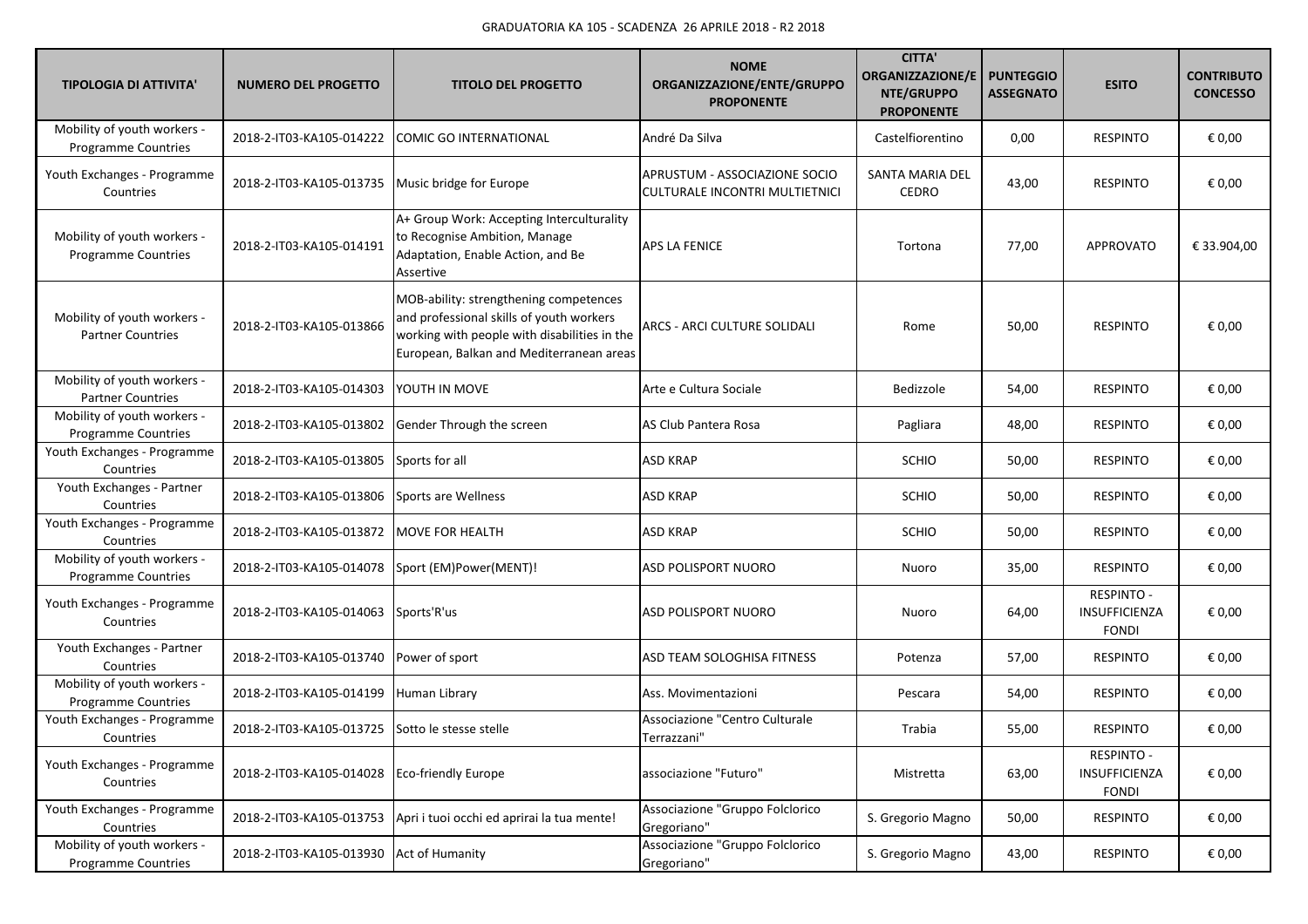| <b>TIPOLOGIA DI ATTIVITA'</b>                             | <b>NUMERO DEL PROGETTO</b> | <b>TITOLO DEL PROGETTO</b>                                                                                                                                                     | <b>NOME</b><br>ORGANIZZAZIONE/ENTE/GRUPPO<br><b>PROPONENTE</b>  | <b>CITTA'</b><br>ORGANIZZAZIONE/E<br>NTE/GRUPPO<br><b>PROPONENTE</b> | <b>PUNTEGGIO</b><br><b>ASSEGNATO</b> | <b>ESITO</b>                                       | <b>CONTRIBUTO</b><br><b>CONCESSO</b> |
|-----------------------------------------------------------|----------------------------|--------------------------------------------------------------------------------------------------------------------------------------------------------------------------------|-----------------------------------------------------------------|----------------------------------------------------------------------|--------------------------------------|----------------------------------------------------|--------------------------------------|
| Mobility of youth workers -<br>Programme Countries        | 2018-2-IT03-KA105-014222   | <b>COMIC GO INTERNATIONAL</b>                                                                                                                                                  | André Da Silva                                                  | Castelfiorentino                                                     | 0,00                                 | <b>RESPINTO</b>                                    | € 0,00                               |
| Youth Exchanges - Programme<br>Countries                  | 2018-2-IT03-KA105-013735   | Music bridge for Europe                                                                                                                                                        | APRUSTUM - ASSOCIAZIONE SOCIO<br>CULTURALE INCONTRI MULTIETNICI | SANTA MARIA DEL<br><b>CEDRO</b>                                      | 43,00                                | <b>RESPINTO</b>                                    | € 0,00                               |
| Mobility of youth workers -<br><b>Programme Countries</b> | 2018-2-IT03-KA105-014191   | A+ Group Work: Accepting Interculturality<br>to Recognise Ambition, Manage<br>Adaptation, Enable Action, and Be<br>Assertive                                                   | <b>APS LA FENICE</b>                                            | Tortona                                                              | 77,00                                | <b>APPROVATO</b>                                   | € 33.904,00                          |
| Mobility of youth workers -<br><b>Partner Countries</b>   | 2018-2-IT03-KA105-013866   | MOB-ability: strengthening competences<br>and professional skills of youth workers<br>working with people with disabilities in the<br>European, Balkan and Mediterranean areas | ARCS - ARCI CULTURE SOLIDALI                                    | Rome                                                                 | 50,00                                | <b>RESPINTO</b>                                    | € 0,00                               |
| Mobility of youth workers -<br><b>Partner Countries</b>   | 2018-2-IT03-KA105-014303   | YOUTH IN MOVE                                                                                                                                                                  | Arte e Cultura Sociale                                          | Bedizzole                                                            | 54,00                                | <b>RESPINTO</b>                                    | € 0,00                               |
| Mobility of youth workers -<br>Programme Countries        | 2018-2-IT03-KA105-013802   | Gender Through the screen                                                                                                                                                      | AS Club Pantera Rosa                                            | Pagliara                                                             | 48,00                                | <b>RESPINTO</b>                                    | € 0,00                               |
| Youth Exchanges - Programme<br>Countries                  | 2018-2-IT03-KA105-013805   | Sports for all                                                                                                                                                                 | <b>ASD KRAP</b>                                                 | <b>SCHIO</b>                                                         | 50,00                                | <b>RESPINTO</b>                                    | € 0,00                               |
| Youth Exchanges - Partner<br>Countries                    | 2018-2-IT03-KA105-013806   | Sports are Wellness                                                                                                                                                            | <b>ASD KRAP</b>                                                 | <b>SCHIO</b>                                                         | 50,00                                | <b>RESPINTO</b>                                    | € 0,00                               |
| Youth Exchanges - Programme<br>Countries                  | 2018-2-IT03-KA105-013872   | <b>MOVE FOR HEALTH</b>                                                                                                                                                         | <b>ASD KRAP</b>                                                 | <b>SCHIO</b>                                                         | 50,00                                | <b>RESPINTO</b>                                    | € 0,00                               |
| Mobility of youth workers -<br>Programme Countries        | 2018-2-IT03-KA105-014078   | Sport (EM)Power(MENT)!                                                                                                                                                         | <b>ASD POLISPORT NUORO</b>                                      | Nuoro                                                                | 35,00                                | <b>RESPINTO</b>                                    | € 0,00                               |
| Youth Exchanges - Programme<br>Countries                  | 2018-2-IT03-KA105-014063   | Sports'R'us                                                                                                                                                                    | <b>ASD POLISPORT NUORO</b>                                      | Nuoro                                                                | 64,00                                | <b>RESPINTO -</b><br>INSUFFICIENZA<br><b>FONDI</b> | € 0,00                               |
| Youth Exchanges - Partner<br>Countries                    | 2018-2-IT03-KA105-013740   | Power of sport                                                                                                                                                                 | ASD TEAM SOLOGHISA FITNESS                                      | Potenza                                                              | 57,00                                | <b>RESPINTO</b>                                    | € 0,00                               |
| Mobility of youth workers -<br>Programme Countries        | 2018-2-IT03-KA105-014199   | Human Library                                                                                                                                                                  | Ass. Movimentazioni                                             | Pescara                                                              | 54,00                                | <b>RESPINTO</b>                                    | € 0,00                               |
| Youth Exchanges - Programme<br>Countries                  | 2018-2-IT03-KA105-013725   | Sotto le stesse stelle                                                                                                                                                         | Associazione "Centro Culturale<br>Terrazzani"                   | Trabia                                                               | 55,00                                | <b>RESPINTO</b>                                    | € 0,00                               |
| Youth Exchanges - Programme<br>Countries                  | 2018-2-IT03-KA105-014028   | <b>Eco-friendly Europe</b>                                                                                                                                                     | associazione "Futuro"                                           | Mistretta                                                            | 63,00                                | <b>RESPINTO -</b><br>INSUFFICIENZA<br><b>FONDI</b> | € 0,00                               |
| Youth Exchanges - Programme<br>Countries                  | 2018-2-IT03-KA105-013753   | Apri i tuoi occhi ed aprirai la tua mente!                                                                                                                                     | Associazione "Gruppo Folclorico<br>Gregoriano"                  | S. Gregorio Magno                                                    | 50,00                                | <b>RESPINTO</b>                                    | € 0,00                               |
| Mobility of youth workers -<br><b>Programme Countries</b> | 2018-2-IT03-KA105-013930   | Act of Humanity                                                                                                                                                                | Associazione "Gruppo Folclorico<br>Gregoriano"                  | S. Gregorio Magno                                                    | 43,00                                | <b>RESPINTO</b>                                    | € 0,00                               |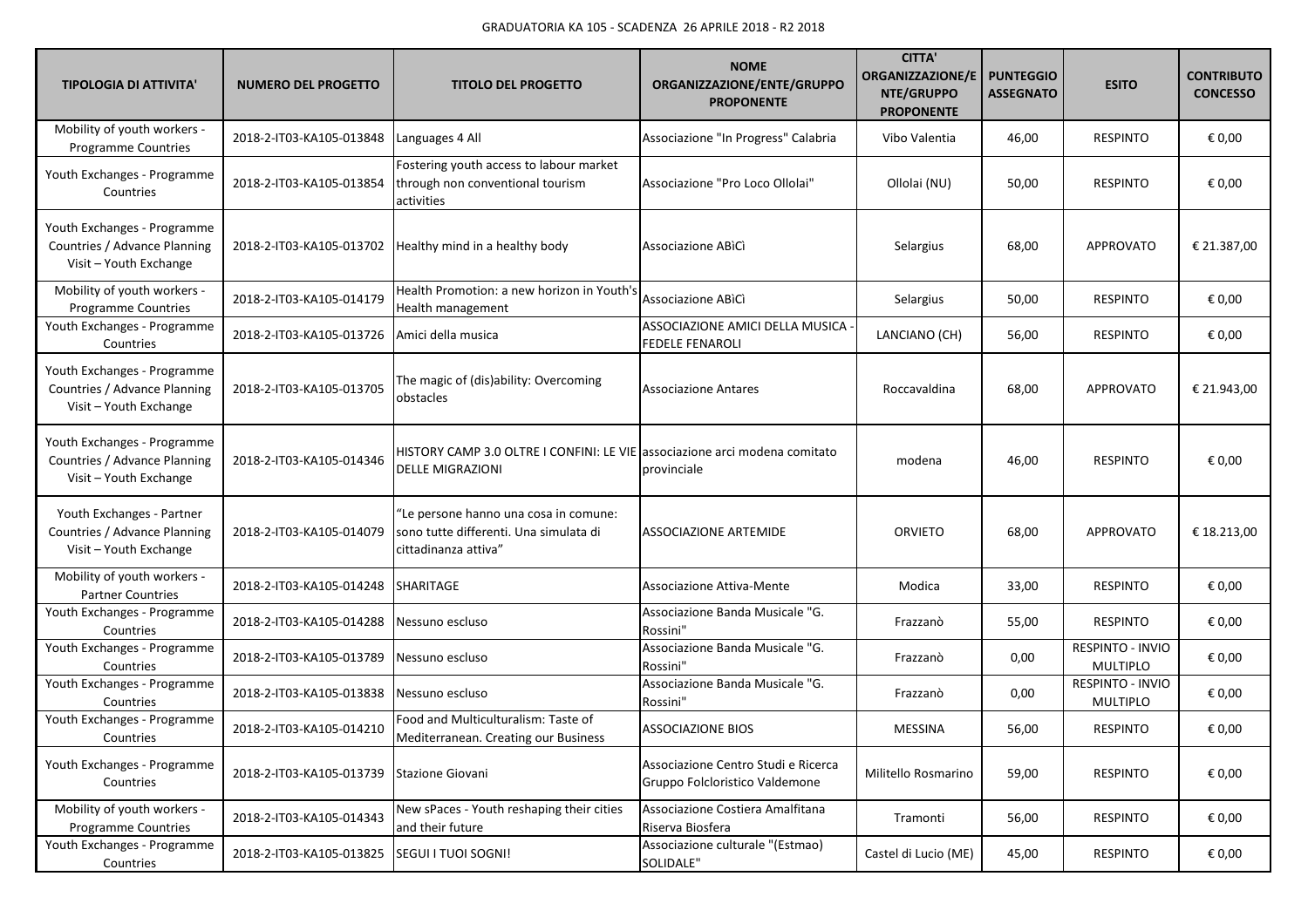| <b>TIPOLOGIA DI ATTIVITA'</b>                                                         | <b>NUMERO DEL PROGETTO</b> | <b>TITOLO DEL PROGETTO</b>                                                                              | <b>NOME</b><br>ORGANIZZAZIONE/ENTE/GRUPPO<br><b>PROPONENTE</b>        | <b>CITTA'</b><br><b>ORGANIZZAZIONE/E</b><br>NTE/GRUPPO<br><b>PROPONENTE</b> | <b>PUNTEGGIO</b><br><b>ASSEGNATO</b> | <b>ESITO</b>                        | <b>CONTRIBUTO</b><br><b>CONCESSO</b> |
|---------------------------------------------------------------------------------------|----------------------------|---------------------------------------------------------------------------------------------------------|-----------------------------------------------------------------------|-----------------------------------------------------------------------------|--------------------------------------|-------------------------------------|--------------------------------------|
| Mobility of youth workers -<br>Programme Countries                                    | 2018-2-IT03-KA105-013848   | Languages 4 All                                                                                         | Associazione "In Progress" Calabria                                   | Vibo Valentia                                                               | 46,00                                | <b>RESPINTO</b>                     | € 0,00                               |
| Youth Exchanges - Programme<br>Countries                                              | 2018-2-IT03-KA105-013854   | Fostering youth access to labour market<br>through non conventional tourism<br>activities               | Associazione "Pro Loco Ollolai"                                       | Ollolai (NU)                                                                | 50,00                                | <b>RESPINTO</b>                     | € 0,00                               |
| Youth Exchanges - Programme<br>Countries / Advance Planning<br>Visit - Youth Exchange |                            | 2018-2-IT03-KA105-013702   Healthy mind in a healthy body                                               | Associazione ABICI                                                    | Selargius                                                                   | 68,00                                | <b>APPROVATO</b>                    | € 21.387,00                          |
| Mobility of youth workers -<br>Programme Countries                                    | 2018-2-IT03-KA105-014179   | Health Promotion: a new horizon in Youth's<br>Health management                                         | Associazione ABìCì                                                    | Selargius                                                                   | 50,00                                | <b>RESPINTO</b>                     | € 0,00                               |
| Youth Exchanges - Programme<br>Countries                                              | 2018-2-IT03-KA105-013726   | Amici della musica                                                                                      | ASSOCIAZIONE AMICI DELLA MUSICA<br><b>FEDELE FENAROLI</b>             | LANCIANO (CH)                                                               | 56,00                                | <b>RESPINTO</b>                     | € 0,00                               |
| Youth Exchanges - Programme<br>Countries / Advance Planning<br>Visit - Youth Exchange | 2018-2-IT03-KA105-013705   | The magic of (dis)ability: Overcoming<br>obstacles                                                      | <b>Associazione Antares</b>                                           | Roccavaldina                                                                | 68,00                                | <b>APPROVATO</b>                    | € 21.943,00                          |
| Youth Exchanges - Programme<br>Countries / Advance Planning<br>Visit - Youth Exchange | 2018-2-IT03-KA105-014346   | HISTORY CAMP 3.0 OLTRE I CONFINI: LE VIE associazione arci modena comitato<br><b>DELLE MIGRAZIONI</b>   | provinciale                                                           | modena                                                                      | 46,00                                | <b>RESPINTO</b>                     | € 0,00                               |
| Youth Exchanges - Partner<br>Countries / Advance Planning<br>Visit - Youth Exchange   | 2018-2-IT03-KA105-014079   | "Le persone hanno una cosa in comune:<br>sono tutte differenti. Una simulata di<br>cittadinanza attiva" | <b>ASSOCIAZIONE ARTEMIDE</b>                                          | <b>ORVIETO</b>                                                              | 68,00                                | <b>APPROVATO</b>                    | € 18.213,00                          |
| Mobility of youth workers -<br><b>Partner Countries</b>                               | 2018-2-IT03-KA105-014248   | SHARITAGE                                                                                               | Associazione Attiva-Mente                                             | Modica                                                                      | 33,00                                | <b>RESPINTO</b>                     | € 0,00                               |
| Youth Exchanges - Programme<br>Countries                                              | 2018-2-IT03-KA105-014288   | Nessuno escluso                                                                                         | Associazione Banda Musicale "G.<br>Rossini"                           | Frazzanò                                                                    | 55,00                                | <b>RESPINTO</b>                     | € 0,00                               |
| Youth Exchanges - Programme<br>Countries                                              | 2018-2-IT03-KA105-013789   | Nessuno escluso                                                                                         | Associazione Banda Musicale "G.<br>Rossini"                           | Frazzanò                                                                    | 0,00                                 | RESPINTO - INVIO<br><b>MULTIPLO</b> | € 0,00                               |
| Youth Exchanges - Programme<br>Countries                                              | 2018-2-IT03-KA105-013838   | Nessuno escluso                                                                                         | Associazione Banda Musicale "G.<br>Rossini"                           | Frazzanò                                                                    | 0,00                                 | RESPINTO - INVIO<br><b>MULTIPLO</b> | € 0,00                               |
| Youth Exchanges - Programme<br>Countries                                              | 2018-2-IT03-KA105-014210   | Food and Multiculturalism: Taste of<br>Mediterranean. Creating our Business                             | <b>ASSOCIAZIONE BIOS</b>                                              | <b>MESSINA</b>                                                              | 56,00                                | <b>RESPINTO</b>                     | € 0,00                               |
| Youth Exchanges - Programme<br>Countries                                              | 2018-2-IT03-KA105-013739   | Stazione Giovani                                                                                        | Associazione Centro Studi e Ricerca<br>Gruppo Folcloristico Valdemone | Militello Rosmarino                                                         | 59,00                                | <b>RESPINTO</b>                     | € 0,00                               |
| Mobility of youth workers -<br>Programme Countries                                    | 2018-2-IT03-KA105-014343   | New sPaces - Youth reshaping their cities<br>and their future                                           | Associazione Costiera Amalfitana<br>Riserva Biosfera                  | Tramonti                                                                    | 56,00                                | <b>RESPINTO</b>                     | € 0,00                               |
| Youth Exchanges - Programme<br>Countries                                              | 2018-2-IT03-KA105-013825   | SEGUI I TUOI SOGNI!                                                                                     | Associazione culturale "(Estmao)<br>SOLIDALE"                         | Castel di Lucio (ME)                                                        | 45,00                                | <b>RESPINTO</b>                     | € 0,00                               |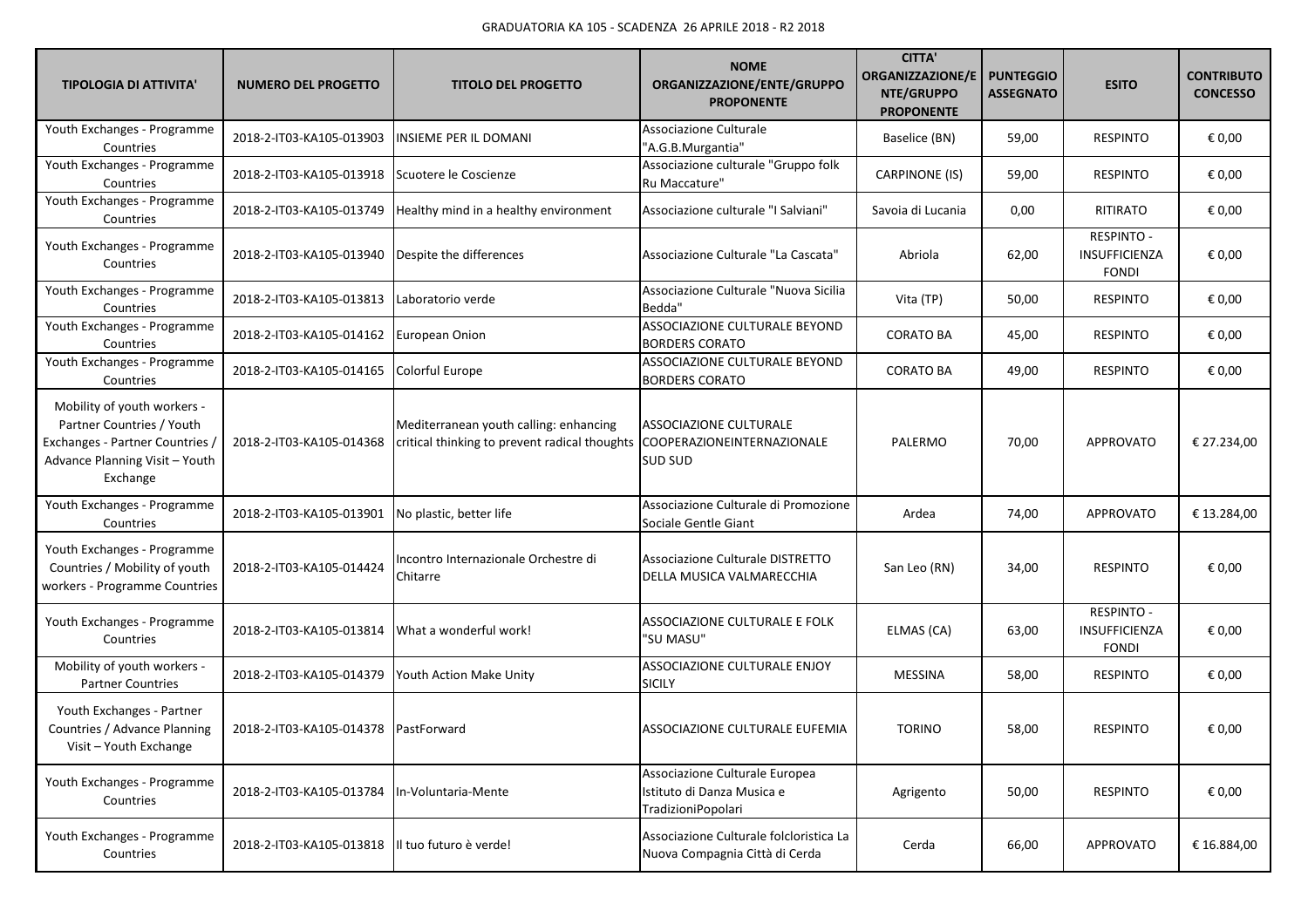| <b>TIPOLOGIA DI ATTIVITA'</b>                                                                                                             | <b>NUMERO DEL PROGETTO</b>           | <b>TITOLO DEL PROGETTO</b>                                                              | <b>NOME</b><br>ORGANIZZAZIONE/ENTE/GRUPPO<br><b>PROPONENTE</b>                     | <b>CITTA'</b><br><b>ORGANIZZAZIONE/E</b><br>NTE/GRUPPO<br><b>PROPONENTE</b> | <b>PUNTEGGIO</b><br><b>ASSEGNATO</b> | <b>ESITO</b>                                              | <b>CONTRIBUTO</b><br><b>CONCESSO</b> |
|-------------------------------------------------------------------------------------------------------------------------------------------|--------------------------------------|-----------------------------------------------------------------------------------------|------------------------------------------------------------------------------------|-----------------------------------------------------------------------------|--------------------------------------|-----------------------------------------------------------|--------------------------------------|
| Youth Exchanges - Programme<br>Countries                                                                                                  | 2018-2-IT03-KA105-013903             | <b>INSIEME PER IL DOMANI</b>                                                            | <b>Associazione Culturale</b><br>"A.G.B.Murgantia"                                 | Baselice (BN)                                                               | 59,00                                | <b>RESPINTO</b>                                           | € 0,00                               |
| Youth Exchanges - Programme<br>Countries                                                                                                  | 2018-2-IT03-KA105-013918             | Scuotere le Coscienze                                                                   | Associazione culturale "Gruppo folk<br>Ru Maccature"                               | <b>CARPINONE (IS)</b>                                                       | 59,00                                | <b>RESPINTO</b>                                           | € 0,00                               |
| Youth Exchanges - Programme<br>Countries                                                                                                  | 2018-2-IT03-KA105-013749             | Healthy mind in a healthy environment                                                   | Associazione culturale "I Salviani"                                                | Savoia di Lucania                                                           | 0,00                                 | RITIRATO                                                  | € 0,00                               |
| Youth Exchanges - Programme<br>Countries                                                                                                  | 2018-2-IT03-KA105-013940             | Despite the differences                                                                 | Associazione Culturale "La Cascata"                                                | Abriola                                                                     | 62,00                                | <b>RESPINTO -</b><br><b>INSUFFICIENZA</b><br><b>FONDI</b> | € 0,00                               |
| Youth Exchanges - Programme<br>Countries                                                                                                  | 2018-2-IT03-KA105-013813             | Laboratorio verde                                                                       | Associazione Culturale "Nuova Sicilia<br>Bedda"                                    | Vita (TP)                                                                   | 50,00                                | <b>RESPINTO</b>                                           | € 0,00                               |
| Youth Exchanges - Programme<br>Countries                                                                                                  | 2018-2-IT03-KA105-014162             | European Onion                                                                          | ASSOCIAZIONE CULTURALE BEYOND<br><b>BORDERS CORATO</b>                             | <b>CORATO BA</b>                                                            | 45,00                                | <b>RESPINTO</b>                                           | € 0,00                               |
| Youth Exchanges - Programme<br>Countries                                                                                                  | 2018-2-IT03-KA105-014165             | Colorful Europe                                                                         | ASSOCIAZIONE CULTURALE BEYOND<br><b>BORDERS CORATO</b>                             | <b>CORATO BA</b>                                                            | 49,00                                | <b>RESPINTO</b>                                           | € 0,00                               |
| Mobility of youth workers -<br>Partner Countries / Youth<br>Exchanges - Partner Countries /<br>Advance Planning Visit - Youth<br>Exchange | 2018-2-IT03-KA105-014368             | Mediterranean youth calling: enhancing<br>critical thinking to prevent radical thoughts | ASSOCIAZIONE CULTURALE<br>COOPERAZIONEINTERNAZIONALE<br>SUD SUD                    | PALERMO                                                                     | 70,00                                | <b>APPROVATO</b>                                          | € 27.234,00                          |
| Youth Exchanges - Programme<br>Countries                                                                                                  | 2018-2-IT03-KA105-013901             | No plastic, better life                                                                 | Associazione Culturale di Promozione<br>Sociale Gentle Giant                       | Ardea                                                                       | 74,00                                | <b>APPROVATO</b>                                          | € 13.284,00                          |
| Youth Exchanges - Programme<br>Countries / Mobility of youth<br>workers - Programme Countries                                             | 2018-2-IT03-KA105-014424             | Incontro Internazionale Orchestre di<br>Chitarre                                        | Associazione Culturale DISTRETTO<br>DELLA MUSICA VALMARECCHIA                      | San Leo (RN)                                                                | 34,00                                | <b>RESPINTO</b>                                           | € 0,00                               |
| Youth Exchanges - Programme<br>Countries                                                                                                  | 2018-2-IT03-KA105-013814             | What a wonderful work!                                                                  | ASSOCIAZIONE CULTURALE E FOLK<br>"SU MASU"                                         | ELMAS (CA)                                                                  | 63,00                                | RESPINTO -<br>INSUFFICIENZA<br><b>FONDI</b>               | € 0,00                               |
| Mobility of youth workers -<br><b>Partner Countries</b>                                                                                   | 2018-2-IT03-KA105-014379             | Youth Action Make Unity                                                                 | ASSOCIAZIONE CULTURALE ENJOY<br><b>SICILY</b>                                      | MESSINA                                                                     | 58,00                                | <b>RESPINTO</b>                                           | € 0,00                               |
| Youth Exchanges - Partner<br>Countries / Advance Planning<br>Visit - Youth Exchange                                                       | 2018-2-IT03-KA105-014378 PastForward |                                                                                         | ASSOCIAZIONE CULTURALE EUFEMIA                                                     | <b>TORINO</b>                                                               | 58,00                                | <b>RESPINTO</b>                                           | € 0,00                               |
| Youth Exchanges - Programme<br>Countries                                                                                                  | 2018-2-IT03-KA105-013784             | In-Voluntaria-Mente                                                                     | Associazione Culturale Europea<br>Istituto di Danza Musica e<br>TradizioniPopolari | Agrigento                                                                   | 50,00                                | <b>RESPINTO</b>                                           | € 0,00                               |
| Youth Exchanges - Programme<br>Countries                                                                                                  | 2018-2-IT03-KA105-013818             | Il tuo futuro è verde!                                                                  | Associazione Culturale folcloristica La<br>Nuova Compagnia Città di Cerda          | Cerda                                                                       | 66,00                                | <b>APPROVATO</b>                                          | € 16.884,00                          |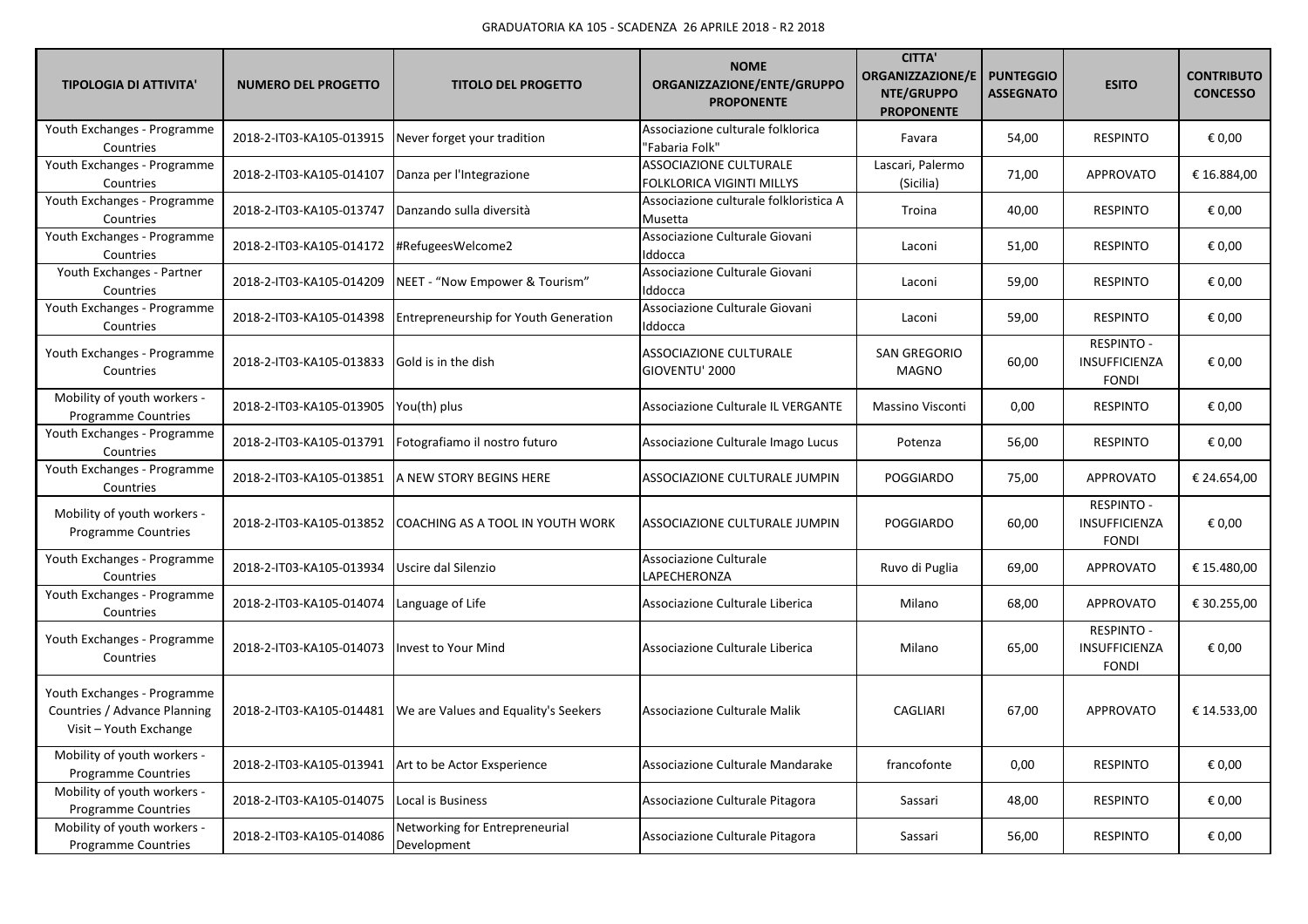| <b>TIPOLOGIA DI ATTIVITA'</b>                                                         | <b>NUMERO DEL PROGETTO</b> | <b>TITOLO DEL PROGETTO</b>                    | <b>NOME</b><br>ORGANIZZAZIONE/ENTE/GRUPPO<br><b>PROPONENTE</b> | <b>CITTA</b><br><b>ORGANIZZAZIONE/E</b><br>NTE/GRUPPO<br><b>PROPONENTE</b> | <b>PUNTEGGIO</b><br><b>ASSEGNATO</b> | <b>ESITO</b>                                       | <b>CONTRIBUTO</b><br><b>CONCESSO</b> |
|---------------------------------------------------------------------------------------|----------------------------|-----------------------------------------------|----------------------------------------------------------------|----------------------------------------------------------------------------|--------------------------------------|----------------------------------------------------|--------------------------------------|
| Youth Exchanges - Programme<br>Countries                                              | 2018-2-IT03-KA105-013915   | Never forget your tradition                   | Associazione culturale folklorica<br>'Fabaria Folk"            | Favara                                                                     | 54,00                                | <b>RESPINTO</b>                                    | € 0,00                               |
| Youth Exchanges - Programme<br>Countries                                              | 2018-2-IT03-KA105-014107   | Danza per l'Integrazione                      | ASSOCIAZIONE CULTURALE<br>FOLKLORICA VIGINTI MILLYS            | Lascari, Palermo<br>(Sicilia)                                              | 71,00                                | <b>APPROVATO</b>                                   | € 16.884,00                          |
| Youth Exchanges - Programme<br>Countries                                              | 2018-2-IT03-KA105-013747   | Danzando sulla diversità                      | Associazione culturale folkloristica A<br>Musetta              | Troina                                                                     | 40,00                                | <b>RESPINTO</b>                                    | € 0,00                               |
| Youth Exchanges - Programme<br>Countries                                              | 2018-2-IT03-KA105-014172   | #RefugeesWelcome2                             | Associazione Culturale Giovani<br>Iddocca                      | Laconi                                                                     | 51,00                                | <b>RESPINTO</b>                                    | € 0,00                               |
| Youth Exchanges - Partner<br>Countries                                                | 2018-2-IT03-KA105-014209   | NEET - "Now Empower & Tourism"                | Associazione Culturale Giovani<br>Iddocca                      | Laconi                                                                     | 59,00                                | <b>RESPINTO</b>                                    | € 0,00                               |
| Youth Exchanges - Programme<br>Countries                                              | 2018-2-IT03-KA105-014398   | Entrepreneurship for Youth Generation         | Associazione Culturale Giovani<br>Iddocca                      | Laconi                                                                     | 59,00                                | <b>RESPINTO</b>                                    | € 0,00                               |
| Youth Exchanges - Programme<br>Countries                                              | 2018-2-IT03-KA105-013833   | Gold is in the dish                           | <b>ASSOCIAZIONE CULTURALE</b><br>GIOVENTU' 2000                | <b>SAN GREGORIO</b><br><b>MAGNO</b>                                        | 60,00                                | <b>RESPINTO -</b><br>INSUFFICIENZA<br><b>FONDI</b> | € 0,00                               |
| Mobility of youth workers -<br><b>Programme Countries</b>                             | 2018-2-IT03-KA105-013905   | You(th) plus                                  | Associazione Culturale IL VERGANTE                             | Massino Visconti                                                           | 0,00                                 | <b>RESPINTO</b>                                    | € 0,00                               |
| Youth Exchanges - Programme<br>Countries                                              | 2018-2-IT03-KA105-013791   | Fotografiamo il nostro futuro                 | Associazione Culturale Imago Lucus                             | Potenza                                                                    | 56,00                                | <b>RESPINTO</b>                                    | € 0,00                               |
| Youth Exchanges - Programme<br>Countries                                              | 2018-2-IT03-KA105-013851   | A NEW STORY BEGINS HERE                       | ASSOCIAZIONE CULTURALE JUMPIN                                  | POGGIARDO                                                                  | 75,00                                | <b>APPROVATO</b>                                   | € 24.654,00                          |
| Mobility of youth workers -<br><b>Programme Countries</b>                             | 2018-2-IT03-KA105-013852   | COACHING AS A TOOL IN YOUTH WORK              | ASSOCIAZIONE CULTURALE JUMPIN                                  | POGGIARDO                                                                  | 60,00                                | <b>RESPINTO -</b><br>INSUFFICIENZA<br><b>FONDI</b> | € 0,00                               |
| Youth Exchanges - Programme<br>Countries                                              | 2018-2-IT03-KA105-013934   | Uscire dal Silenzio                           | Associazione Culturale<br>LAPECHERONZA                         | Ruvo di Puglia                                                             | 69,00                                | <b>APPROVATO</b>                                   | € 15.480,00                          |
| Youth Exchanges - Programme<br>Countries                                              | 2018-2-IT03-KA105-014074   | Language of Life                              | Associazione Culturale Liberica                                | Milano                                                                     | 68,00                                | <b>APPROVATO</b>                                   | € 30.255,00                          |
| Youth Exchanges - Programme<br>Countries                                              | 2018-2-IT03-KA105-014073   | Invest to Your Mind                           | Associazione Culturale Liberica                                | Milano                                                                     | 65,00                                | <b>RESPINTO -</b><br>INSUFFICIENZA<br><b>FONDI</b> | € 0,00                               |
| Youth Exchanges - Programme<br>Countries / Advance Planning<br>Visit - Youth Exchange | 2018-2-IT03-KA105-014481   | We are Values and Equality's Seekers          | Associazione Culturale Malik                                   | CAGLIARI                                                                   | 67,00                                | <b>APPROVATO</b>                                   | € 14.533,00                          |
| Mobility of youth workers -<br><b>Programme Countries</b>                             | 2018-2-IT03-KA105-013941   | Art to be Actor Exsperience                   | Associazione Culturale Mandarake                               | francofonte                                                                | 0,00                                 | <b>RESPINTO</b>                                    | € 0,00                               |
| Mobility of youth workers -<br>Programme Countries                                    | 2018-2-IT03-KA105-014075   | Local is Business                             | Associazione Culturale Pitagora                                | Sassari                                                                    | 48,00                                | <b>RESPINTO</b>                                    | € 0,00                               |
| Mobility of youth workers -<br><b>Programme Countries</b>                             | 2018-2-IT03-KA105-014086   | Networking for Entrepreneurial<br>Development | Associazione Culturale Pitagora                                | Sassari                                                                    | 56,00                                | <b>RESPINTO</b>                                    | € 0,00                               |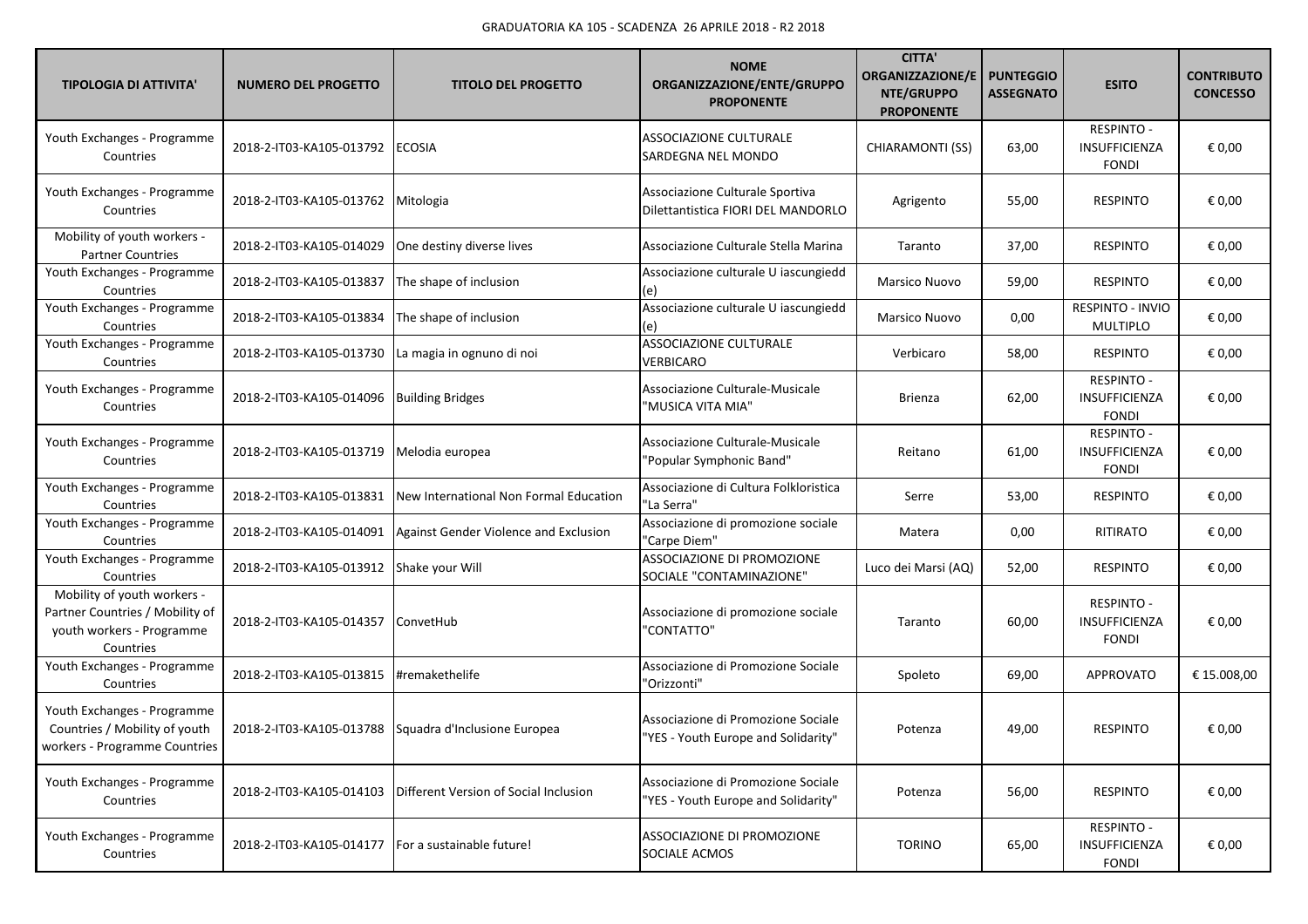| <b>TIPOLOGIA DI ATTIVITA'</b>                                                                            | <b>NUMERO DEL PROGETTO</b> | <b>TITOLO DEL PROGETTO</b>             | <b>NOME</b><br>ORGANIZZAZIONE/ENTE/GRUPPO<br><b>PROPONENTE</b>            | <b>CITTA'</b><br><b>ORGANIZZAZIONE/E</b><br>NTE/GRUPPO<br><b>PROPONENTE</b> | <b>PUNTEGGIO</b><br><b>ASSEGNATO</b> | <b>ESITO</b>                                              | <b>CONTRIBUTO</b><br><b>CONCESSO</b> |
|----------------------------------------------------------------------------------------------------------|----------------------------|----------------------------------------|---------------------------------------------------------------------------|-----------------------------------------------------------------------------|--------------------------------------|-----------------------------------------------------------|--------------------------------------|
| Youth Exchanges - Programme<br>Countries                                                                 | 2018-2-IT03-KA105-013792   | <b>ECOSIA</b>                          | ASSOCIAZIONE CULTURALE<br>SARDEGNA NEL MONDO                              | CHIARAMONTI (SS)                                                            | 63,00                                | <b>RESPINTO -</b><br><b>INSUFFICIENZA</b><br><b>FONDI</b> | € 0,00                               |
| Youth Exchanges - Programme<br>Countries                                                                 | 2018-2-IT03-KA105-013762   | Mitologia                              | Associazione Culturale Sportiva<br>Dilettantistica FIORI DEL MANDORLO     | Agrigento                                                                   | 55,00                                | <b>RESPINTO</b>                                           | € 0,00                               |
| Mobility of youth workers -<br><b>Partner Countries</b>                                                  | 2018-2-IT03-KA105-014029   | One destiny diverse lives              | Associazione Culturale Stella Marina                                      | Taranto                                                                     | 37,00                                | <b>RESPINTO</b>                                           | € 0,00                               |
| Youth Exchanges - Programme<br>Countries                                                                 | 2018-2-IT03-KA105-013837   | The shape of inclusion                 | Associazione culturale U iascungiedd<br>(e)                               | Marsico Nuovo                                                               | 59,00                                | <b>RESPINTO</b>                                           | € 0,00                               |
| Youth Exchanges - Programme<br>Countries                                                                 | 2018-2-IT03-KA105-013834   | The shape of inclusion                 | Associazione culturale U iascungiedd<br>(e)                               | Marsico Nuovo                                                               | 0,00                                 | RESPINTO - INVIO<br><b>MULTIPLO</b>                       | € 0,00                               |
| Youth Exchanges - Programme<br>Countries                                                                 | 2018-2-IT03-KA105-013730   | La magia in ognuno di noi              | ASSOCIAZIONE CULTURALE<br>VERBICARO                                       | Verbicaro                                                                   | 58,00                                | <b>RESPINTO</b>                                           | € 0,00                               |
| Youth Exchanges - Programme<br>Countries                                                                 | 2018-2-IT03-KA105-014096   | <b>Building Bridges</b>                | Associazione Culturale-Musicale<br>"MUSICA VITA MIA"                      | Brienza                                                                     | 62,00                                | <b>RESPINTO -</b><br>INSUFFICIENZA<br><b>FONDI</b>        | € 0,00                               |
| Youth Exchanges - Programme<br>Countries                                                                 | 2018-2-IT03-KA105-013719   | Melodia europea                        | Associazione Culturale-Musicale<br>"Popular Symphonic Band"               | Reitano                                                                     | 61,00                                | <b>RESPINTO -</b><br>INSUFFICIENZA<br><b>FONDI</b>        | € 0,00                               |
| Youth Exchanges - Programme<br>Countries                                                                 | 2018-2-IT03-KA105-013831   | New International Non Formal Education | Associazione di Cultura Folkloristica<br>'La Serra"                       | Serre                                                                       | 53,00                                | <b>RESPINTO</b>                                           | € 0,00                               |
| Youth Exchanges - Programme<br>Countries                                                                 | 2018-2-IT03-KA105-014091   | Against Gender Violence and Exclusion  | Associazione di promozione sociale<br>"Carpe Diem"                        | Matera                                                                      | 0,00                                 | RITIRATO                                                  | € 0,00                               |
| Youth Exchanges - Programme<br>Countries                                                                 | 2018-2-IT03-KA105-013912   | Shake your Will                        | ASSOCIAZIONE DI PROMOZIONE<br>SOCIALE "CONTAMINAZIONE"                    | Luco dei Marsi (AQ)                                                         | 52,00                                | <b>RESPINTO</b>                                           | € 0,00                               |
| Mobility of youth workers -<br>Partner Countries / Mobility of<br>youth workers - Programme<br>Countries | 2018-2-IT03-KA105-014357   | ConvetHub                              | Associazione di promozione sociale<br>"CONTATTO"                          | Taranto                                                                     | 60,00                                | <b>RESPINTO -</b><br>INSUFFICIENZA<br><b>FONDI</b>        | € 0,00                               |
| Youth Exchanges - Programme<br>Countries                                                                 | 2018-2-IT03-KA105-013815   | #remakethelife                         | Associazione di Promozione Sociale<br>"Orizzonti"                         | Spoleto                                                                     | 69,00                                | <b>APPROVATO</b>                                          | € 15.008,00                          |
| Youth Exchanges - Programme<br>Countries / Mobility of youth<br>workers - Programme Countries            | 2018-2-IT03-KA105-013788   | Squadra d'Inclusione Europea           | Associazione di Promozione Sociale<br>"YES - Youth Europe and Solidarity" | Potenza                                                                     | 49,00                                | <b>RESPINTO</b>                                           | € 0,00                               |
| Youth Exchanges - Programme<br>Countries                                                                 | 2018-2-IT03-KA105-014103   | Different Version of Social Inclusion  | Associazione di Promozione Sociale<br>"YES - Youth Europe and Solidarity" | Potenza                                                                     | 56,00                                | <b>RESPINTO</b>                                           | € 0,00                               |
| Youth Exchanges - Programme<br>Countries                                                                 | 2018-2-IT03-KA105-014177   | For a sustainable future!              | ASSOCIAZIONE DI PROMOZIONE<br>SOCIALE ACMOS                               | <b>TORINO</b>                                                               | 65,00                                | <b>RESPINTO -</b><br>INSUFFICIENZA<br><b>FONDI</b>        | € 0,00                               |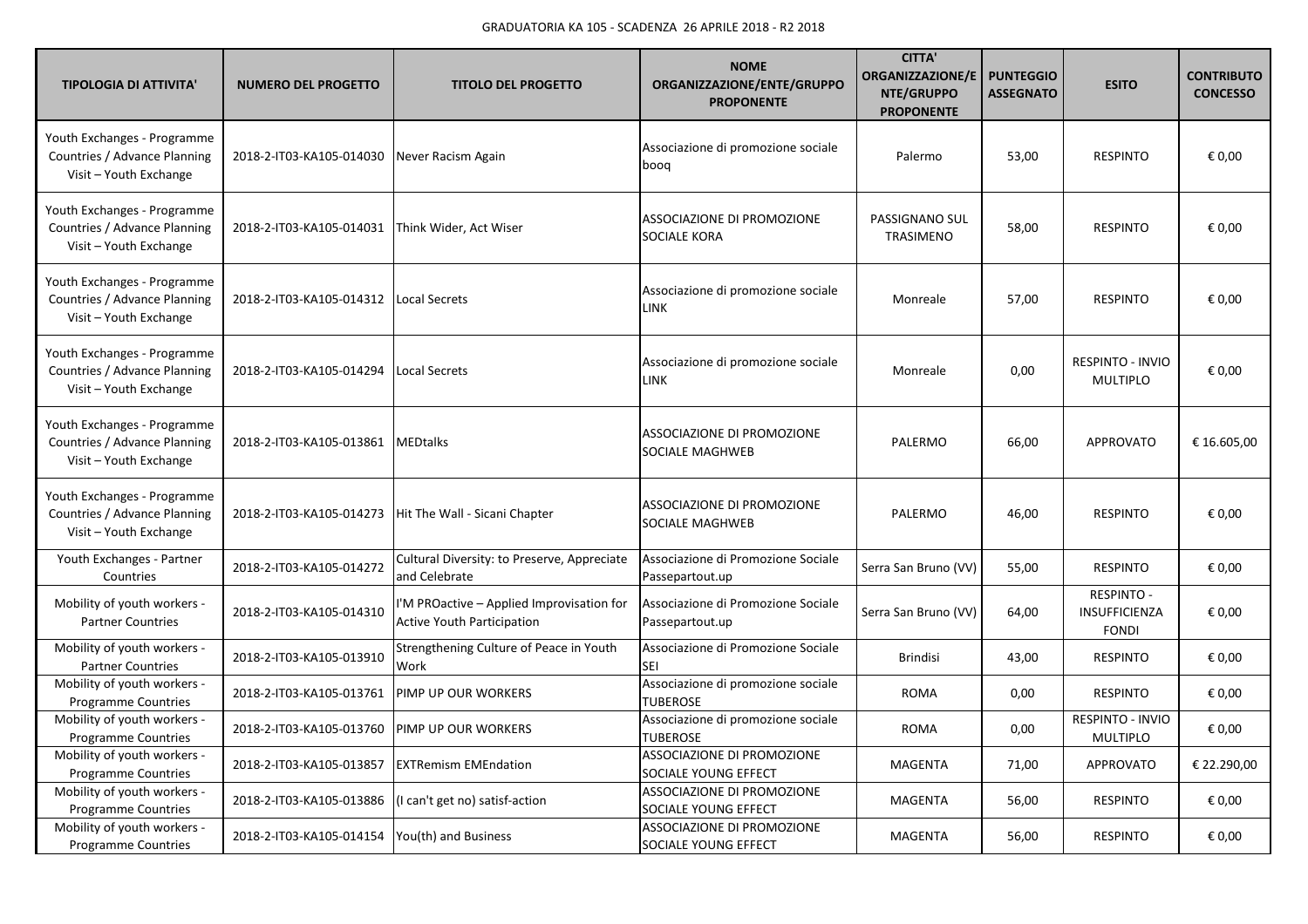| <b>TIPOLOGIA DI ATTIVITA'</b>                                                         | <b>NUMERO DEL PROGETTO</b>                      | <b>TITOLO DEL PROGETTO</b>                                                     | <b>NOME</b><br>ORGANIZZAZIONE/ENTE/GRUPPO<br><b>PROPONENTE</b> | <b>CITTA</b><br><b>ORGANIZZAZIONE/E</b><br>NTE/GRUPPO<br><b>PROPONENTE</b> | <b>PUNTEGGIO</b><br><b>ASSEGNATO</b> | <b>ESITO</b>                                       | <b>CONTRIBUTO</b><br><b>CONCESSO</b> |
|---------------------------------------------------------------------------------------|-------------------------------------------------|--------------------------------------------------------------------------------|----------------------------------------------------------------|----------------------------------------------------------------------------|--------------------------------------|----------------------------------------------------|--------------------------------------|
| Youth Exchanges - Programme<br>Countries / Advance Planning<br>Visit - Youth Exchange | 2018-2-IT03-KA105-014030                        | Never Racism Again                                                             | Associazione di promozione sociale<br>boog                     | Palermo                                                                    | 53,00                                | <b>RESPINTO</b>                                    | € 0,00                               |
| Youth Exchanges - Programme<br>Countries / Advance Planning<br>Visit - Youth Exchange | 2018-2-IT03-KA105-014031                        | Think Wider, Act Wiser                                                         | ASSOCIAZIONE DI PROMOZIONE<br>SOCIALE KORA                     | PASSIGNANO SUL<br>TRASIMENO                                                | 58,00                                | <b>RESPINTO</b>                                    | € 0,00                               |
| Youth Exchanges - Programme<br>Countries / Advance Planning<br>Visit - Youth Exchange | 2018-2-IT03-KA105-014312                        | <b>Local Secrets</b>                                                           | Associazione di promozione sociale<br><b>LINK</b>              | Monreale                                                                   | 57,00                                | <b>RESPINTO</b>                                    | € 0,00                               |
| Youth Exchanges - Programme<br>Countries / Advance Planning<br>Visit - Youth Exchange | 2018-2-IT03-KA105-014294                        | <b>Local Secrets</b>                                                           | Associazione di promozione sociale<br>LINK                     | Monreale                                                                   | 0,00                                 | <b>RESPINTO - INVIO</b><br><b>MULTIPLO</b>         | € 0,00                               |
| Youth Exchanges - Programme<br>Countries / Advance Planning<br>Visit - Youth Exchange | 2018-2-IT03-KA105-013861                        | <b>MEDtalks</b>                                                                | ASSOCIAZIONE DI PROMOZIONE<br>SOCIALE MAGHWEB                  | PALERMO                                                                    | 66,00                                | <b>APPROVATO</b>                                   | € 16.605,00                          |
| Youth Exchanges - Programme<br>Countries / Advance Planning<br>Visit - Youth Exchange | 2018-2-IT03-KA105-014273                        | Hit The Wall - Sicani Chapter                                                  | ASSOCIAZIONE DI PROMOZIONE<br>SOCIALE MAGHWEB                  | PALERMO                                                                    | 46,00                                | <b>RESPINTO</b>                                    | € 0,00                               |
| Youth Exchanges - Partner<br>Countries                                                | 2018-2-IT03-KA105-014272                        | Cultural Diversity: to Preserve, Appreciate<br>and Celebrate                   | Associazione di Promozione Sociale<br>Passepartout.up          | Serra San Bruno (VV)                                                       | 55,00                                | <b>RESPINTO</b>                                    | € 0,00                               |
| Mobility of youth workers -<br><b>Partner Countries</b>                               | 2018-2-IT03-KA105-014310                        | I'M PROactive - Applied Improvisation for<br><b>Active Youth Participation</b> | Associazione di Promozione Sociale<br>Passepartout.up          | Serra San Bruno (VV)                                                       | 64,00                                | <b>RESPINTO -</b><br>INSUFFICIENZA<br><b>FONDI</b> | € 0,00                               |
| Mobility of youth workers -<br><b>Partner Countries</b>                               | 2018-2-IT03-KA105-013910                        | Strengthening Culture of Peace in Youth<br>Work                                | Associazione di Promozione Sociale<br>SEI                      | <b>Brindisi</b>                                                            | 43,00                                | <b>RESPINTO</b>                                    | € 0,00                               |
| Mobility of youth workers -<br><b>Programme Countries</b>                             | 2018-2-IT03-KA105-013761                        | PIMP UP OUR WORKERS                                                            | Associazione di promozione sociale<br><b>TUBEROSE</b>          | <b>ROMA</b>                                                                | 0,00                                 | <b>RESPINTO</b>                                    | € 0,00                               |
| Mobility of youth workers -<br><b>Programme Countries</b>                             | 2018-2-IT03-KA105-013760                        | <b>PIMP UP OUR WORKERS</b>                                                     | Associazione di promozione sociale<br><b>TUBEROSE</b>          | <b>ROMA</b>                                                                | 0,00                                 | <b>RESPINTO - INVIO</b><br><b>MULTIPLO</b>         | € 0,00                               |
| Mobility of youth workers -<br><b>Programme Countries</b>                             | 2018-2-IT03-KA105-013857                        | <b>EXTRemism EMEndation</b>                                                    | ASSOCIAZIONE DI PROMOZIONE<br>SOCIALE YOUNG EFFECT             | <b>MAGENTA</b>                                                             | 71,00                                | APPROVATO                                          | € 22.290,00                          |
| Mobility of youth workers -<br>Programme Countries                                    | 2018-2-IT03-KA105-013886                        | (I can't get no) satisf-action                                                 | ASSOCIAZIONE DI PROMOZIONE<br>SOCIALE YOUNG EFFECT             | <b>MAGENTA</b>                                                             | 56,00                                | <b>RESPINTO</b>                                    | € 0,00                               |
| Mobility of youth workers -<br><b>Programme Countries</b>                             | 2018-2-IT03-KA105-014154   You(th) and Business |                                                                                | ASSOCIAZIONE DI PROMOZIONE<br>SOCIALE YOUNG EFFECT             | <b>MAGENTA</b>                                                             | 56,00                                | <b>RESPINTO</b>                                    | € 0,00                               |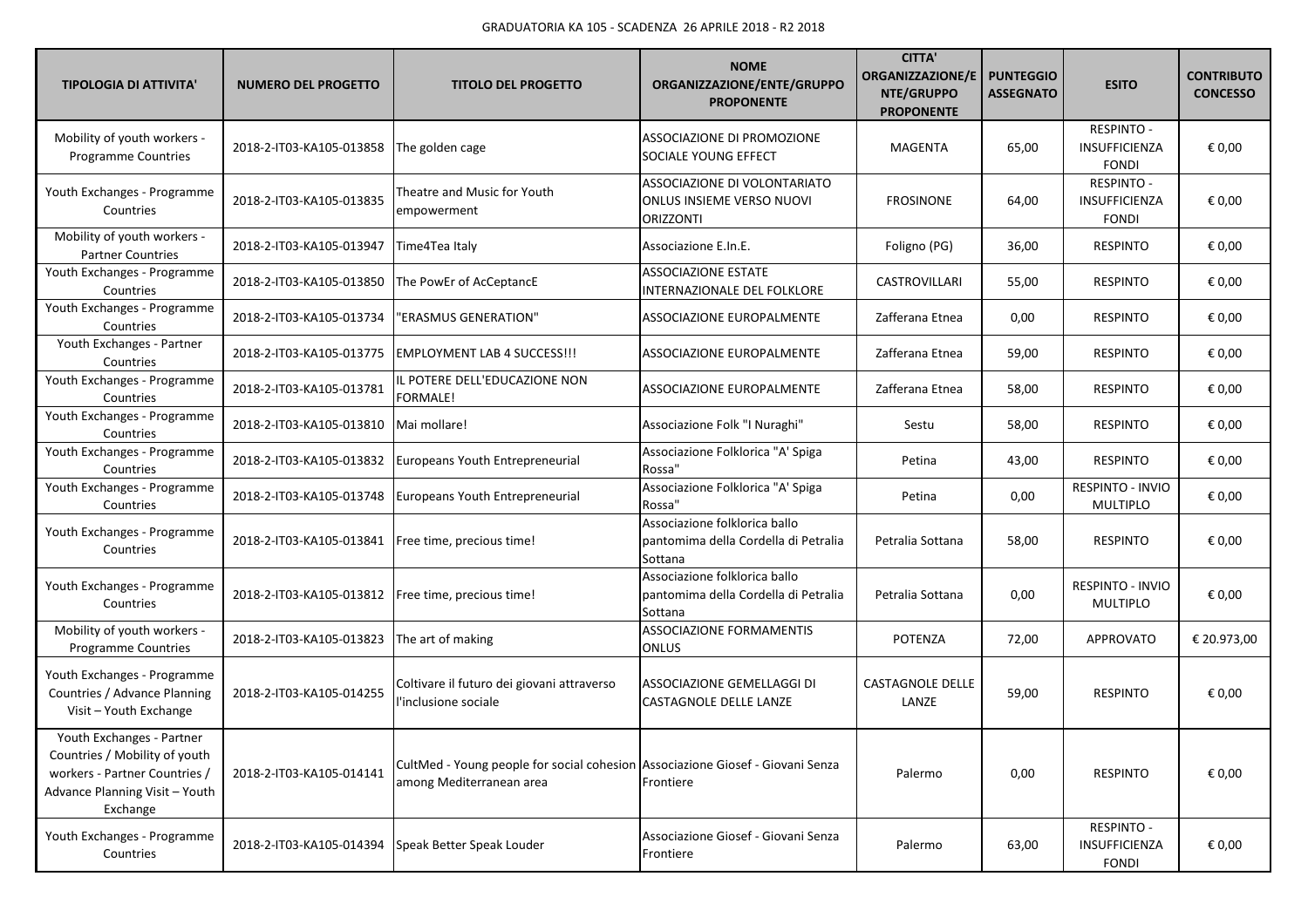| <b>TIPOLOGIA DI ATTIVITA'</b>                                                                                                             | <b>NUMERO DEL PROGETTO</b> | <b>TITOLO DEL PROGETTO</b>                                                                                 | <b>NOME</b><br>ORGANIZZAZIONE/ENTE/GRUPPO<br><b>PROPONENTE</b>                       | <b>CITTA'</b><br><b>ORGANIZZAZIONE/E</b><br>NTE/GRUPPO<br><b>PROPONENTE</b> | <b>PUNTEGGIO</b><br><b>ASSEGNATO</b> | <b>ESITO</b>                                       | <b>CONTRIBUTO</b><br><b>CONCESSO</b> |
|-------------------------------------------------------------------------------------------------------------------------------------------|----------------------------|------------------------------------------------------------------------------------------------------------|--------------------------------------------------------------------------------------|-----------------------------------------------------------------------------|--------------------------------------|----------------------------------------------------|--------------------------------------|
| Mobility of youth workers -<br><b>Programme Countries</b>                                                                                 | 2018-2-IT03-KA105-013858   | The golden cage                                                                                            | ASSOCIAZIONE DI PROMOZIONE<br>SOCIALE YOUNG EFFECT                                   | <b>MAGENTA</b>                                                              | 65,00                                | <b>RESPINTO -</b><br>INSUFFICIENZA<br><b>FONDI</b> | € 0,00                               |
| Youth Exchanges - Programme<br>Countries                                                                                                  | 2018-2-IT03-KA105-013835   | Theatre and Music for Youth<br>empowerment                                                                 | ASSOCIAZIONE DI VOLONTARIATO<br><b>ONLUS INSIEME VERSO NUOVI</b><br><b>ORIZZONTI</b> | <b>FROSINONE</b>                                                            | 64,00                                | <b>RESPINTO -</b><br>INSUFFICIENZA<br><b>FONDI</b> | € 0,00                               |
| Mobility of youth workers -<br><b>Partner Countries</b>                                                                                   | 2018-2-IT03-KA105-013947   | Time4Tea Italy                                                                                             | Associazione E.In.E.                                                                 | Foligno (PG)                                                                | 36,00                                | <b>RESPINTO</b>                                    | € 0,00                               |
| Youth Exchanges - Programme<br>Countries                                                                                                  | 2018-2-IT03-KA105-013850   | The PowEr of AcCeptancE                                                                                    | <b>ASSOCIAZIONE ESTATE</b><br>INTERNAZIONALE DEL FOLKLORE                            | CASTROVILLARI                                                               | 55,00                                | <b>RESPINTO</b>                                    | € 0,00                               |
| Youth Exchanges - Programme<br>Countries                                                                                                  | 2018-2-IT03-KA105-013734   | "ERASMUS GENERATION"                                                                                       | ASSOCIAZIONE EUROPALMENTE                                                            | Zafferana Etnea                                                             | 0,00                                 | <b>RESPINTO</b>                                    | € 0,00                               |
| Youth Exchanges - Partner<br>Countries                                                                                                    | 2018-2-IT03-KA105-013775   | <b>EMPLOYMENT LAB 4 SUCCESS!!!</b>                                                                         | ASSOCIAZIONE EUROPALMENTE                                                            | Zafferana Etnea                                                             | 59,00                                | <b>RESPINTO</b>                                    | € 0,00                               |
| Youth Exchanges - Programme<br>Countries                                                                                                  | 2018-2-IT03-KA105-013781   | IL POTERE DELL'EDUCAZIONE NON<br>FORMALE!                                                                  | ASSOCIAZIONE EUROPALMENTE                                                            | Zafferana Etnea                                                             | 58,00                                | <b>RESPINTO</b>                                    | € 0,00                               |
| Youth Exchanges - Programme<br>Countries                                                                                                  | 2018-2-IT03-KA105-013810   | Mai mollare!                                                                                               | Associazione Folk "I Nuraghi"                                                        | Sestu                                                                       | 58,00                                | <b>RESPINTO</b>                                    | € 0,00                               |
| Youth Exchanges - Programme<br>Countries                                                                                                  | 2018-2-IT03-KA105-013832   | Europeans Youth Entrepreneurial                                                                            | Associazione Folklorica "A' Spiga<br>Rossa"                                          | Petina                                                                      | 43,00                                | <b>RESPINTO</b>                                    | € 0,00                               |
| Youth Exchanges - Programme<br>Countries                                                                                                  | 2018-2-IT03-KA105-013748   | Europeans Youth Entrepreneurial                                                                            | Associazione Folklorica "A' Spiga<br>Rossa"                                          | Petina                                                                      | 0,00                                 | RESPINTO - INVIO<br><b>MULTIPLO</b>                | € 0,00                               |
| Youth Exchanges - Programme<br>Countries                                                                                                  | 2018-2-IT03-KA105-013841   | Free time, precious time!                                                                                  | Associazione folklorica ballo<br>pantomima della Cordella di Petralia<br>Sottana     | Petralia Sottana                                                            | 58,00                                | <b>RESPINTO</b>                                    | € 0,00                               |
| Youth Exchanges - Programme<br>Countries                                                                                                  | 2018-2-IT03-KA105-013812   | Free time, precious time!                                                                                  | Associazione folklorica ballo<br>pantomima della Cordella di Petralia<br>Sottana     | Petralia Sottana                                                            | 0,00                                 | RESPINTO - INVIO<br><b>MULTIPLO</b>                | € 0,00                               |
| Mobility of youth workers -<br><b>Programme Countries</b>                                                                                 | 2018-2-IT03-KA105-013823   | The art of making                                                                                          | <b>ASSOCIAZIONE FORMAMENTIS</b><br><b>ONLUS</b>                                      | <b>POTENZA</b>                                                              | 72,00                                | <b>APPROVATO</b>                                   | € 20.973,00                          |
| Youth Exchanges - Programme<br>Countries / Advance Planning<br>Visit - Youth Exchange                                                     | 2018-2-IT03-KA105-014255   | Coltivare il futuro dei giovani attraverso<br>'inclusione sociale                                          | ASSOCIAZIONE GEMELLAGGI DI<br>CASTAGNOLE DELLE LANZE                                 | CASTAGNOLE DELLE<br>LANZE                                                   | 59,00                                | <b>RESPINTO</b>                                    | € 0,00                               |
| Youth Exchanges - Partner<br>Countries / Mobility of youth<br>workers - Partner Countries /<br>Advance Planning Visit - Youth<br>Exchange | 2018-2-IT03-KA105-014141   | CultMed - Young people for social cohesion Associazione Giosef - Giovani Senza<br>among Mediterranean area | Frontiere                                                                            | Palermo                                                                     | 0,00                                 | <b>RESPINTO</b>                                    | € 0,00                               |
| Youth Exchanges - Programme<br>Countries                                                                                                  | 2018-2-IT03-KA105-014394   | Speak Better Speak Louder                                                                                  | Associazione Giosef - Giovani Senza<br>Frontiere                                     | Palermo                                                                     | 63,00                                | <b>RESPINTO -</b><br>INSUFFICIENZA<br><b>FONDI</b> | € 0,00                               |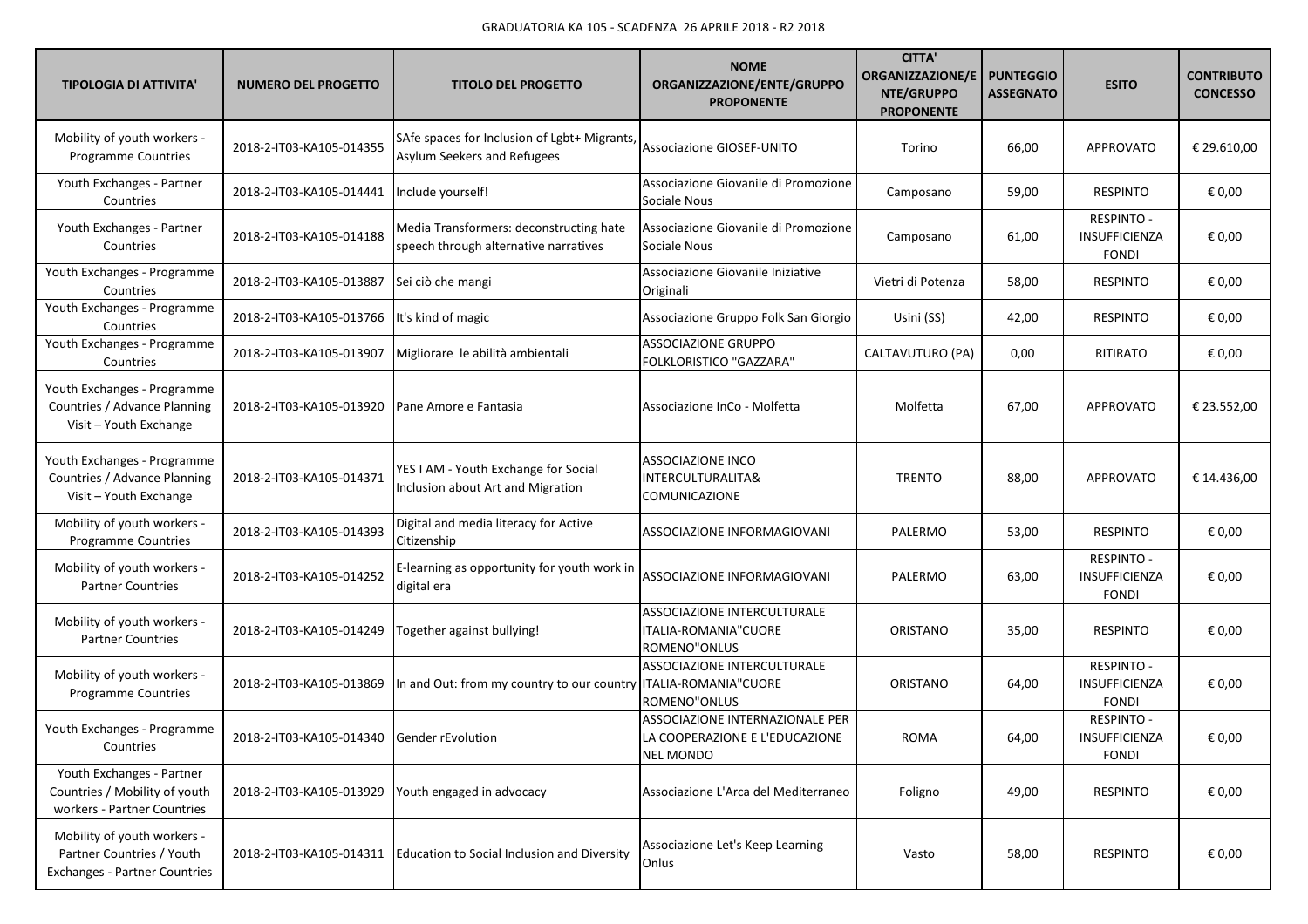| <b>TIPOLOGIA DI ATTIVITA'</b>                                                                    | <b>NUMERO DEL PROGETTO</b>                 | <b>TITOLO DEL PROGETTO</b>                                                       | <b>NOME</b><br>ORGANIZZAZIONE/ENTE/GRUPPO<br><b>PROPONENTE</b>                        | <b>CITTA'</b><br>ORGANIZZAZIONE/E<br>NTE/GRUPPO<br><b>PROPONENTE</b> | <b>PUNTEGGIO</b><br><b>ASSEGNATO</b> | <b>ESITO</b>                                              | <b>CONTRIBUTO</b><br><b>CONCESSO</b> |
|--------------------------------------------------------------------------------------------------|--------------------------------------------|----------------------------------------------------------------------------------|---------------------------------------------------------------------------------------|----------------------------------------------------------------------|--------------------------------------|-----------------------------------------------------------|--------------------------------------|
| Mobility of youth workers -<br><b>Programme Countries</b>                                        | 2018-2-IT03-KA105-014355                   | SAfe spaces for Inclusion of Lgbt+ Migrants,<br>Asylum Seekers and Refugees      | Associazione GIOSEF-UNITO                                                             | Torino                                                               | 66,00                                | <b>APPROVATO</b>                                          | € 29.610,00                          |
| Youth Exchanges - Partner<br>Countries                                                           | 2018-2-IT03-KA105-014441                   | Include yourself!                                                                | Associazione Giovanile di Promozione<br>Sociale Nous                                  | Camposano                                                            | 59,00                                | <b>RESPINTO</b>                                           | € 0,00                               |
| Youth Exchanges - Partner<br>Countries                                                           | 2018-2-IT03-KA105-014188                   | Media Transformers: deconstructing hate<br>speech through alternative narratives | Associazione Giovanile di Promozione<br>Sociale Nous                                  | Camposano                                                            | 61,00                                | <b>RESPINTO -</b><br>INSUFFICIENZA<br><b>FONDI</b>        | € 0,00                               |
| Youth Exchanges - Programme<br>Countries                                                         | 2018-2-IT03-KA105-013887                   | Sei ciò che mangi                                                                | Associazione Giovanile Iniziative<br>Originali                                        | Vietri di Potenza                                                    | 58,00                                | <b>RESPINTO</b>                                           | € 0,00                               |
| Youth Exchanges - Programme<br>Countries                                                         | 2018-2-IT03-KA105-013766                   | It's kind of magic                                                               | Associazione Gruppo Folk San Giorgio                                                  | Usini (SS)                                                           | 42,00                                | <b>RESPINTO</b>                                           | € 0,00                               |
| Youth Exchanges - Programme<br>Countries                                                         | 2018-2-IT03-KA105-013907                   | Migliorare le abilità ambientali                                                 | <b>ASSOCIAZIONE GRUPPO</b><br>FOLKLORISTICO "GAZZARA"                                 | CALTAVUTURO (PA)                                                     | 0,00                                 | RITIRATO                                                  | € 0,00                               |
| Youth Exchanges - Programme<br>Countries / Advance Planning<br>Visit - Youth Exchange            | 2018-2-IT03-KA105-013920                   | Pane Amore e Fantasia                                                            | Associazione InCo - Molfetta                                                          | Molfetta                                                             | 67,00                                | <b>APPROVATO</b>                                          | € 23.552,00                          |
| Youth Exchanges - Programme<br>Countries / Advance Planning<br>Visit - Youth Exchange            | 2018-2-IT03-KA105-014371                   | YES I AM - Youth Exchange for Social<br>Inclusion about Art and Migration        | <b>ASSOCIAZIONE INCO</b><br>INTERCULTURALITA&<br>COMUNICAZIONE                        | <b>TRENTO</b>                                                        | 88,00                                | <b>APPROVATO</b>                                          | € 14.436,00                          |
| Mobility of youth workers -<br>Programme Countries                                               | 2018-2-IT03-KA105-014393                   | Digital and media literacy for Active<br>Citizenship                             | ASSOCIAZIONE INFORMAGIOVANI                                                           | PALERMO                                                              | 53,00                                | <b>RESPINTO</b>                                           | € 0,00                               |
| Mobility of youth workers -<br><b>Partner Countries</b>                                          | 2018-2-IT03-KA105-014252                   | E-learning as opportunity for youth work in<br>digital era                       | ASSOCIAZIONE INFORMAGIOVANI                                                           | PALERMO                                                              | 63,00                                | <b>RESPINTO -</b><br>INSUFFICIENZA<br><b>FONDI</b>        | € 0,00                               |
| Mobility of youth workers -<br><b>Partner Countries</b>                                          | 2018-2-IT03-KA105-014249                   | Together against bullying!                                                       | ASSOCIAZIONE INTERCULTURALE<br>ITALIA-ROMANIA"CUORE<br>ROMENO"ONLUS                   | ORISTANO                                                             | 35,00                                | <b>RESPINTO</b>                                           | € 0,00                               |
| Mobility of youth workers -<br>Programme Countries                                               | 2018-2-IT03-KA105-013869                   | In and Out: from my country to our country ITALIA-ROMANIA"CUORE                  | ASSOCIAZIONE INTERCULTURALE<br>ROMENO"ONLUS                                           | ORISTANO                                                             | 64,00                                | <b>RESPINTO -</b><br><b>INSUFFICIENZA</b><br><b>FONDI</b> | € 0,00                               |
| Youth Exchanges - Programme<br>Countries                                                         | 2018-2-IT03-KA105-014340 Gender rEvolution |                                                                                  | ASSOCIAZIONE INTERNAZIONALE PER<br>LA COOPERAZIONE E L'EDUCAZIONE<br><b>NEL MONDO</b> | <b>ROMA</b>                                                          | 64,00                                | <b>RESPINTO -</b><br>INSUFFICIENZA<br><b>FONDI</b>        | € 0,00                               |
| Youth Exchanges - Partner<br>Countries / Mobility of youth<br>workers - Partner Countries        | 2018-2-IT03-KA105-013929                   | Youth engaged in advocacy                                                        | Associazione L'Arca del Mediterraneo                                                  | Foligno                                                              | 49,00                                | <b>RESPINTO</b>                                           | € 0,00                               |
| Mobility of youth workers -<br>Partner Countries / Youth<br><b>Exchanges - Partner Countries</b> | 2018-2-IT03-KA105-014311                   | Education to Social Inclusion and Diversity                                      | Associazione Let's Keep Learning<br>Onlus                                             | Vasto                                                                | 58,00                                | <b>RESPINTO</b>                                           | € 0,00                               |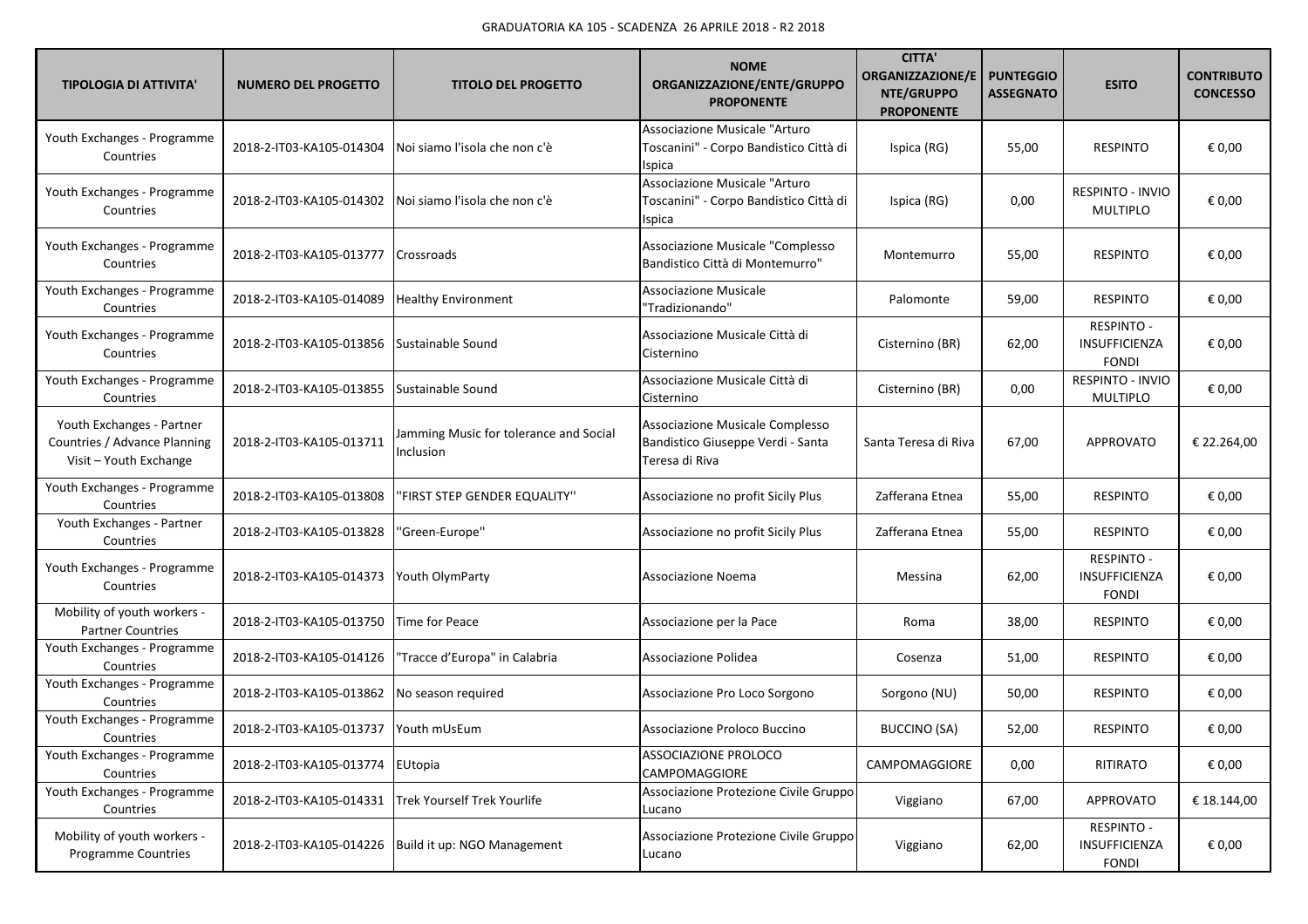| <b>TIPOLOGIA DI ATTIVITA'</b>                                                       | <b>NUMERO DEL PROGETTO</b> | <b>TITOLO DEL PROGETTO</b>                          | <b>NOME</b><br>ORGANIZZAZIONE/ENTE/GRUPPO<br><b>PROPONENTE</b>                           | <b>CITTA'</b><br><b>ORGANIZZAZIONE/E</b><br>NTE/GRUPPO<br><b>PROPONENTE</b> | <b>PUNTEGGIO</b><br><b>ASSEGNATO</b> | <b>ESITO</b>                                       | <b>CONTRIBUTO</b><br><b>CONCESSO</b> |
|-------------------------------------------------------------------------------------|----------------------------|-----------------------------------------------------|------------------------------------------------------------------------------------------|-----------------------------------------------------------------------------|--------------------------------------|----------------------------------------------------|--------------------------------------|
| Youth Exchanges - Programme<br>Countries                                            | 2018-2-IT03-KA105-014304   | Noi siamo l'isola che non c'è                       | Associazione Musicale "Arturo<br>Toscanini" - Corpo Bandistico Città di<br><b>Ispica</b> | Ispica (RG)                                                                 | 55,00                                | <b>RESPINTO</b>                                    | € 0,00                               |
| Youth Exchanges - Programme<br>Countries                                            | 2018-2-IT03-KA105-014302   | Noi siamo l'isola che non c'è                       | Associazione Musicale "Arturo<br>Toscanini" - Corpo Bandistico Città di<br><b>Ispica</b> | Ispica (RG)                                                                 | 0,00                                 | RESPINTO - INVIO<br><b>MULTIPLO</b>                | € 0,00                               |
| Youth Exchanges - Programme<br>Countries                                            | 2018-2-IT03-KA105-013777   | Crossroads                                          | Associazione Musicale "Complesso<br>Bandistico Città di Montemurro"                      | Montemurro                                                                  | 55,00                                | <b>RESPINTO</b>                                    | € 0,00                               |
| Youth Exchanges - Programme<br>Countries                                            | 2018-2-IT03-KA105-014089   | <b>Healthy Environment</b>                          | <b>Associazione Musicale</b><br>"Tradizionando"                                          | Palomonte                                                                   | 59,00                                | <b>RESPINTO</b>                                    | € 0,00                               |
| Youth Exchanges - Programme<br>Countries                                            | 2018-2-IT03-KA105-013856   | Sustainable Sound                                   | Associazione Musicale Città di<br>Cisternino                                             | Cisternino (BR)                                                             | 62,00                                | <b>RESPINTO -</b><br>INSUFFICIENZA<br><b>FONDI</b> | € 0,00                               |
| Youth Exchanges - Programme<br>Countries                                            | 2018-2-IT03-KA105-013855   | Sustainable Sound                                   | Associazione Musicale Città di<br>Cisternino                                             | Cisternino (BR)                                                             | 0,00                                 | RESPINTO - INVIO<br><b>MULTIPLO</b>                | € 0,00                               |
| Youth Exchanges - Partner<br>Countries / Advance Planning<br>Visit - Youth Exchange | 2018-2-IT03-KA105-013711   | Jamming Music for tolerance and Social<br>Inclusion | Associazione Musicale Complesso<br>Bandistico Giuseppe Verdi - Santa<br>Teresa di Riva   | Santa Teresa di Riva                                                        | 67,00                                | <b>APPROVATO</b>                                   | € 22.264,00                          |
| Youth Exchanges - Programme<br>Countries                                            | 2018-2-IT03-KA105-013808   | 'FIRST STEP GENDER EQUALITY"                        | Associazione no profit Sicily Plus                                                       | Zafferana Etnea                                                             | 55,00                                | <b>RESPINTO</b>                                    | € 0,00                               |
| Youth Exchanges - Partner<br>Countries                                              | 2018-2-IT03-KA105-013828   | "Green-Europe"                                      | Associazione no profit Sicily Plus                                                       | Zafferana Etnea                                                             | 55,00                                | <b>RESPINTO</b>                                    | € 0,00                               |
| Youth Exchanges - Programme<br>Countries                                            | 2018-2-IT03-KA105-014373   | Youth OlymParty                                     | Associazione Noema                                                                       | Messina                                                                     | 62,00                                | <b>RESPINTO -</b><br>INSUFFICIENZA<br><b>FONDI</b> | € 0,00                               |
| Mobility of youth workers -<br><b>Partner Countries</b>                             | 2018-2-IT03-KA105-013750   | Time for Peace                                      | Associazione per la Pace                                                                 | Roma                                                                        | 38,00                                | <b>RESPINTO</b>                                    | € 0,00                               |
| Youth Exchanges - Programme<br>Countries                                            | 2018-2-IT03-KA105-014126   | 'Tracce d'Europa" in Calabria                       | Associazione Polidea                                                                     | Cosenza                                                                     | 51,00                                | <b>RESPINTO</b>                                    | € 0,00                               |
| Youth Exchanges - Programme<br>Countries                                            | 2018-2-IT03-KA105-013862   | No season required                                  | Associazione Pro Loco Sorgono                                                            | Sorgono (NU)                                                                | 50,00                                | <b>RESPINTO</b>                                    | € 0,00                               |
| Youth Exchanges - Programme<br>Countries                                            | 2018-2-IT03-KA105-013737   | Youth mUsEum                                        | Associazione Proloco Buccino                                                             | <b>BUCCINO (SA)</b>                                                         | 52,00                                | <b>RESPINTO</b>                                    | € 0,00                               |
| Youth Exchanges - Programme<br>Countries                                            | 2018-2-IT03-KA105-013774   | EUtopia                                             | <b>ASSOCIAZIONE PROLOCO</b><br>CAMPOMAGGIORE                                             | CAMPOMAGGIORE                                                               | 0,00                                 | RITIRATO                                           | € 0,00                               |
| Youth Exchanges - Programme<br>Countries                                            | 2018-2-IT03-KA105-014331   | Trek Yourself Trek Yourlife                         | Associazione Protezione Civile Gruppo<br>Lucano                                          | Viggiano                                                                    | 67,00                                | APPROVATO                                          | € 18.144,00                          |
| Mobility of youth workers -<br><b>Programme Countries</b>                           | 2018-2-IT03-KA105-014226   | Build it up: NGO Management                         | Associazione Protezione Civile Gruppo<br>Lucano                                          | Viggiano                                                                    | 62,00                                | <b>RESPINTO -</b><br>INSUFFICIENZA<br><b>FONDI</b> | € 0,00                               |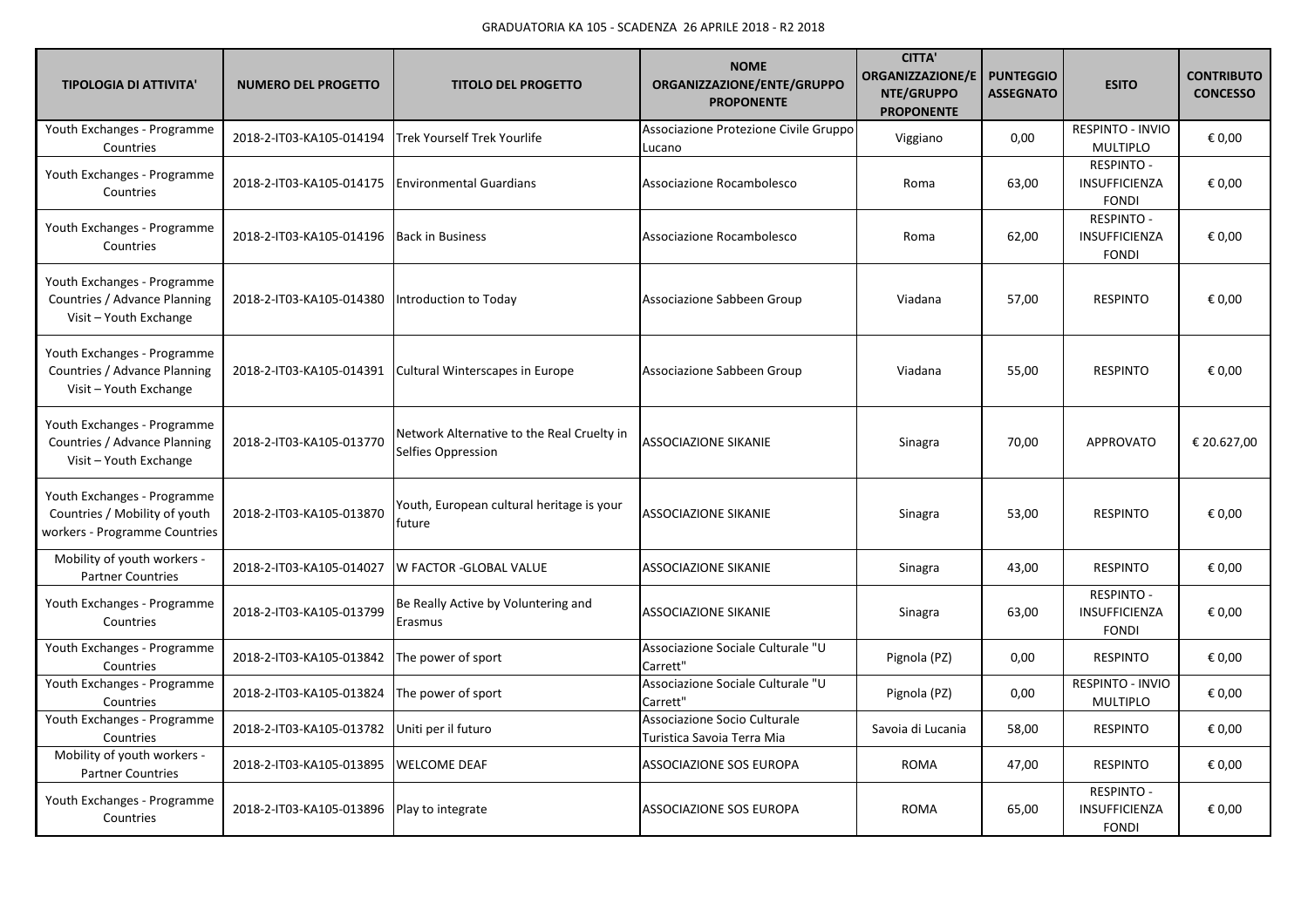| <b>TIPOLOGIA DI ATTIVITA'</b>                                                                 | <b>NUMERO DEL PROGETTO</b> | <b>TITOLO DEL PROGETTO</b>                                       | <b>NOME</b><br>ORGANIZZAZIONE/ENTE/GRUPPO<br><b>PROPONENTE</b> | <b>CITTA'</b><br><b>ORGANIZZAZIONE/E</b><br>NTE/GRUPPO<br><b>PROPONENTE</b> | <b>PUNTEGGIO</b><br><b>ASSEGNATO</b> | <b>ESITO</b>                                              | <b>CONTRIBUTO</b><br><b>CONCESSO</b> |
|-----------------------------------------------------------------------------------------------|----------------------------|------------------------------------------------------------------|----------------------------------------------------------------|-----------------------------------------------------------------------------|--------------------------------------|-----------------------------------------------------------|--------------------------------------|
| Youth Exchanges - Programme<br>Countries                                                      | 2018-2-IT03-KA105-014194   | <b>Trek Yourself Trek Yourlife</b>                               | Associazione Protezione Civile Gruppo<br>Lucano                | Viggiano                                                                    | 0,00                                 | RESPINTO - INVIO<br><b>MULTIPLO</b>                       | € 0,00                               |
| Youth Exchanges - Programme<br>Countries                                                      | 2018-2-IT03-KA105-014175   | <b>Environmental Guardians</b>                                   | Associazione Rocambolesco                                      | Roma                                                                        | 63,00                                | <b>RESPINTO -</b><br>INSUFFICIENZA<br><b>FONDI</b>        | € 0,00                               |
| Youth Exchanges - Programme<br>Countries                                                      | 2018-2-IT03-KA105-014196   | <b>Back in Business</b>                                          | Associazione Rocambolesco                                      | Roma                                                                        | 62,00                                | <b>RESPINTO -</b><br>INSUFFICIENZA<br><b>FONDI</b>        | € 0,00                               |
| Youth Exchanges - Programme<br>Countries / Advance Planning<br>Visit - Youth Exchange         | 2018-2-IT03-KA105-014380   | Introduction to Today                                            | Associazione Sabbeen Group                                     | Viadana                                                                     | 57,00                                | <b>RESPINTO</b>                                           | € 0,00                               |
| Youth Exchanges - Programme<br>Countries / Advance Planning<br>Visit - Youth Exchange         | 2018-2-IT03-KA105-014391   | Cultural Winterscapes in Europe                                  | Associazione Sabbeen Group                                     | Viadana                                                                     | 55,00                                | <b>RESPINTO</b>                                           | € 0,00                               |
| Youth Exchanges - Programme<br>Countries / Advance Planning<br>Visit - Youth Exchange         | 2018-2-IT03-KA105-013770   | Network Alternative to the Real Cruelty in<br>Selfies Oppression | <b>ASSOCIAZIONE SIKANIE</b>                                    | Sinagra                                                                     | 70,00                                | <b>APPROVATO</b>                                          | € 20.627,00                          |
| Youth Exchanges - Programme<br>Countries / Mobility of youth<br>workers - Programme Countries | 2018-2-IT03-KA105-013870   | Youth, European cultural heritage is your<br>future              | <b>ASSOCIAZIONE SIKANIE</b>                                    | Sinagra                                                                     | 53,00                                | <b>RESPINTO</b>                                           | € 0,00                               |
| Mobility of youth workers -<br><b>Partner Countries</b>                                       | 2018-2-IT03-KA105-014027   | <b>W FACTOR -GLOBAL VALUE</b>                                    | <b>ASSOCIAZIONE SIKANIE</b>                                    | Sinagra                                                                     | 43,00                                | <b>RESPINTO</b>                                           | € 0,00                               |
| Youth Exchanges - Programme<br>Countries                                                      | 2018-2-IT03-KA105-013799   | Be Really Active by Voluntering and<br>Erasmus                   | <b>ASSOCIAZIONE SIKANIE</b>                                    | Sinagra                                                                     | 63,00                                | <b>RESPINTO -</b><br><b>INSUFFICIENZA</b><br><b>FONDI</b> | € 0,00                               |
| Youth Exchanges - Programme<br>Countries                                                      | 2018-2-IT03-KA105-013842   | The power of sport                                               | Associazione Sociale Culturale "U<br>Carrett"                  | Pignola (PZ)                                                                | 0,00                                 | <b>RESPINTO</b>                                           | € 0,00                               |
| Youth Exchanges - Programme<br>Countries                                                      | 2018-2-IT03-KA105-013824   | The power of sport                                               | Associazione Sociale Culturale "U<br>Carrett"                  | Pignola (PZ)                                                                | 0,00                                 | <b>RESPINTO - INVIO</b><br><b>MULTIPLO</b>                | € 0,00                               |
| Youth Exchanges - Programme<br>Countries                                                      | 2018-2-IT03-KA105-013782   | Uniti per il futuro                                              | Associazione Socio Culturale<br>Turistica Savoia Terra Mia     | Savoia di Lucania                                                           | 58,00                                | <b>RESPINTO</b>                                           | € 0,00                               |
| Mobility of youth workers -<br><b>Partner Countries</b>                                       | 2018-2-IT03-KA105-013895   | <b>WELCOME DEAF</b>                                              | ASSOCIAZIONE SOS EUROPA                                        | <b>ROMA</b>                                                                 | 47,00                                | <b>RESPINTO</b>                                           | € 0,00                               |
| Youth Exchanges - Programme<br>Countries                                                      | 2018-2-IT03-KA105-013896   | Play to integrate                                                | <b>ASSOCIAZIONE SOS EUROPA</b>                                 | <b>ROMA</b>                                                                 | 65,00                                | <b>RESPINTO -</b><br>INSUFFICIENZA<br><b>FONDI</b>        | € 0,00                               |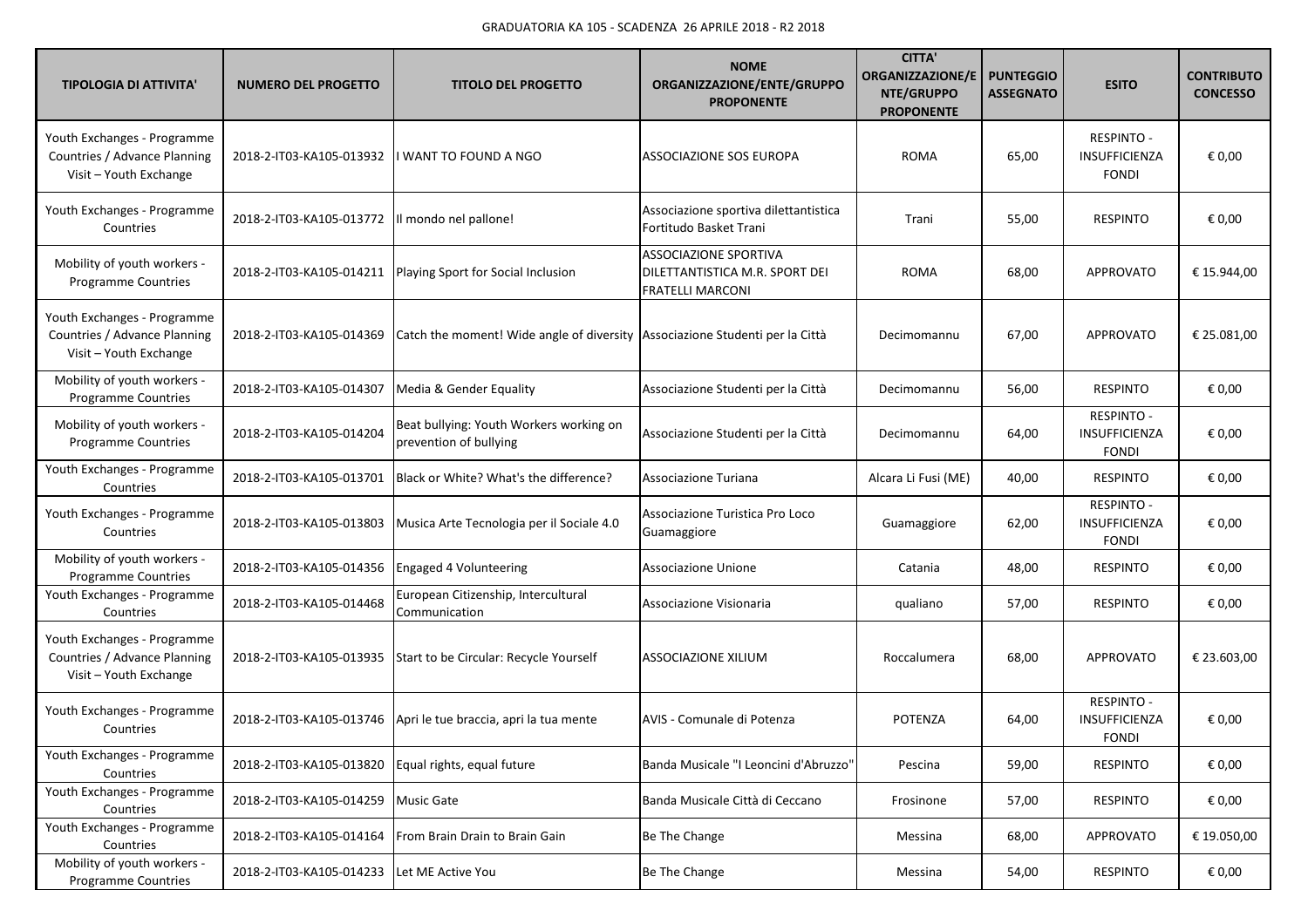| <b>TIPOLOGIA DI ATTIVITA'</b>                                                         | <b>NUMERO DEL PROGETTO</b> | <b>TITOLO DEL PROGETTO</b>                                                     | <b>NOME</b><br>ORGANIZZAZIONE/ENTE/GRUPPO<br><b>PROPONENTE</b>                            | <b>CITTA'</b><br><b>ORGANIZZAZIONE/E</b><br>NTE/GRUPPO<br><b>PROPONENTE</b> | <b>PUNTEGGIO</b><br><b>ASSEGNATO</b> | <b>ESITO</b>                                              | <b>CONTRIBUTO</b><br><b>CONCESSO</b> |
|---------------------------------------------------------------------------------------|----------------------------|--------------------------------------------------------------------------------|-------------------------------------------------------------------------------------------|-----------------------------------------------------------------------------|--------------------------------------|-----------------------------------------------------------|--------------------------------------|
| Youth Exchanges - Programme<br>Countries / Advance Planning<br>Visit - Youth Exchange | 2018-2-IT03-KA105-013932   | WANT TO FOUND A NGO                                                            | <b>ASSOCIAZIONE SOS EUROPA</b>                                                            | <b>ROMA</b>                                                                 | 65,00                                | <b>RESPINTO -</b><br><b>INSUFFICIENZA</b><br><b>FONDI</b> | € 0,00                               |
| Youth Exchanges - Programme<br>Countries                                              | 2018-2-IT03-KA105-013772   | Il mondo nel pallone!                                                          | Associazione sportiva dilettantistica<br>Fortitudo Basket Trani                           | Trani                                                                       | 55,00                                | <b>RESPINTO</b>                                           | € 0,00                               |
| Mobility of youth workers -<br><b>Programme Countries</b>                             | 2018-2-IT03-KA105-014211   | Playing Sport for Social Inclusion                                             | <b>ASSOCIAZIONE SPORTIVA</b><br>DILETTANTISTICA M.R. SPORT DEI<br><b>FRATELLI MARCONI</b> | <b>ROMA</b>                                                                 | 68,00                                | <b>APPROVATO</b>                                          | € 15.944,00                          |
| Youth Exchanges - Programme<br>Countries / Advance Planning<br>Visit - Youth Exchange | 2018-2-IT03-KA105-014369   | Catch the moment! Wide angle of diversity   Associazione Studenti per la Città |                                                                                           | Decimomannu                                                                 | 67,00                                | APPROVATO                                                 | € 25.081,00                          |
| Mobility of youth workers -<br><b>Programme Countries</b>                             | 2018-2-IT03-KA105-014307   | Media & Gender Equality                                                        | Associazione Studenti per la Città                                                        | Decimomannu                                                                 | 56,00                                | <b>RESPINTO</b>                                           | € 0,00                               |
| Mobility of youth workers -<br>Programme Countries                                    | 2018-2-IT03-KA105-014204   | Beat bullying: Youth Workers working on<br>prevention of bullying              | Associazione Studenti per la Città                                                        | Decimomannu                                                                 | 64,00                                | <b>RESPINTO -</b><br>INSUFFICIENZA<br><b>FONDI</b>        | € 0,00                               |
| Youth Exchanges - Programme<br>Countries                                              | 2018-2-IT03-KA105-013701   | Black or White? What's the difference?                                         | Associazione Turiana                                                                      | Alcara Li Fusi (ME)                                                         | 40,00                                | <b>RESPINTO</b>                                           | € 0,00                               |
| Youth Exchanges - Programme<br>Countries                                              | 2018-2-IT03-KA105-013803   | Musica Arte Tecnologia per il Sociale 4.0                                      | Associazione Turistica Pro Loco<br>Guamaggiore                                            | Guamaggiore                                                                 | 62,00                                | <b>RESPINTO -</b><br>INSUFFICIENZA<br><b>FONDI</b>        | € 0,00                               |
| Mobility of youth workers -<br>Programme Countries                                    | 2018-2-IT03-KA105-014356   | Engaged 4 Volunteering                                                         | Associazione Unione                                                                       | Catania                                                                     | 48,00                                | <b>RESPINTO</b>                                           | € 0,00                               |
| Youth Exchanges - Programme<br>Countries                                              | 2018-2-IT03-KA105-014468   | European Citizenship, Intercultural<br>Communication                           | Associazione Visionaria                                                                   | qualiano                                                                    | 57,00                                | <b>RESPINTO</b>                                           | € 0,00                               |
| Youth Exchanges - Programme<br>Countries / Advance Planning<br>Visit - Youth Exchange | 2018-2-IT03-KA105-013935   | Start to be Circular: Recycle Yourself                                         | ASSOCIAZIONE XILIUM                                                                       | Roccalumera                                                                 | 68,00                                | <b>APPROVATO</b>                                          | € 23.603,00                          |
| Youth Exchanges - Programme<br>Countries                                              | 2018-2-IT03-KA105-013746   | Apri le tue braccia, apri la tua mente                                         | AVIS - Comunale di Potenza                                                                | <b>POTENZA</b>                                                              | 64,00                                | <b>RESPINTO -</b><br>INSUFFICIENZA<br><b>FONDI</b>        | € 0,00                               |
| Youth Exchanges - Programme<br>Countries                                              | 2018-2-IT03-KA105-013820   | Equal rights, equal future                                                     | Banda Musicale "I Leoncini d'Abruzzo"                                                     | Pescina                                                                     | 59,00                                | <b>RESPINTO</b>                                           | € 0,00                               |
| Youth Exchanges - Programme<br>Countries                                              | 2018-2-IT03-KA105-014259   | <b>Music Gate</b>                                                              | Banda Musicale Città di Ceccano                                                           | Frosinone                                                                   | 57,00                                | <b>RESPINTO</b>                                           | € 0,00                               |
| Youth Exchanges - Programme<br>Countries                                              | 2018-2-IT03-KA105-014164   | From Brain Drain to Brain Gain                                                 | Be The Change                                                                             | Messina                                                                     | 68,00                                | APPROVATO                                                 | € 19.050,00                          |
| Mobility of youth workers -<br>Programme Countries                                    | 2018-2-IT03-KA105-014233   | Let ME Active You                                                              | Be The Change                                                                             | Messina                                                                     | 54,00                                | <b>RESPINTO</b>                                           | € 0,00                               |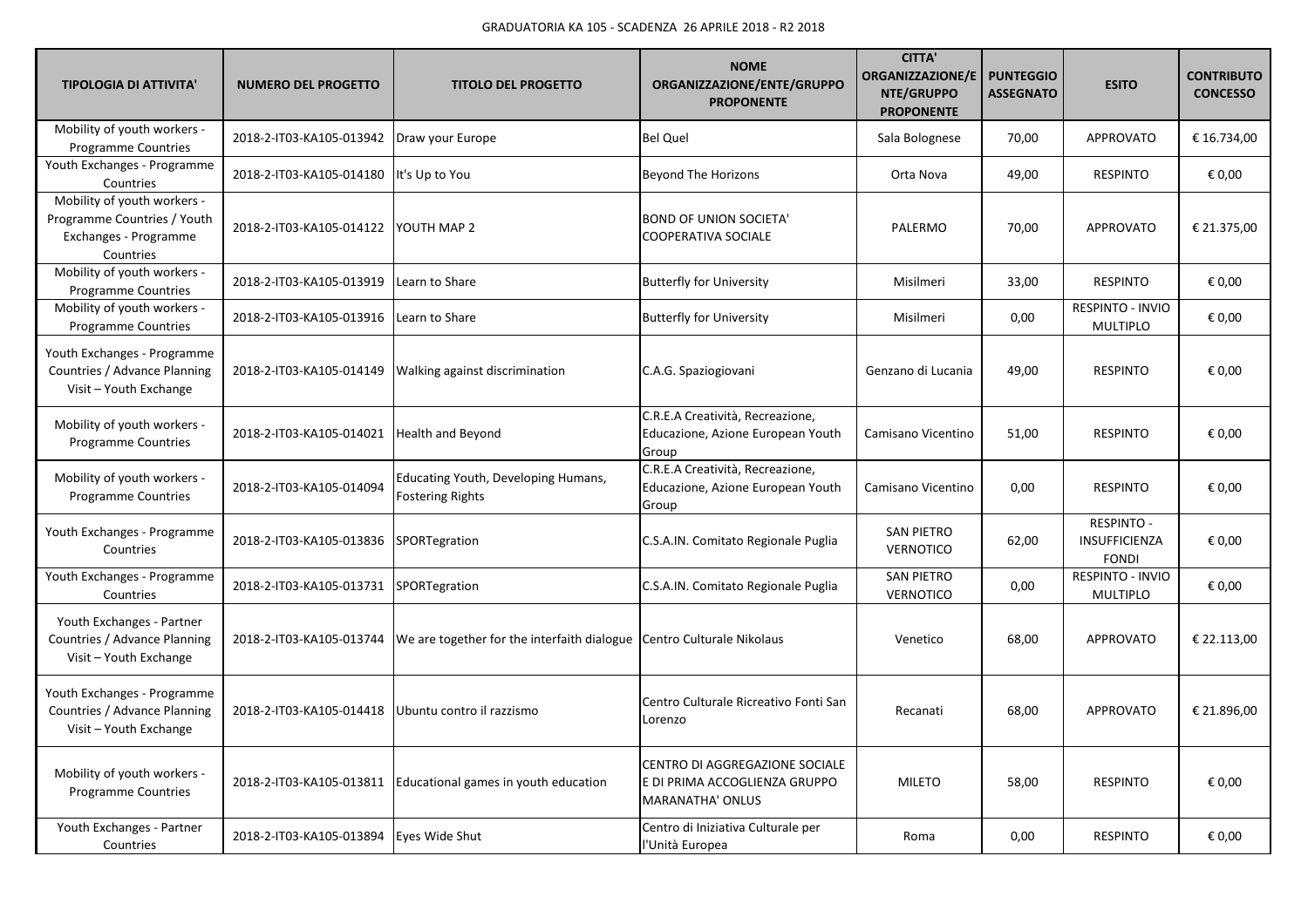| <b>TIPOLOGIA DI ATTIVITA'</b>                                                                    | <b>NUMERO DEL PROGETTO</b>                | <b>TITOLO DEL PROGETTO</b>                                            | <b>NOME</b><br>ORGANIZZAZIONE/ENTE/GRUPPO<br><b>PROPONENTE</b>                             | <b>CITTA'</b><br>ORGANIZZAZIONE/E<br>NTE/GRUPPO<br><b>PROPONENTE</b> | <b>PUNTEGGIO</b><br><b>ASSEGNATO</b> | <b>ESITO</b>                                              | <b>CONTRIBUTO</b><br><b>CONCESSO</b> |
|--------------------------------------------------------------------------------------------------|-------------------------------------------|-----------------------------------------------------------------------|--------------------------------------------------------------------------------------------|----------------------------------------------------------------------|--------------------------------------|-----------------------------------------------------------|--------------------------------------|
| Mobility of youth workers -<br>Programme Countries                                               | 2018-2-IT03-KA105-013942                  | Draw your Europe                                                      | <b>Bel Quel</b>                                                                            | Sala Bolognese                                                       | 70,00                                | <b>APPROVATO</b>                                          | € 16.734,00                          |
| Youth Exchanges - Programme<br>Countries                                                         | 2018-2-IT03-KA105-014180                  | It's Up to You                                                        | <b>Beyond The Horizons</b>                                                                 | Orta Nova                                                            | 49,00                                | <b>RESPINTO</b>                                           | € 0,00                               |
| Mobility of youth workers -<br>Programme Countries / Youth<br>Exchanges - Programme<br>Countries | 2018-2-IT03-KA105-014122                  | YOUTH MAP 2                                                           | <b>BOND OF UNION SOCIETA'</b><br>COOPERATIVA SOCIALE                                       | PALERMO                                                              | 70,00                                | <b>APPROVATO</b>                                          | € 21.375,00                          |
| Mobility of youth workers -<br>Programme Countries                                               | 2018-2-IT03-KA105-013919                  | Learn to Share                                                        | <b>Butterfly for University</b>                                                            | Misilmeri                                                            | 33,00                                | <b>RESPINTO</b>                                           | € 0,00                               |
| Mobility of youth workers -<br>Programme Countries                                               | 2018-2-IT03-KA105-013916                  | Learn to Share                                                        | <b>Butterfly for University</b>                                                            | Misilmeri                                                            | 0,00                                 | RESPINTO - INVIO<br><b>MULTIPLO</b>                       | € 0,00                               |
| Youth Exchanges - Programme<br>Countries / Advance Planning<br>Visit - Youth Exchange            | 2018-2-IT03-KA105-014149                  | <b>Walking against discrimination</b>                                 | C.A.G. Spaziogiovani                                                                       | Genzano di Lucania                                                   | 49,00                                | <b>RESPINTO</b>                                           | € 0,00                               |
| Mobility of youth workers -<br><b>Programme Countries</b>                                        | 2018-2-IT03-KA105-014021                  | <b>Health and Beyond</b>                                              | C.R.E.A Creatività, Recreazione,<br>Educazione, Azione European Youth<br>Group             | Camisano Vicentino                                                   | 51,00                                | <b>RESPINTO</b>                                           | € 0.00                               |
| Mobility of youth workers -<br>Programme Countries                                               | 2018-2-IT03-KA105-014094                  | Educating Youth, Developing Humans,<br><b>Fostering Rights</b>        | C.R.E.A Creatività, Recreazione,<br>Educazione, Azione European Youth<br>Group             | Camisano Vicentino                                                   | 0,00                                 | <b>RESPINTO</b>                                           | € 0,00                               |
| Youth Exchanges - Programme<br>Countries                                                         | 2018-2-IT03-KA105-013836                  | SPORTegration                                                         | C.S.A.IN. Comitato Regionale Puglia                                                        | <b>SAN PIETRO</b><br><b>VERNOTICO</b>                                | 62,00                                | <b>RESPINTO -</b><br><b>INSUFFICIENZA</b><br><b>FONDI</b> | € 0,00                               |
| Youth Exchanges - Programme<br>Countries                                                         | 2018-2-IT03-KA105-013731                  | SPORTegration                                                         | C.S.A.IN. Comitato Regionale Puglia                                                        | <b>SAN PIETRO</b><br><b>VERNOTICO</b>                                | 0,00                                 | RESPINTO - INVIO<br><b>MULTIPLO</b>                       | € 0,00                               |
| Youth Exchanges - Partner<br>Countries / Advance Planning<br>Visit - Youth Exchange              | 2018-2-IT03-KA105-013744                  | We are together for the interfaith dialogue Centro Culturale Nikolaus |                                                                                            | Venetico                                                             | 68,00                                | <b>APPROVATO</b>                                          | € 22.113,00                          |
| Youth Exchanges - Programme<br>Countries / Advance Planning<br>Visit - Youth Exchange            | 2018-2-IT03-KA105-014418                  | Ubuntu contro il razzismo                                             | Centro Culturale Ricreativo Fonti San<br>Lorenzo                                           | Recanati                                                             | 68,00                                | <b>APPROVATO</b>                                          | € 21.896,00                          |
| Mobility of youth workers -<br><b>Programme Countries</b>                                        | 2018-2-IT03-KA105-013811                  | Educational games in youth education                                  | CENTRO DI AGGREGAZIONE SOCIALE<br>E DI PRIMA ACCOGLIENZA GRUPPO<br><b>MARANATHA' ONLUS</b> | <b>MILETO</b>                                                        | 58,00                                | <b>RESPINTO</b>                                           | € 0,00                               |
| Youth Exchanges - Partner<br>Countries                                                           | 2018-2-IT03-KA105-013894   Eyes Wide Shut |                                                                       | Centro di Iniziativa Culturale per<br>l'Unità Europea                                      | Roma                                                                 | 0,00                                 | <b>RESPINTO</b>                                           | € 0,00                               |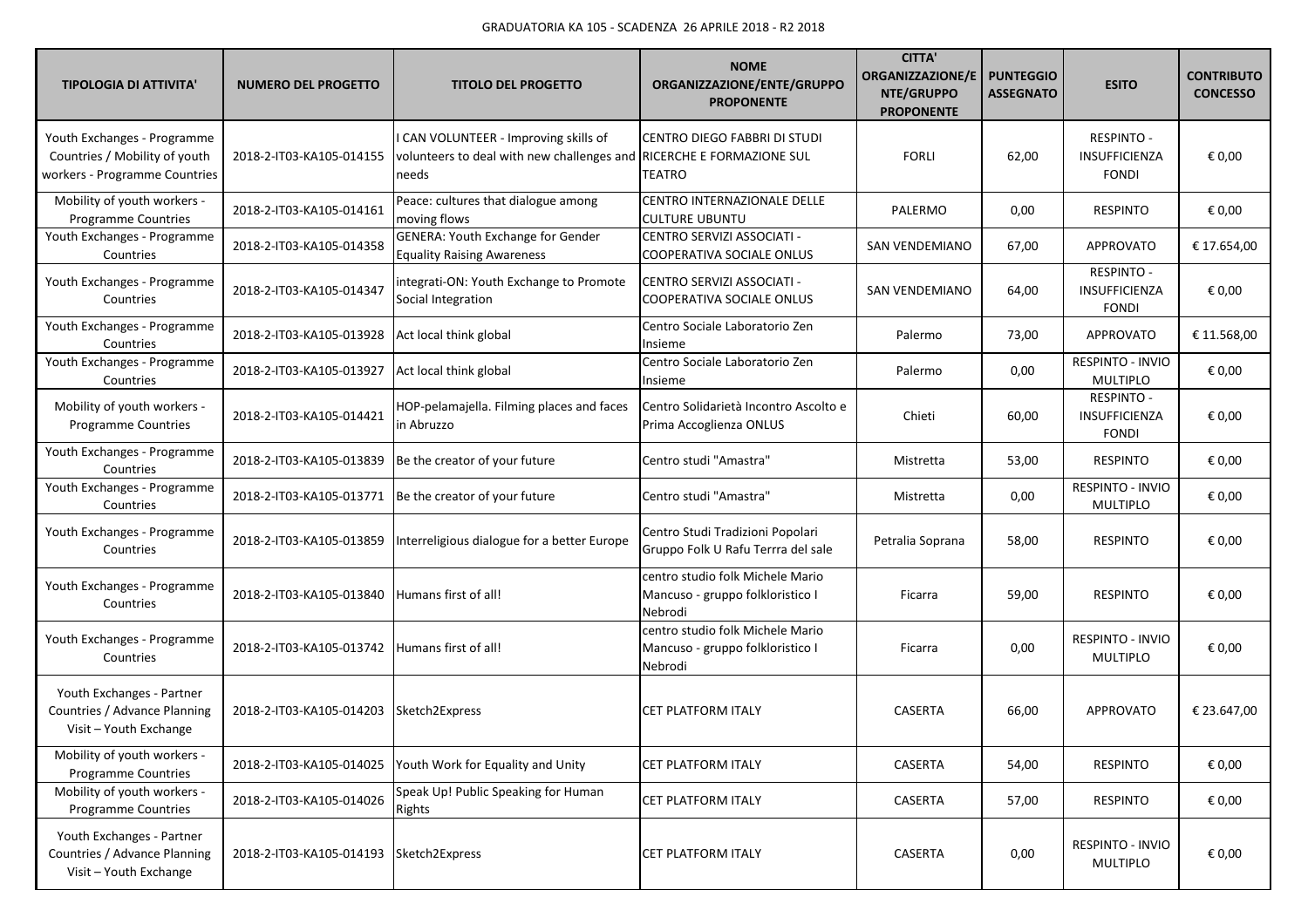| <b>TIPOLOGIA DI ATTIVITA'</b>                                                                 | <b>NUMERO DEL PROGETTO</b> | <b>TITOLO DEL PROGETTO</b>                                                                                           | <b>NOME</b><br>ORGANIZZAZIONE/ENTE/GRUPPO<br><b>PROPONENTE</b>                  | <b>CITTA'</b><br><b>ORGANIZZAZIONE/E</b><br>NTE/GRUPPO<br><b>PROPONENTE</b> | <b>PUNTEGGIO</b><br><b>ASSEGNATO</b> | <b>ESITO</b>                                              | <b>CONTRIBUTO</b><br><b>CONCESSO</b> |
|-----------------------------------------------------------------------------------------------|----------------------------|----------------------------------------------------------------------------------------------------------------------|---------------------------------------------------------------------------------|-----------------------------------------------------------------------------|--------------------------------------|-----------------------------------------------------------|--------------------------------------|
| Youth Exchanges - Programme<br>Countries / Mobility of youth<br>workers - Programme Countries | 2018-2-IT03-KA105-014155   | CAN VOLUNTEER - Improving skills of<br>volunteers to deal with new challenges and RICERCHE E FORMAZIONE SUL<br>needs | CENTRO DIEGO FABBRI DI STUDI<br>TEATRO                                          | <b>FORLI</b>                                                                | 62,00                                | <b>RESPINTO -</b><br><b>INSUFFICIENZA</b><br><b>FONDI</b> | € 0,00                               |
| Mobility of youth workers -<br>Programme Countries                                            | 2018-2-IT03-KA105-014161   | Peace: cultures that dialogue among<br>moving flows                                                                  | CENTRO INTERNAZIONALE DELLE<br><b>CULTURE UBUNTU</b>                            | PALERMO                                                                     | 0,00                                 | <b>RESPINTO</b>                                           | € 0,00                               |
| Youth Exchanges - Programme<br>Countries                                                      | 2018-2-IT03-KA105-014358   | <b>GENERA: Youth Exchange for Gender</b><br><b>Equality Raising Awareness</b>                                        | CENTRO SERVIZI ASSOCIATI -<br>COOPERATIVA SOCIALE ONLUS                         | SAN VENDEMIANO                                                              | 67,00                                | <b>APPROVATO</b>                                          | € 17.654,00                          |
| Youth Exchanges - Programme<br>Countries                                                      | 2018-2-IT03-KA105-014347   | integrati-ON: Youth Exchange to Promote<br>Social Integration                                                        | CENTRO SERVIZI ASSOCIATI -<br>COOPERATIVA SOCIALE ONLUS                         | SAN VENDEMIANO                                                              | 64,00                                | <b>RESPINTO -</b><br>INSUFFICIENZA<br><b>FONDI</b>        | € 0,00                               |
| Youth Exchanges - Programme<br>Countries                                                      | 2018-2-IT03-KA105-013928   | Act local think global                                                                                               | Centro Sociale Laboratorio Zen<br>Insieme                                       | Palermo                                                                     | 73,00                                | APPROVATO                                                 | € 11.568,00                          |
| Youth Exchanges - Programme<br>Countries                                                      | 2018-2-IT03-KA105-013927   | Act local think global                                                                                               | Centro Sociale Laboratorio Zen<br>Insieme                                       | Palermo                                                                     | 0,00                                 | RESPINTO - INVIO<br><b>MULTIPLO</b>                       | € 0,00                               |
| Mobility of youth workers -<br>Programme Countries                                            | 2018-2-IT03-KA105-014421   | HOP-pelamajella. Filming places and faces<br>in Abruzzo                                                              | Centro Solidarietà Incontro Ascolto e<br>Prima Accoglienza ONLUS                | Chieti                                                                      | 60,00                                | <b>RESPINTO -</b><br><b>INSUFFICIENZA</b><br><b>FONDI</b> | € 0,00                               |
| Youth Exchanges - Programme<br>Countries                                                      | 2018-2-IT03-KA105-013839   | Be the creator of your future                                                                                        | Centro studi "Amastra"                                                          | Mistretta                                                                   | 53,00                                | <b>RESPINTO</b>                                           | € 0,00                               |
| Youth Exchanges - Programme<br>Countries                                                      | 2018-2-IT03-KA105-013771   | Be the creator of your future                                                                                        | Centro studi "Amastra"                                                          | Mistretta                                                                   | 0,00                                 | RESPINTO - INVIO<br><b>MULTIPLO</b>                       | € 0,00                               |
| Youth Exchanges - Programme<br>Countries                                                      | 2018-2-IT03-KA105-013859   | Interreligious dialogue for a better Europe                                                                          | Centro Studi Tradizioni Popolari<br>Gruppo Folk U Rafu Terrra del sale          | Petralia Soprana                                                            | 58,00                                | <b>RESPINTO</b>                                           | € 0,00                               |
| Youth Exchanges - Programme<br>Countries                                                      | 2018-2-IT03-KA105-013840   | Humans first of all!                                                                                                 | centro studio folk Michele Mario<br>Mancuso - gruppo folkloristico I<br>Nebrodi | Ficarra                                                                     | 59,00                                | <b>RESPINTO</b>                                           | € 0,00                               |
| Youth Exchanges - Programme<br>Countries                                                      | 2018-2-IT03-KA105-013742   | Humans first of all!                                                                                                 | centro studio folk Michele Mario<br>Mancuso - gruppo folkloristico I<br>Nebrodi | Ficarra                                                                     | 0,00                                 | RESPINTO - INVIO<br><b>MULTIPLO</b>                       | € 0,00                               |
| Youth Exchanges - Partner<br>Countries / Advance Planning<br>Visit - Youth Exchange           | 2018-2-IT03-KA105-014203   | Sketch2Express                                                                                                       | <b>CET PLATFORM ITALY</b>                                                       | <b>CASERTA</b>                                                              | 66,00                                | <b>APPROVATO</b>                                          | € 23.647,00                          |
| Mobility of youth workers -<br>Programme Countries                                            | 2018-2-IT03-KA105-014025   | Youth Work for Equality and Unity                                                                                    | <b>CET PLATFORM ITALY</b>                                                       | CASERTA                                                                     | 54,00                                | <b>RESPINTO</b>                                           | € 0,00                               |
| Mobility of youth workers -<br>Programme Countries                                            | 2018-2-IT03-KA105-014026   | Speak Up! Public Speaking for Human<br>Rights                                                                        | <b>CET PLATFORM ITALY</b>                                                       | CASERTA                                                                     | 57,00                                | <b>RESPINTO</b>                                           | € 0,00                               |
| Youth Exchanges - Partner<br>Countries / Advance Planning<br>Visit - Youth Exchange           | 2018-2-IT03-KA105-014193   | Sketch2Express                                                                                                       | <b>CET PLATFORM ITALY</b>                                                       | CASERTA                                                                     | 0,00                                 | RESPINTO - INVIO<br>MULTIPLO                              | € 0,00                               |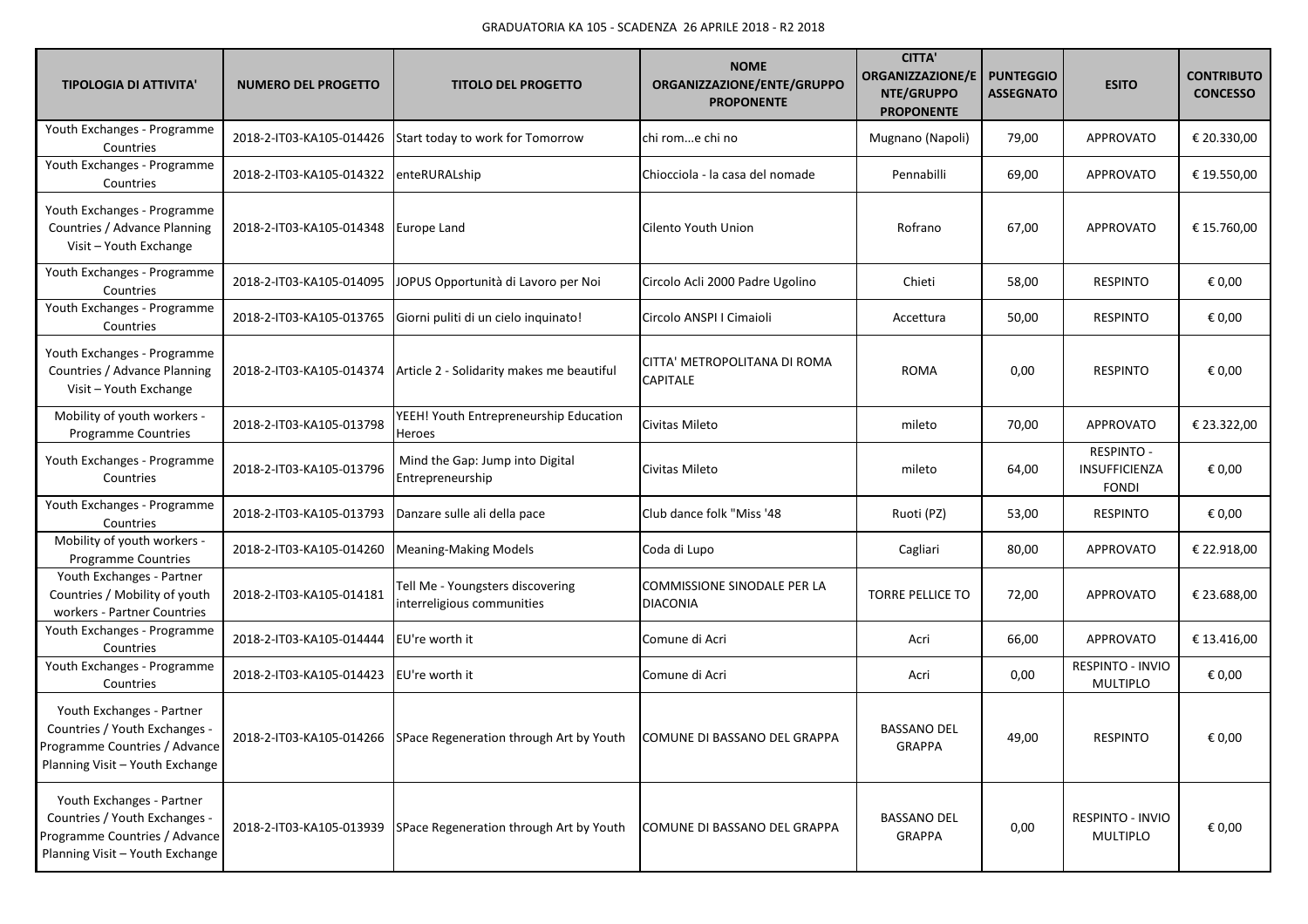| <b>TIPOLOGIA DI ATTIVITA'</b>                                                                                                  | <b>NUMERO DEL PROGETTO</b> | <b>TITOLO DEL PROGETTO</b>                                       | <b>NOME</b><br>ORGANIZZAZIONE/ENTE/GRUPPO<br><b>PROPONENTE</b> | <b>CITTA'</b><br>ORGANIZZAZIONE/E<br>NTE/GRUPPO<br><b>PROPONENTE</b> | <b>PUNTEGGIO</b><br><b>ASSEGNATO</b> | <b>ESITO</b>                                       | <b>CONTRIBUTO</b><br><b>CONCESSO</b> |
|--------------------------------------------------------------------------------------------------------------------------------|----------------------------|------------------------------------------------------------------|----------------------------------------------------------------|----------------------------------------------------------------------|--------------------------------------|----------------------------------------------------|--------------------------------------|
| Youth Exchanges - Programme<br>Countries                                                                                       | 2018-2-IT03-KA105-014426   | Start today to work for Tomorrow                                 | chi rome chi no                                                | Mugnano (Napoli)                                                     | 79,00                                | <b>APPROVATO</b>                                   | € 20.330,00                          |
| Youth Exchanges - Programme<br>Countries                                                                                       | 2018-2-IT03-KA105-014322   | enteRURALship                                                    | Chiocciola - la casa del nomade                                | Pennabilli                                                           | 69,00                                | APPROVATO                                          | € 19.550,00                          |
| Youth Exchanges - Programme<br>Countries / Advance Planning<br>Visit - Youth Exchange                                          | 2018-2-IT03-KA105-014348   | Europe Land                                                      | Cilento Youth Union                                            | Rofrano                                                              | 67,00                                | APPROVATO                                          | € 15.760,00                          |
| Youth Exchanges - Programme<br>Countries                                                                                       | 2018-2-IT03-KA105-014095   | JOPUS Opportunità di Lavoro per Noi                              | Circolo Acli 2000 Padre Ugolino                                | Chieti                                                               | 58,00                                | <b>RESPINTO</b>                                    | € 0,00                               |
| Youth Exchanges - Programme<br>Countries                                                                                       | 2018-2-IT03-KA105-013765   | Giorni puliti di un cielo inquinato!                             | Circolo ANSPI I Cimaioli                                       | Accettura                                                            | 50,00                                | <b>RESPINTO</b>                                    | € 0,00                               |
| Youth Exchanges - Programme<br>Countries / Advance Planning<br>Visit - Youth Exchange                                          | 2018-2-IT03-KA105-014374   | Article 2 - Solidarity makes me beautiful                        | CITTA' METROPOLITANA DI ROMA<br><b>CAPITALE</b>                | <b>ROMA</b>                                                          | 0,00                                 | <b>RESPINTO</b>                                    | € 0,00                               |
| Mobility of youth workers -<br>Programme Countries                                                                             | 2018-2-IT03-KA105-013798   | YEEH! Youth Entrepreneurship Education<br>Heroes                 | Civitas Mileto                                                 | mileto                                                               | 70,00                                | APPROVATO                                          | € 23.322,00                          |
| Youth Exchanges - Programme<br>Countries                                                                                       | 2018-2-IT03-KA105-013796   | Mind the Gap: Jump into Digital<br>Entrepreneurship              | Civitas Mileto                                                 | mileto                                                               | 64,00                                | <b>RESPINTO -</b><br>INSUFFICIENZA<br><b>FONDI</b> | € 0,00                               |
| Youth Exchanges - Programme<br>Countries                                                                                       | 2018-2-IT03-KA105-013793   | Danzare sulle ali della pace                                     | Club dance folk "Miss '48                                      | Ruoti (PZ)                                                           | 53,00                                | <b>RESPINTO</b>                                    | € 0,00                               |
| Mobility of youth workers -<br>Programme Countries                                                                             | 2018-2-IT03-KA105-014260   | <b>Meaning-Making Models</b>                                     | Coda di Lupo                                                   | Cagliari                                                             | 80,00                                | <b>APPROVATO</b>                                   | € 22.918,00                          |
| Youth Exchanges - Partner<br>Countries / Mobility of youth<br>workers - Partner Countries                                      | 2018-2-IT03-KA105-014181   | Tell Me - Youngsters discovering<br>interreligious communities   | COMMISSIONE SINODALE PER LA<br><b>DIACONIA</b>                 | <b>TORRE PELLICE TO</b>                                              | 72,00                                | APPROVATO                                          | € 23.688,00                          |
| Youth Exchanges - Programme<br>Countries                                                                                       | 2018-2-IT03-KA105-014444   | EU're worth it                                                   | Comune di Acri                                                 | Acri                                                                 | 66,00                                | APPROVATO                                          | € 13.416,00                          |
| Youth Exchanges - Programme<br>Countries                                                                                       | 2018-2-IT03-KA105-014423   | EU're worth it                                                   | Comune di Acri                                                 | Acri                                                                 | 0,00                                 | RESPINTO - INVIO<br><b>MULTIPLO</b>                | € 0,00                               |
| Youth Exchanges - Partner<br>Countries / Youth Exchanges -<br>Programme Countries / Advance<br>Planning Visit - Youth Exchange |                            | 2018-2-IT03-KA105-014266 SPace Regeneration through Art by Youth | COMUNE DI BASSANO DEL GRAPPA                                   | <b>BASSANO DEL</b><br>GRAPPA                                         | 49,00                                | <b>RESPINTO</b>                                    | € 0,00                               |
| Youth Exchanges - Partner<br>Countries / Youth Exchanges -<br>Programme Countries / Advance<br>Planning Visit - Youth Exchange | 2018-2-IT03-KA105-013939   | SPace Regeneration through Art by Youth                          | COMUNE DI BASSANO DEL GRAPPA                                   | <b>BASSANO DEL</b><br>GRAPPA                                         | 0,00                                 | RESPINTO - INVIO<br>MULTIPLO                       | € 0,00                               |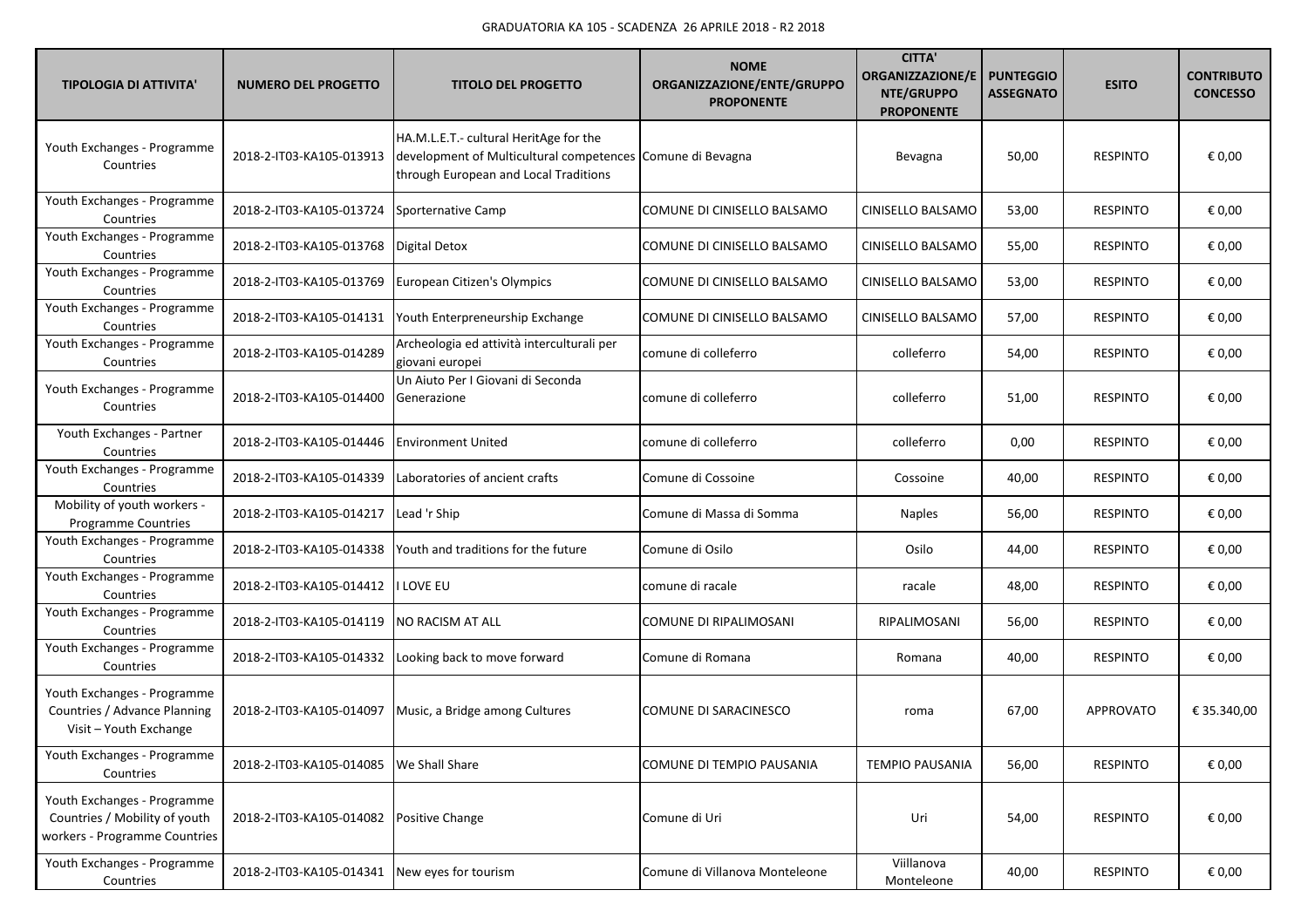| <b>TIPOLOGIA DI ATTIVITA'</b>                                                                 | <b>NUMERO DEL PROGETTO</b>                | <b>TITOLO DEL PROGETTO</b>                                                                                                                    | <b>NOME</b><br>ORGANIZZAZIONE/ENTE/GRUPPO<br><b>PROPONENTE</b> | <b>CITTA'</b><br><b>ORGANIZZAZIONE/E</b><br>NTE/GRUPPO<br><b>PROPONENTE</b> | <b>PUNTEGGIO</b><br><b>ASSEGNATO</b> | <b>ESITO</b>    | <b>CONTRIBUTO</b><br><b>CONCESSO</b> |
|-----------------------------------------------------------------------------------------------|-------------------------------------------|-----------------------------------------------------------------------------------------------------------------------------------------------|----------------------------------------------------------------|-----------------------------------------------------------------------------|--------------------------------------|-----------------|--------------------------------------|
| Youth Exchanges - Programme<br>Countries                                                      | 2018-2-IT03-KA105-013913                  | HA.M.L.E.T.- cultural HeritAge for the<br>development of Multicultural competences Comune di Bevagna<br>through European and Local Traditions |                                                                | Bevagna                                                                     | 50,00                                | <b>RESPINTO</b> | € 0,00                               |
| Youth Exchanges - Programme<br>Countries                                                      | 2018-2-IT03-KA105-013724                  | Sporternative Camp                                                                                                                            | COMUNE DI CINISELLO BALSAMO                                    | CINISELLO BALSAMO                                                           | 53,00                                | <b>RESPINTO</b> | € 0,00                               |
| Youth Exchanges - Programme<br>Countries                                                      | 2018-2-IT03-KA105-013768                  | <b>Digital Detox</b>                                                                                                                          | COMUNE DI CINISELLO BALSAMO                                    | CINISELLO BALSAMO                                                           | 55,00                                | <b>RESPINTO</b> | € 0,00                               |
| Youth Exchanges - Programme<br>Countries                                                      | 2018-2-IT03-KA105-013769                  | European Citizen's Olympics                                                                                                                   | COMUNE DI CINISELLO BALSAMO                                    | CINISELLO BALSAMO                                                           | 53,00                                | <b>RESPINTO</b> | € 0,00                               |
| Youth Exchanges - Programme<br>Countries                                                      | 2018-2-IT03-KA105-014131                  | Youth Enterpreneurship Exchange                                                                                                               | COMUNE DI CINISELLO BALSAMO                                    | CINISELLO BALSAMO                                                           | 57,00                                | <b>RESPINTO</b> | € 0,00                               |
| Youth Exchanges - Programme<br>Countries                                                      | 2018-2-IT03-KA105-014289                  | Archeologia ed attività interculturali per<br>giovani europei                                                                                 | comune di colleferro                                           | colleferro                                                                  | 54,00                                | <b>RESPINTO</b> | € 0,00                               |
| Youth Exchanges - Programme<br>Countries                                                      | 2018-2-IT03-KA105-014400                  | Un Aiuto Per I Giovani di Seconda<br>Generazione                                                                                              | comune di colleferro                                           | colleferro                                                                  | 51,00                                | <b>RESPINTO</b> | € 0,00                               |
| Youth Exchanges - Partner<br>Countries                                                        | 2018-2-IT03-KA105-014446                  | <b>Environment United</b>                                                                                                                     | comune di colleferro                                           | colleferro                                                                  | 0,00                                 | <b>RESPINTO</b> | € 0,00                               |
| Youth Exchanges - Programme<br>Countries                                                      | 2018-2-IT03-KA105-014339                  | Laboratories of ancient crafts                                                                                                                | Comune di Cossoine                                             | Cossoine                                                                    | 40,00                                | <b>RESPINTO</b> | € 0,00                               |
| Mobility of youth workers -<br><b>Programme Countries</b>                                     | 2018-2-IT03-KA105-014217                  | Lead 'r Ship                                                                                                                                  | Comune di Massa di Somma                                       | <b>Naples</b>                                                               | 56,00                                | <b>RESPINTO</b> | € 0,00                               |
| Youth Exchanges - Programme<br>Countries                                                      | 2018-2-IT03-KA105-014338                  | Youth and traditions for the future                                                                                                           | Comune di Osilo                                                | Osilo                                                                       | 44,00                                | <b>RESPINTO</b> | € 0,00                               |
| Youth Exchanges - Programme<br>Countries                                                      | 2018-2-IT03-KA105-014412                  | i Love Eu                                                                                                                                     | comune di racale                                               | racale                                                                      | 48,00                                | <b>RESPINTO</b> | € 0,00                               |
| Youth Exchanges - Programme<br>Countries                                                      | 2018-2-IT03-KA105-014119                  | <b>NO RACISM AT ALL</b>                                                                                                                       | COMUNE DI RIPALIMOSANI                                         | RIPALIMOSANI                                                                | 56,00                                | <b>RESPINTO</b> | € 0,00                               |
| Youth Exchanges - Programme<br>Countries                                                      | 2018-2-IT03-KA105-014332                  | Looking back to move forward                                                                                                                  | Comune di Romana                                               | Romana                                                                      | 40,00                                | <b>RESPINTO</b> | € 0,00                               |
| Youth Exchanges - Programme<br>Countries / Advance Planning<br>Visit - Youth Exchange         | 2018-2-IT03-KA105-014097                  | Music, a Bridge among Cultures                                                                                                                | COMUNE DI SARACINESCO                                          | roma                                                                        | 67,00                                | APPROVATO       | € 35.340,00                          |
| Youth Exchanges - Programme<br>Countries                                                      | 2018-2-IT03-KA105-014085   We Shall Share |                                                                                                                                               | COMUNE DI TEMPIO PAUSANIA                                      | <b>TEMPIO PAUSANIA</b>                                                      | 56,00                                | <b>RESPINTO</b> | € 0,00                               |
| Youth Exchanges - Programme<br>Countries / Mobility of youth<br>workers - Programme Countries | 2018-2-IT03-KA105-014082 Positive Change  |                                                                                                                                               | Comune di Uri                                                  | Uri                                                                         | 54,00                                | <b>RESPINTO</b> | € 0,00                               |
| Youth Exchanges - Programme<br>Countries                                                      | 2018-2-IT03-KA105-014341                  | New eyes for tourism                                                                                                                          | Comune di Villanova Monteleone                                 | Viillanova<br>Monteleone                                                    | 40,00                                | <b>RESPINTO</b> | € 0,00                               |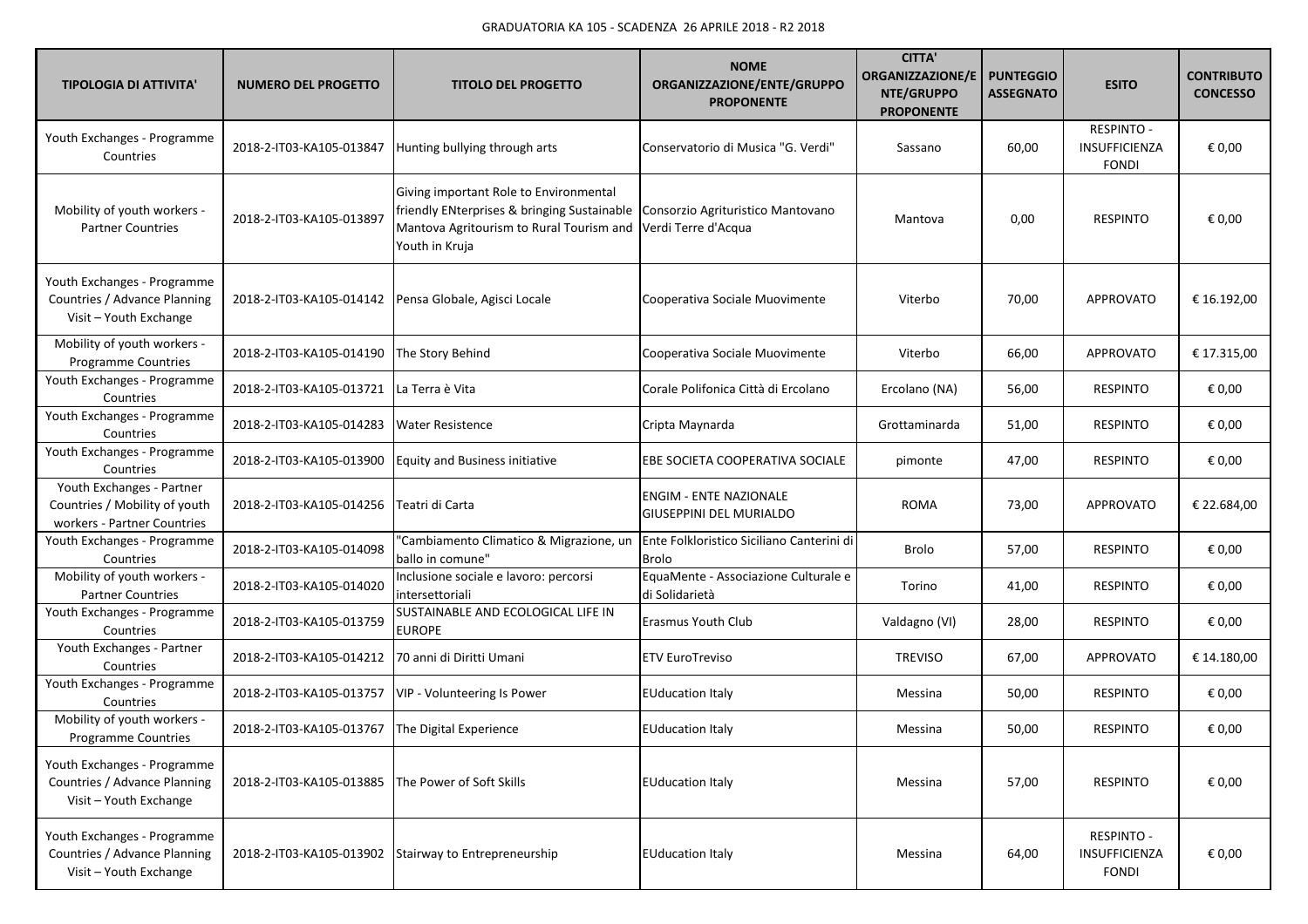| <b>TIPOLOGIA DI ATTIVITA'</b>                                                             | <b>NUMERO DEL PROGETTO</b> | <b>TITOLO DEL PROGETTO</b>                                                                                                                                                                                  | <b>NOME</b><br>ORGANIZZAZIONE/ENTE/GRUPPO<br><b>PROPONENTE</b>  | <b>CITTA'</b><br><b>ORGANIZZAZIONE/E</b><br>NTE/GRUPPO<br><b>PROPONENTE</b> | <b>PUNTEGGIO</b><br><b>ASSEGNATO</b> | <b>ESITO</b>                                       | <b>CONTRIBUTO</b><br><b>CONCESSO</b> |
|-------------------------------------------------------------------------------------------|----------------------------|-------------------------------------------------------------------------------------------------------------------------------------------------------------------------------------------------------------|-----------------------------------------------------------------|-----------------------------------------------------------------------------|--------------------------------------|----------------------------------------------------|--------------------------------------|
| Youth Exchanges - Programme<br>Countries                                                  | 2018-2-IT03-KA105-013847   | Hunting bullying through arts                                                                                                                                                                               | Conservatorio di Musica "G. Verdi"                              | Sassano                                                                     | 60,00                                | <b>RESPINTO -</b><br>INSUFFICIENZA<br><b>FONDI</b> | € 0,00                               |
| Mobility of youth workers -<br><b>Partner Countries</b>                                   | 2018-2-IT03-KA105-013897   | Giving important Role to Environmental<br>friendly ENterprises & bringing Sustainable   Consorzio Agrituristico Mantovano<br>Mantova Agritourism to Rural Tourism and Verdi Terre d'Acqua<br>Youth in Kruja |                                                                 | Mantova                                                                     | 0,00                                 | <b>RESPINTO</b>                                    | € 0,00                               |
| Youth Exchanges - Programme<br>Countries / Advance Planning<br>Visit - Youth Exchange     | 2018-2-IT03-KA105-014142   | Pensa Globale, Agisci Locale                                                                                                                                                                                | Cooperativa Sociale Muovimente                                  | Viterbo                                                                     | 70,00                                | <b>APPROVATO</b>                                   | € 16.192,00                          |
| Mobility of youth workers -<br>Programme Countries                                        | 2018-2-IT03-KA105-014190   | The Story Behind                                                                                                                                                                                            | Cooperativa Sociale Muovimente                                  | Viterbo                                                                     | 66,00                                | <b>APPROVATO</b>                                   | € 17.315,00                          |
| Youth Exchanges - Programme<br>Countries                                                  | 2018-2-IT03-KA105-013721   | La Terra è Vita                                                                                                                                                                                             | Corale Polifonica Città di Ercolano                             | Ercolano (NA)                                                               | 56,00                                | <b>RESPINTO</b>                                    | € 0,00                               |
| Youth Exchanges - Programme<br>Countries                                                  | 2018-2-IT03-KA105-014283   | <b>Water Resistence</b>                                                                                                                                                                                     | Cripta Maynarda                                                 | Grottaminarda                                                               | 51,00                                | <b>RESPINTO</b>                                    | € 0,00                               |
| Youth Exchanges - Programme<br>Countries                                                  | 2018-2-IT03-KA105-013900   | <b>Equity and Business initiative</b>                                                                                                                                                                       | EBE SOCIETA COOPERATIVA SOCIALE                                 | pimonte                                                                     | 47,00                                | <b>RESPINTO</b>                                    | € 0,00                               |
| Youth Exchanges - Partner<br>Countries / Mobility of youth<br>workers - Partner Countries | 2018-2-IT03-KA105-014256   | Teatri di Carta                                                                                                                                                                                             | <b>ENGIM - ENTE NAZIONALE</b><br><b>GIUSEPPINI DEL MURIALDO</b> | <b>ROMA</b>                                                                 | 73,00                                | APPROVATO                                          | € 22.684,00                          |
| Youth Exchanges - Programme<br>Countries                                                  | 2018-2-IT03-KA105-014098   | "Cambiamento Climatico & Migrazione, un<br>ballo in comune"                                                                                                                                                 | Ente Folkloristico Siciliano Canterini di<br><b>Brolo</b>       | Brolo                                                                       | 57,00                                | <b>RESPINTO</b>                                    | € 0,00                               |
| Mobility of youth workers -<br><b>Partner Countries</b>                                   | 2018-2-IT03-KA105-014020   | Inclusione sociale e lavoro: percorsi<br>intersettoriali                                                                                                                                                    | EquaMente - Associazione Culturale e<br>di Solidarietà          | Torino                                                                      | 41,00                                | <b>RESPINTO</b>                                    | € 0,00                               |
| Youth Exchanges - Programme<br>Countries                                                  | 2018-2-IT03-KA105-013759   | SUSTAINABLE AND ECOLOGICAL LIFE IN<br><b>EUROPE</b>                                                                                                                                                         | Erasmus Youth Club                                              | Valdagno (VI)                                                               | 28,00                                | <b>RESPINTO</b>                                    | € 0,00                               |
| Youth Exchanges - Partner<br>Countries                                                    | 2018-2-IT03-KA105-014212   | 70 anni di Diritti Umani                                                                                                                                                                                    | <b>ETV EuroTreviso</b>                                          | <b>TREVISO</b>                                                              | 67,00                                | <b>APPROVATO</b>                                   | € 14.180,00                          |
| Youth Exchanges - Programme<br>Countries                                                  | 2018-2-IT03-KA105-013757   | VIP - Volunteering Is Power                                                                                                                                                                                 | <b>EUducation Italy</b>                                         | Messina                                                                     | 50,00                                | <b>RESPINTO</b>                                    | € 0,00                               |
| Mobility of youth workers -<br><b>Programme Countries</b>                                 | 2018-2-IT03-KA105-013767   | The Digital Experience                                                                                                                                                                                      | <b>EUducation Italy</b>                                         | Messina                                                                     | 50,00                                | <b>RESPINTO</b>                                    | € 0,00                               |
| Youth Exchanges - Programme<br>Countries / Advance Planning<br>Visit - Youth Exchange     | 2018-2-IT03-KA105-013885   | The Power of Soft Skills                                                                                                                                                                                    | <b>EUducation Italy</b>                                         | Messina                                                                     | 57,00                                | <b>RESPINTO</b>                                    | € 0,00                               |
| Youth Exchanges - Programme<br>Countries / Advance Planning<br>Visit - Youth Exchange     | 2018-2-IT03-KA105-013902   | Stairway to Entrepreneurship                                                                                                                                                                                | <b>EUducation Italy</b>                                         | Messina                                                                     | 64,00                                | <b>RESPINTO -</b><br>INSUFFICIENZA<br><b>FONDI</b> | € 0,00                               |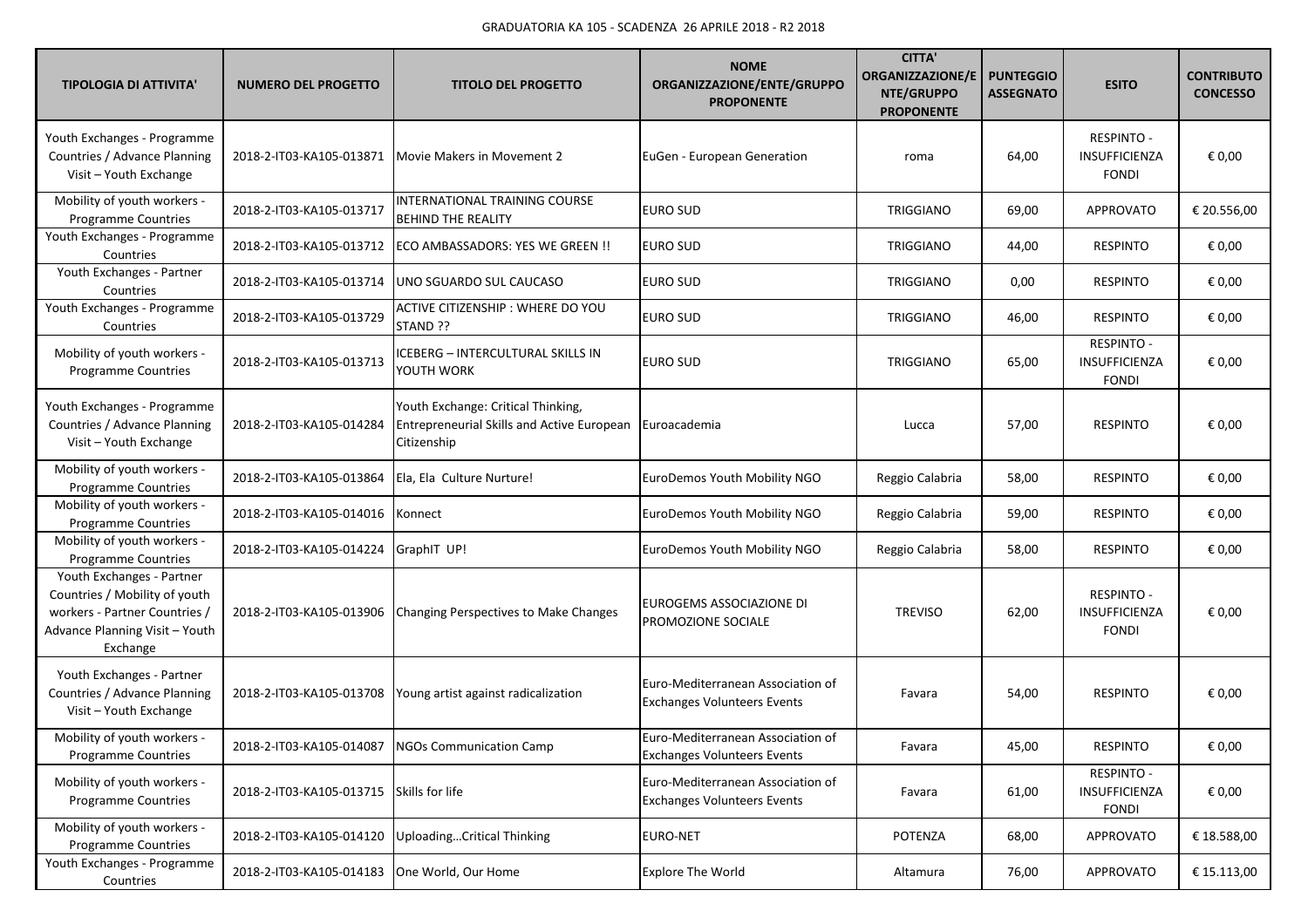| <b>TIPOLOGIA DI ATTIVITA'</b>                                                                                                             | <b>NUMERO DEL PROGETTO</b> | <b>TITOLO DEL PROGETTO</b>                                                                             | <b>NOME</b><br>ORGANIZZAZIONE/ENTE/GRUPPO<br><b>PROPONENTE</b>          | <b>CITTA'</b><br>ORGANIZZAZIONE/E<br>NTE/GRUPPO<br><b>PROPONENTE</b> | <b>PUNTEGGIO</b><br><b>ASSEGNATO</b> | <b>ESITO</b>                                              | <b>CONTRIBUTO</b><br><b>CONCESSO</b> |
|-------------------------------------------------------------------------------------------------------------------------------------------|----------------------------|--------------------------------------------------------------------------------------------------------|-------------------------------------------------------------------------|----------------------------------------------------------------------|--------------------------------------|-----------------------------------------------------------|--------------------------------------|
| Youth Exchanges - Programme<br>Countries / Advance Planning<br>Visit - Youth Exchange                                                     | 2018-2-IT03-KA105-013871   | Movie Makers in Movement 2                                                                             | EuGen - European Generation                                             | roma                                                                 | 64,00                                | <b>RESPINTO -</b><br><b>INSUFFICIENZA</b><br><b>FONDI</b> | € 0,00                               |
| Mobility of youth workers -<br>Programme Countries                                                                                        | 2018-2-IT03-KA105-013717   | INTERNATIONAL TRAINING COURSE<br><b>BEHIND THE REALITY</b>                                             | EURO SUD                                                                | <b>TRIGGIANO</b>                                                     | 69,00                                | <b>APPROVATO</b>                                          | € 20.556,00                          |
| Youth Exchanges - Programme<br>Countries                                                                                                  | 2018-2-IT03-KA105-013712   | ECO AMBASSADORS: YES WE GREEN !!                                                                       | <b>EURO SUD</b>                                                         | TRIGGIANO                                                            | 44,00                                | <b>RESPINTO</b>                                           | € 0,00                               |
| Youth Exchanges - Partner<br>Countries                                                                                                    | 2018-2-IT03-KA105-013714   | UNO SGUARDO SUL CAUCASO                                                                                | <b>EURO SUD</b>                                                         | <b>TRIGGIANO</b>                                                     | 0,00                                 | <b>RESPINTO</b>                                           | € 0,00                               |
| Youth Exchanges - Programme<br>Countries                                                                                                  | 2018-2-IT03-KA105-013729   | ACTIVE CITIZENSHIP : WHERE DO YOU<br>STAND ??                                                          | <b>EURO SUD</b>                                                         | <b>TRIGGIANO</b>                                                     | 46,00                                | <b>RESPINTO</b>                                           | € 0,00                               |
| Mobility of youth workers -<br>Programme Countries                                                                                        | 2018-2-IT03-KA105-013713   | ICEBERG - INTERCULTURAL SKILLS IN<br>YOUTH WORK                                                        | <b>EURO SUD</b>                                                         | <b>TRIGGIANO</b>                                                     | 65,00                                | <b>RESPINTO -</b><br>INSUFFICIENZA<br><b>FONDI</b>        | € 0,00                               |
| Youth Exchanges - Programme<br>Countries / Advance Planning<br>Visit - Youth Exchange                                                     | 2018-2-IT03-KA105-014284   | Youth Exchange: Critical Thinking,<br><b>Entrepreneurial Skills and Active European</b><br>Citizenship | Euroacademia                                                            | Lucca                                                                | 57,00                                | <b>RESPINTO</b>                                           | € 0,00                               |
| Mobility of youth workers -<br>Programme Countries                                                                                        | 2018-2-IT03-KA105-013864   | Ela, Ela Culture Nurture!                                                                              | EuroDemos Youth Mobility NGO                                            | Reggio Calabria                                                      | 58,00                                | <b>RESPINTO</b>                                           | € 0,00                               |
| Mobility of youth workers -<br>Programme Countries                                                                                        | 2018-2-IT03-KA105-014016   | Konnect                                                                                                | EuroDemos Youth Mobility NGO                                            | Reggio Calabria                                                      | 59,00                                | <b>RESPINTO</b>                                           | € 0,00                               |
| Mobility of youth workers -<br>Programme Countries                                                                                        | 2018-2-IT03-KA105-014224   | GraphIT UP!                                                                                            | EuroDemos Youth Mobility NGO                                            | Reggio Calabria                                                      | 58,00                                | <b>RESPINTO</b>                                           | € 0,00                               |
| Youth Exchanges - Partner<br>Countries / Mobility of youth<br>workers - Partner Countries /<br>Advance Planning Visit - Youth<br>Exchange | 2018-2-IT03-KA105-013906   | Changing Perspectives to Make Changes                                                                  | EUROGEMS ASSOCIAZIONE DI<br>PROMOZIONE SOCIALE                          | <b>TREVISO</b>                                                       | 62,00                                | <b>RESPINTO -</b><br><b>INSUFFICIENZA</b><br><b>FONDI</b> | € 0,00                               |
| Youth Exchanges - Partner<br>Countries / Advance Planning<br>Visit - Youth Exchange                                                       | 2018-2-IT03-KA105-013708   | Young artist against radicalization                                                                    | Euro-Mediterranean Association of<br><b>Exchanges Volunteers Events</b> | Favara                                                               | 54,00                                | <b>RESPINTO</b>                                           | € 0,00                               |
| Mobility of youth workers -<br>Programme Countries                                                                                        |                            | 2018-2-IT03-KA105-014087 NGOs Communication Camp                                                       | Euro-Mediterranean Association of<br><b>Exchanges Volunteers Events</b> | Favara                                                               | 45,00                                | RESPINTO                                                  | $\epsilon$ 0,00                      |
| Mobility of youth workers -<br><b>Programme Countries</b>                                                                                 | 2018-2-IT03-KA105-013715   | Skills for life                                                                                        | Euro-Mediterranean Association of<br><b>Exchanges Volunteers Events</b> | Favara                                                               | 61,00                                | <b>RESPINTO -</b><br>INSUFFICIENZA<br><b>FONDI</b>        | € 0,00                               |
| Mobility of youth workers -<br><b>Programme Countries</b>                                                                                 | 2018-2-IT03-KA105-014120   | UploadingCritical Thinking                                                                             | <b>EURO-NET</b>                                                         | POTENZA                                                              | 68,00                                | APPROVATO                                                 | € 18.588,00                          |
| Youth Exchanges - Programme<br>Countries                                                                                                  | 2018-2-IT03-KA105-014183   | One World, Our Home                                                                                    | <b>Explore The World</b>                                                | Altamura                                                             | 76,00                                | APPROVATO                                                 | € 15.113,00                          |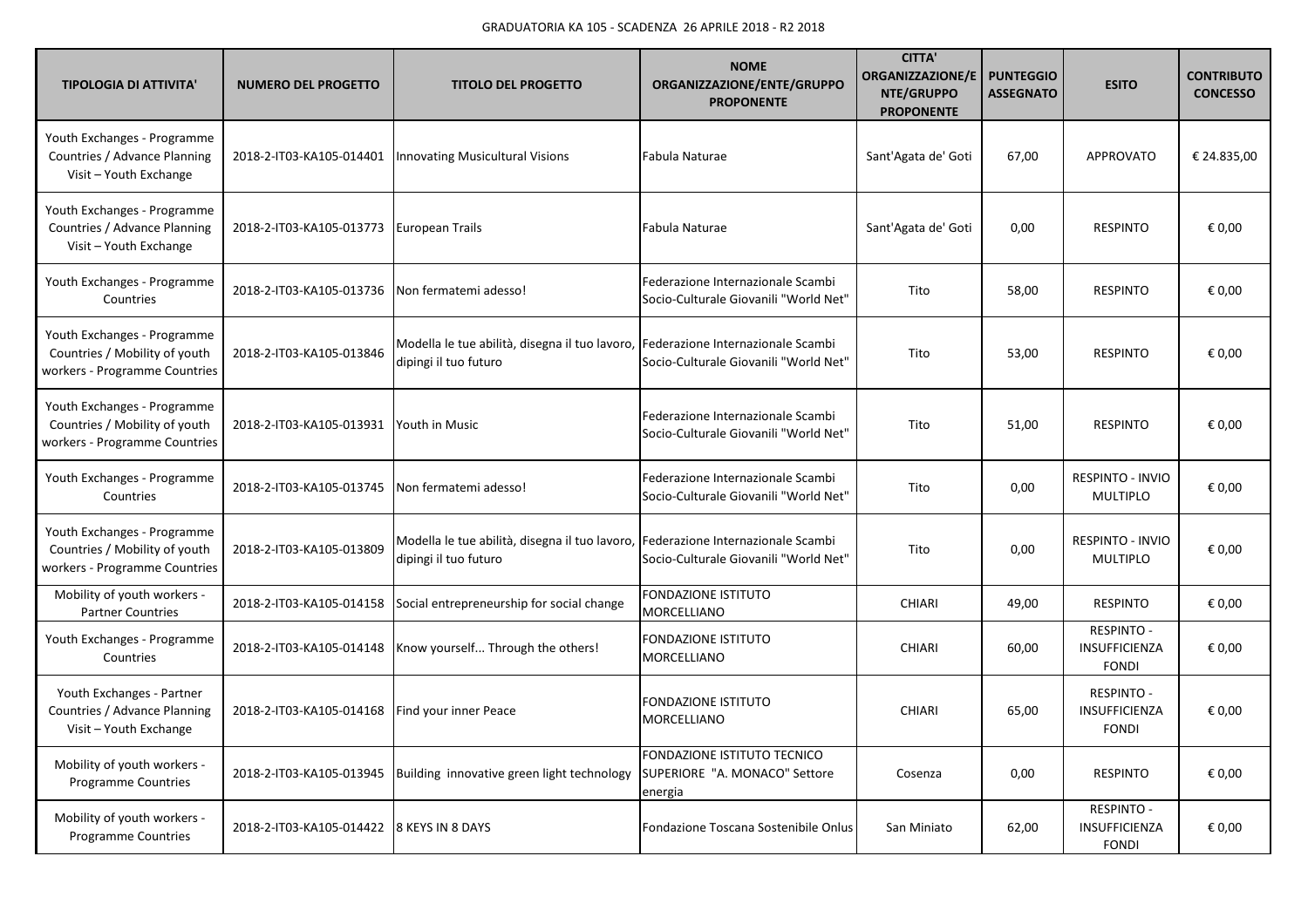| <b>TIPOLOGIA DI ATTIVITA'</b>                                                                 | <b>NUMERO DEL PROGETTO</b> | <b>TITOLO DEL PROGETTO</b>                                                                                | <b>NOME</b><br>ORGANIZZAZIONE/ENTE/GRUPPO<br><b>PROPONENTE</b>             | <b>CITTA'</b><br><b>ORGANIZZAZIONE/E</b><br>NTE/GRUPPO<br><b>PROPONENTE</b> | <b>PUNTEGGIO</b><br><b>ASSEGNATO</b> | <b>ESITO</b>                                       | <b>CONTRIBUTO</b><br><b>CONCESSO</b> |
|-----------------------------------------------------------------------------------------------|----------------------------|-----------------------------------------------------------------------------------------------------------|----------------------------------------------------------------------------|-----------------------------------------------------------------------------|--------------------------------------|----------------------------------------------------|--------------------------------------|
| Youth Exchanges - Programme<br>Countries / Advance Planning<br>Visit - Youth Exchange         | 2018-2-IT03-KA105-014401   | <b>Innovating Musicultural Visions</b>                                                                    | Fabula Naturae                                                             | Sant'Agata de' Goti                                                         | 67,00                                | APPROVATO                                          | € 24.835,00                          |
| Youth Exchanges - Programme<br>Countries / Advance Planning<br>Visit - Youth Exchange         | 2018-2-IT03-KA105-013773   | European Trails                                                                                           | Fabula Naturae                                                             | Sant'Agata de' Goti                                                         | 0,00                                 | <b>RESPINTO</b>                                    | € 0,00                               |
| Youth Exchanges - Programme<br>Countries                                                      | 2018-2-IT03-KA105-013736   | Non fermatemi adesso!                                                                                     | Federazione Internazionale Scambi<br>Socio-Culturale Giovanili "World Net" | Tito                                                                        | 58,00                                | <b>RESPINTO</b>                                    | € 0,00                               |
| Youth Exchanges - Programme<br>Countries / Mobility of youth<br>workers - Programme Countries | 2018-2-IT03-KA105-013846   | Modella le tue abilità, disegna il tuo lavoro, Federazione Internazionale Scambi<br>dipingi il tuo futuro | Socio-Culturale Giovanili "World Net"                                      | Tito                                                                        | 53,00                                | <b>RESPINTO</b>                                    | € 0,00                               |
| Youth Exchanges - Programme<br>Countries / Mobility of youth<br>workers - Programme Countries | 2018-2-IT03-KA105-013931   | Youth in Music                                                                                            | Federazione Internazionale Scambi<br>Socio-Culturale Giovanili "World Net" | Tito                                                                        | 51,00                                | <b>RESPINTO</b>                                    | € 0,00                               |
| Youth Exchanges - Programme<br>Countries                                                      | 2018-2-IT03-KA105-013745   | Non fermatemi adesso!                                                                                     | Federazione Internazionale Scambi<br>Socio-Culturale Giovanili "World Net" | Tito                                                                        | 0,00                                 | <b>RESPINTO - INVIO</b><br><b>MULTIPLO</b>         | € 0,00                               |
| Youth Exchanges - Programme<br>Countries / Mobility of youth<br>workers - Programme Countries | 2018-2-IT03-KA105-013809   | Modella le tue abilità, disegna il tuo lavoro, Federazione Internazionale Scambi<br>dipingi il tuo futuro | Socio-Culturale Giovanili "World Net"                                      | Tito                                                                        | 0,00                                 | <b>RESPINTO - INVIO</b><br><b>MULTIPLO</b>         | € 0,00                               |
| Mobility of youth workers -<br><b>Partner Countries</b>                                       | 2018-2-IT03-KA105-014158   | Social entrepreneurship for social change                                                                 | <b>FONDAZIONE ISTITUTO</b><br>MORCELLIANO                                  | CHIARI                                                                      | 49,00                                | <b>RESPINTO</b>                                    | € 0,00                               |
| Youth Exchanges - Programme<br>Countries                                                      | 2018-2-IT03-KA105-014148   | Know yourself Through the others!                                                                         | <b>FONDAZIONE ISTITUTO</b><br><b>MORCELLIANO</b>                           | <b>CHIARI</b>                                                               | 60,00                                | <b>RESPINTO -</b><br>INSUFFICIENZA<br><b>FONDI</b> | € 0,00                               |
| Youth Exchanges - Partner<br>Countries / Advance Planning<br>Visit - Youth Exchange           | 2018-2-IT03-KA105-014168   | Find your inner Peace                                                                                     | <b>FONDAZIONE ISTITUTO</b><br><b>MORCELLIANO</b>                           | <b>CHIARI</b>                                                               | 65,00                                | <b>RESPINTO -</b><br>INSUFFICIENZA<br><b>FONDI</b> | € 0,00                               |
| Mobility of youth workers -<br><b>Programme Countries</b>                                     | 2018-2-IT03-KA105-013945   | Building innovative green light technology                                                                | FONDAZIONE ISTITUTO TECNICO<br>SUPERIORE "A. MONACO" Settore<br>energia    | Cosenza                                                                     | 0,00                                 | <b>RESPINTO</b>                                    | € 0,00                               |
| Mobility of youth workers -<br><b>Programme Countries</b>                                     | 2018-2-IT03-KA105-014422   | 8 KEYS IN 8 DAYS                                                                                          | Fondazione Toscana Sostenibile Onlus                                       | San Miniato                                                                 | 62,00                                | <b>RESPINTO -</b><br>INSUFFICIENZA<br><b>FONDI</b> | € 0,00                               |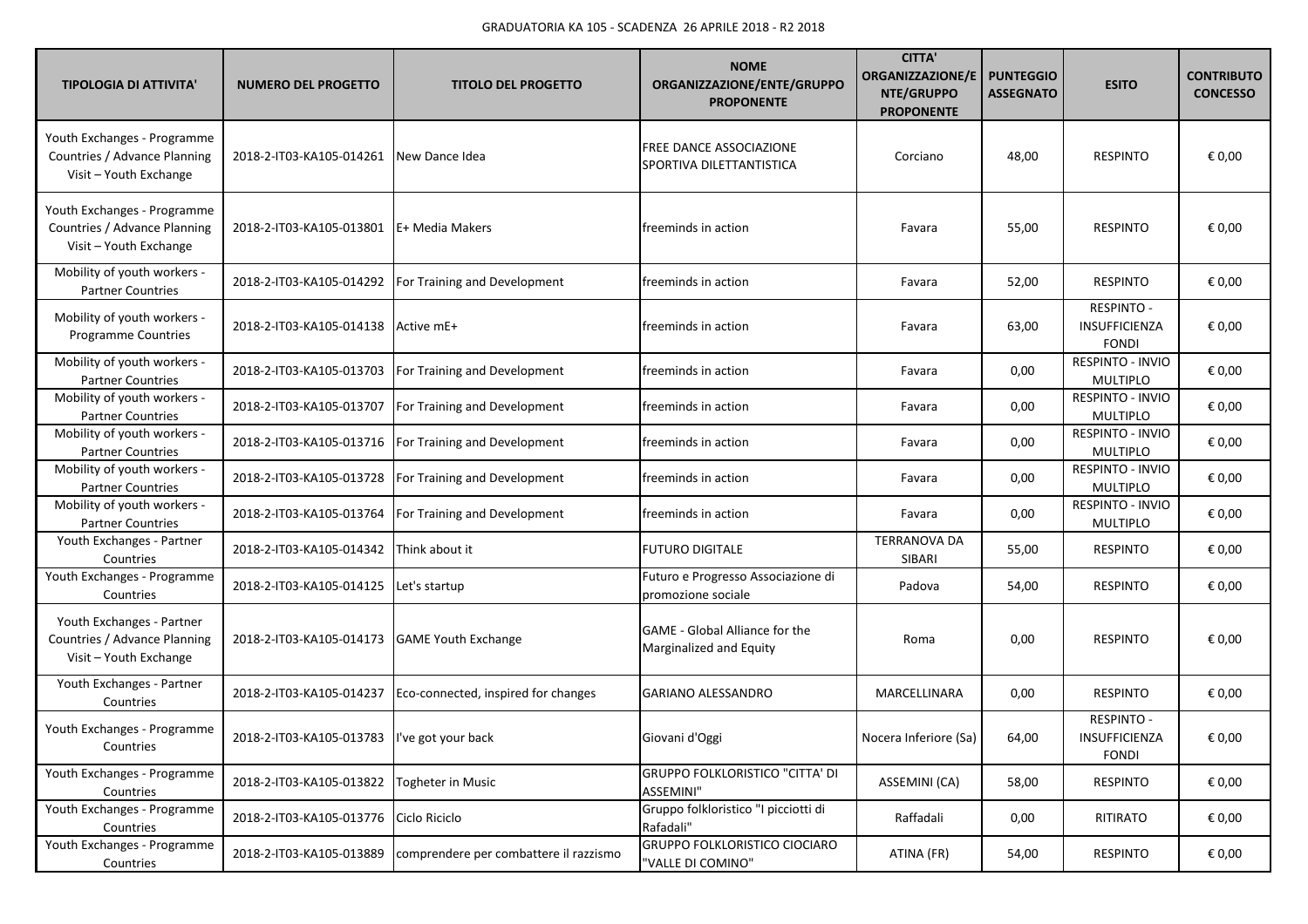| <b>TIPOLOGIA DI ATTIVITA'</b>                                                         | <b>NUMERO DEL PROGETTO</b>                   | <b>TITOLO DEL PROGETTO</b>             | <b>NOME</b><br>ORGANIZZAZIONE/ENTE/GRUPPO<br><b>PROPONENTE</b>   | <b>CITTA'</b><br><b>ORGANIZZAZIONE/E</b><br>NTE/GRUPPO<br><b>PROPONENTE</b> | <b>PUNTEGGIO</b><br><b>ASSEGNATO</b> | <b>ESITO</b>                                       | <b>CONTRIBUTO</b><br><b>CONCESSO</b> |
|---------------------------------------------------------------------------------------|----------------------------------------------|----------------------------------------|------------------------------------------------------------------|-----------------------------------------------------------------------------|--------------------------------------|----------------------------------------------------|--------------------------------------|
| Youth Exchanges - Programme<br>Countries / Advance Planning<br>Visit - Youth Exchange | 2018-2-IT03-KA105-014261                     | New Dance Idea                         | <b>FREE DANCE ASSOCIAZIONE</b><br>SPORTIVA DILETTANTISTICA       | Corciano                                                                    | 48,00                                | <b>RESPINTO</b>                                    | € 0,00                               |
| Youth Exchanges - Programme<br>Countries / Advance Planning<br>Visit - Youth Exchange | 2018-2-IT03-KA105-013801                     | E+ Media Makers                        | freeminds in action                                              | Favara                                                                      | 55,00                                | <b>RESPINTO</b>                                    | € 0,00                               |
| Mobility of youth workers -<br><b>Partner Countries</b>                               | 2018-2-IT03-KA105-014292                     | For Training and Development           | freeminds in action                                              | Favara                                                                      | 52,00                                | <b>RESPINTO</b>                                    | € 0,00                               |
| Mobility of youth workers -<br><b>Programme Countries</b>                             | 2018-2-IT03-KA105-014138                     | Active mE+                             | freeminds in action                                              | Favara                                                                      | 63,00                                | <b>RESPINTO -</b><br>INSUFFICIENZA<br><b>FONDI</b> | € 0,00                               |
| Mobility of youth workers -<br><b>Partner Countries</b>                               | 2018-2-IT03-KA105-013703                     | For Training and Development           | freeminds in action                                              | Favara                                                                      | 0,00                                 | <b>RESPINTO - INVIO</b><br><b>MULTIPLO</b>         | € 0,00                               |
| Mobility of youth workers -<br><b>Partner Countries</b>                               | 2018-2-IT03-KA105-013707                     | For Training and Development           | freeminds in action                                              | Favara                                                                      | 0,00                                 | RESPINTO - INVIO<br><b>MULTIPLO</b>                | € 0,00                               |
| Mobility of youth workers -<br><b>Partner Countries</b>                               | 2018-2-IT03-KA105-013716                     | For Training and Development           | freeminds in action                                              | Favara                                                                      | 0,00                                 | RESPINTO - INVIO<br><b>MULTIPLO</b>                | € 0,00                               |
| Mobility of youth workers -<br><b>Partner Countries</b>                               | 2018-2-IT03-KA105-013728                     | For Training and Development           | freeminds in action                                              | Favara                                                                      | 0,00                                 | RESPINTO - INVIO<br><b>MULTIPLO</b>                | € 0,00                               |
| Mobility of youth workers -<br><b>Partner Countries</b>                               | 2018-2-IT03-KA105-013764                     | For Training and Development           | freeminds in action                                              | Favara                                                                      | 0,00                                 | RESPINTO - INVIO<br><b>MULTIPLO</b>                | € 0,00                               |
| Youth Exchanges - Partner<br>Countries                                                | 2018-2-IT03-KA105-014342                     | Think about it                         | <b>FUTURO DIGITALE</b>                                           | <b>TERRANOVA DA</b><br>SIBARI                                               | 55,00                                | <b>RESPINTO</b>                                    | € 0,00                               |
| Youth Exchanges - Programme<br>Countries                                              | 2018-2-IT03-KA105-014125                     | Let's startup                          | Futuro e Progresso Associazione di<br>promozione sociale         | Padova                                                                      | 54,00                                | <b>RESPINTO</b>                                    | € 0,00                               |
| Youth Exchanges - Partner<br>Countries / Advance Planning<br>Visit - Youth Exchange   | 2018-2-IT03-KA105-014173                     | <b>GAME Youth Exchange</b>             | <b>GAME</b> - Global Alliance for the<br>Marginalized and Equity | Roma                                                                        | 0,00                                 | <b>RESPINTO</b>                                    | € 0,00                               |
| Youth Exchanges - Partner<br>Countries                                                | 2018-2-IT03-KA105-014237                     | Eco-connected, inspired for changes    | GARIANO ALESSANDRO                                               | MARCELLINARA                                                                | 0,00                                 | <b>RESPINTO</b>                                    | € 0,00                               |
| Youth Exchanges - Programme<br>Countries                                              | 2018-2-IT03-KA105-013783  I've got your back |                                        | Giovani d'Oggi                                                   | Nocera Inferiore (Sa)                                                       | 64,00                                | <b>RESPINTO -</b><br>INSUFFICIENZA<br><b>FONDI</b> | € 0,00                               |
| Youth Exchanges - Programme<br>Countries                                              | 2018-2-IT03-KA105-013822                     | <b>Togheter in Music</b>               | <b>GRUPPO FOLKLORISTICO "CITTA' DI</b><br><b>ASSEMINI"</b>       | ASSEMINI (CA)                                                               | 58,00                                | <b>RESPINTO</b>                                    | € 0,00                               |
| Youth Exchanges - Programme<br>Countries                                              | 2018-2-IT03-KA105-013776                     | Ciclo Riciclo                          | Gruppo folkloristico "I picciotti di<br>Rafadali"                | Raffadali                                                                   | 0,00                                 | RITIRATO                                           | € 0,00                               |
| Youth Exchanges - Programme<br>Countries                                              | 2018-2-IT03-KA105-013889                     | comprendere per combattere il razzismo | GRUPPO FOLKLORISTICO CIOCIARO<br>"VALLE DI COMINO"               | ATINA (FR)                                                                  | 54,00                                | <b>RESPINTO</b>                                    | € 0,00                               |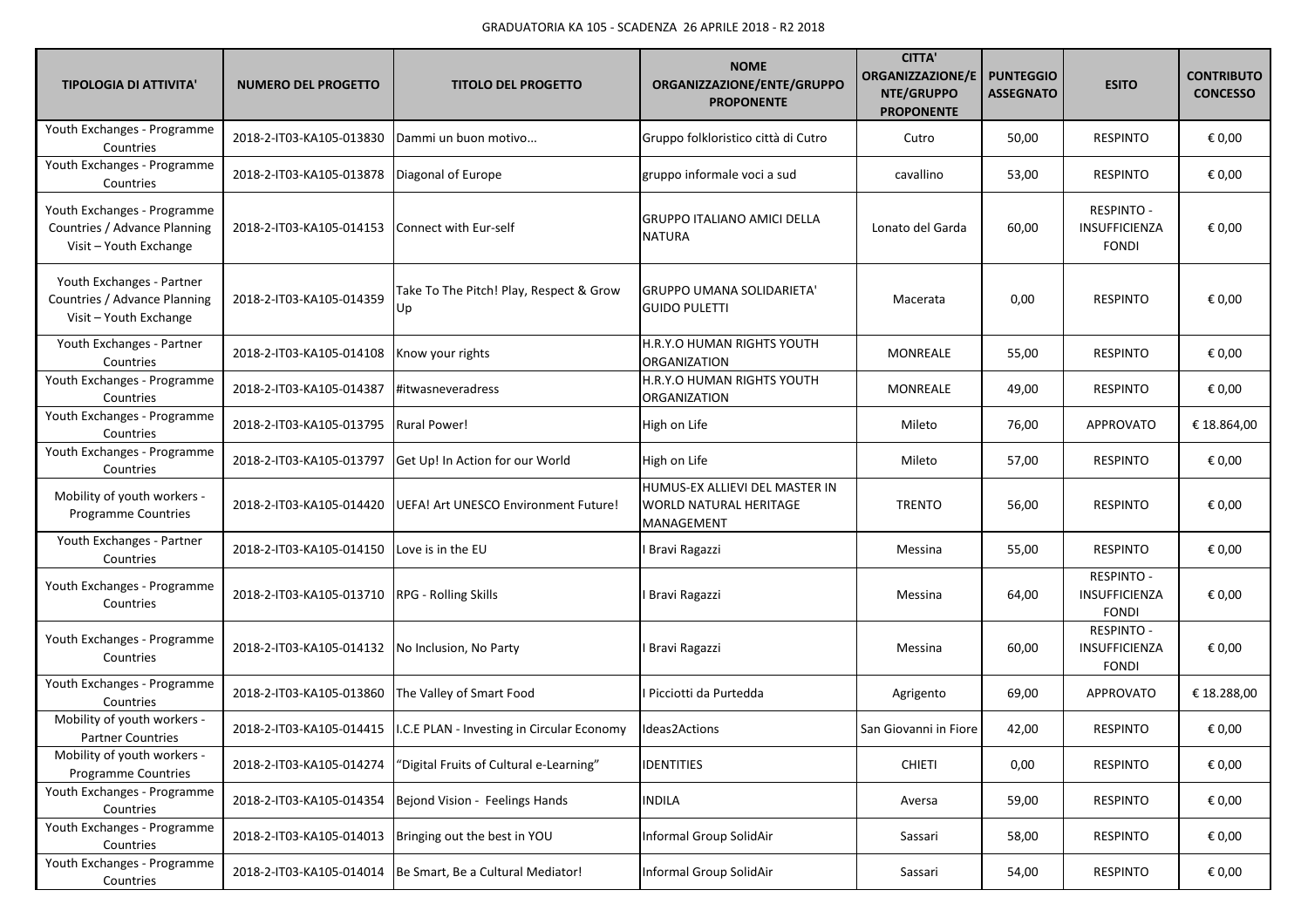| <b>TIPOLOGIA DI ATTIVITA'</b>                                                         | <b>NUMERO DEL PROGETTO</b> | <b>TITOLO DEL PROGETTO</b>                                            | <b>NOME</b><br>ORGANIZZAZIONE/ENTE/GRUPPO<br><b>PROPONENTE</b>                | <b>CITTA'</b><br><b>ORGANIZZAZIONE/E</b><br>NTE/GRUPPO<br><b>PROPONENTE</b> | <b>PUNTEGGIO</b><br><b>ASSEGNATO</b> | <b>ESITO</b>                                       | <b>CONTRIBUTO</b><br><b>CONCESSO</b> |
|---------------------------------------------------------------------------------------|----------------------------|-----------------------------------------------------------------------|-------------------------------------------------------------------------------|-----------------------------------------------------------------------------|--------------------------------------|----------------------------------------------------|--------------------------------------|
| Youth Exchanges - Programme<br>Countries                                              | 2018-2-IT03-KA105-013830   | Dammi un buon motivo                                                  | Gruppo folkloristico città di Cutro                                           | Cutro                                                                       | 50,00                                | <b>RESPINTO</b>                                    | € 0,00                               |
| Youth Exchanges - Programme<br>Countries                                              | 2018-2-IT03-KA105-013878   | Diagonal of Europe                                                    | gruppo informale voci a sud                                                   | cavallino                                                                   | 53,00                                | <b>RESPINTO</b>                                    | € 0,00                               |
| Youth Exchanges - Programme<br>Countries / Advance Planning<br>Visit - Youth Exchange | 2018-2-IT03-KA105-014153   | Connect with Eur-self                                                 | <b>GRUPPO ITALIANO AMICI DELLA</b><br><b>NATURA</b>                           | Lonato del Garda                                                            | 60,00                                | <b>RESPINTO -</b><br>INSUFFICIENZA<br><b>FONDI</b> | € 0,00                               |
| Youth Exchanges - Partner<br>Countries / Advance Planning<br>Visit - Youth Exchange   | 2018-2-IT03-KA105-014359   | Take To The Pitch! Play, Respect & Grow<br>Up                         | <b>GRUPPO UMANA SOLIDARIETA'</b><br><b>GUIDO PULETTI</b>                      | Macerata                                                                    | 0,00                                 | <b>RESPINTO</b>                                    | € 0,00                               |
| Youth Exchanges - Partner<br>Countries                                                | 2018-2-IT03-KA105-014108   | Know your rights                                                      | H.R.Y.O HUMAN RIGHTS YOUTH<br><b>ORGANIZATION</b>                             | <b>MONREALE</b>                                                             | 55,00                                | <b>RESPINTO</b>                                    | € 0,00                               |
| Youth Exchanges - Programme<br>Countries                                              | 2018-2-IT03-KA105-014387   | #itwasneveradress                                                     | H.R.Y.O HUMAN RIGHTS YOUTH<br><b>ORGANIZATION</b>                             | MONREALE                                                                    | 49,00                                | <b>RESPINTO</b>                                    | € 0,00                               |
| Youth Exchanges - Programme<br>Countries                                              | 2018-2-IT03-KA105-013795   | <b>Rural Power!</b>                                                   | High on Life                                                                  | Mileto                                                                      | 76,00                                | <b>APPROVATO</b>                                   | € 18.864,00                          |
| Youth Exchanges - Programme<br>Countries                                              | 2018-2-IT03-KA105-013797   | Get Up! In Action for our World                                       | High on Life                                                                  | Mileto                                                                      | 57,00                                | <b>RESPINTO</b>                                    | € 0,00                               |
| Mobility of youth workers -<br>Programme Countries                                    | 2018-2-IT03-KA105-014420   | UEFA! Art UNESCO Environment Future!                                  | HUMUS-EX ALLIEVI DEL MASTER IN<br><b>WORLD NATURAL HERITAGE</b><br>MANAGEMENT | <b>TRENTO</b>                                                               | 56,00                                | <b>RESPINTO</b>                                    | € 0,00                               |
| Youth Exchanges - Partner<br>Countries                                                | 2018-2-IT03-KA105-014150   | Love is in the EU                                                     | <b>Bravi Ragazzi</b>                                                          | Messina                                                                     | 55,00                                | <b>RESPINTO</b>                                    | € 0,00                               |
| Youth Exchanges - Programme<br>Countries                                              | 2018-2-IT03-KA105-013710   | <b>RPG - Rolling Skills</b>                                           | I Bravi Ragazzi                                                               | Messina                                                                     | 64,00                                | <b>RESPINTO -</b><br>INSUFFICIENZA<br><b>FONDI</b> | € 0,00                               |
| Youth Exchanges - Programme<br>Countries                                              | 2018-2-IT03-KA105-014132   | No Inclusion, No Party                                                | I Bravi Ragazzi                                                               | Messina                                                                     | 60,00                                | <b>RESPINTO -</b><br>INSUFFICIENZA<br><b>FONDI</b> | € 0,00                               |
| Youth Exchanges - Programme<br>Countries                                              | 2018-2-IT03-KA105-013860   | The Valley of Smart Food                                              | I Picciotti da Purtedda                                                       | Agrigento                                                                   | 69,00                                | <b>APPROVATO</b>                                   | € 18.288,00                          |
| Mobility of youth workers -<br><b>Partner Countries</b>                               |                            | 2018-2-IT03-KA105-014415   I.C.E PLAN - Investing in Circular Economy | Ideas2Actions                                                                 | San Giovanni in Fiore                                                       | 42,00                                | <b>RESPINTO</b>                                    | € 0,00                               |
| Mobility of youth workers -<br>Programme Countries                                    | 2018-2-IT03-KA105-014274   | "Digital Fruits of Cultural e-Learning"                               | <b>IDENTITIES</b>                                                             | <b>CHIETI</b>                                                               | 0,00                                 | <b>RESPINTO</b>                                    | € 0,00                               |
| Youth Exchanges - Programme<br>Countries                                              | 2018-2-IT03-KA105-014354   | Bejond Vision - Feelings Hands                                        | <b>INDILA</b>                                                                 | Aversa                                                                      | 59,00                                | <b>RESPINTO</b>                                    | € 0,00                               |
| Youth Exchanges - Programme<br>Countries                                              | 2018-2-IT03-KA105-014013   | Bringing out the best in YOU                                          | Informal Group SolidAir                                                       | Sassari                                                                     | 58,00                                | <b>RESPINTO</b>                                    | € 0,00                               |
| Youth Exchanges - Programme<br>Countries                                              |                            | 2018-2-IT03-KA105-014014 Be Smart, Be a Cultural Mediator!            | Informal Group SolidAir                                                       | Sassari                                                                     | 54,00                                | <b>RESPINTO</b>                                    | € 0,00                               |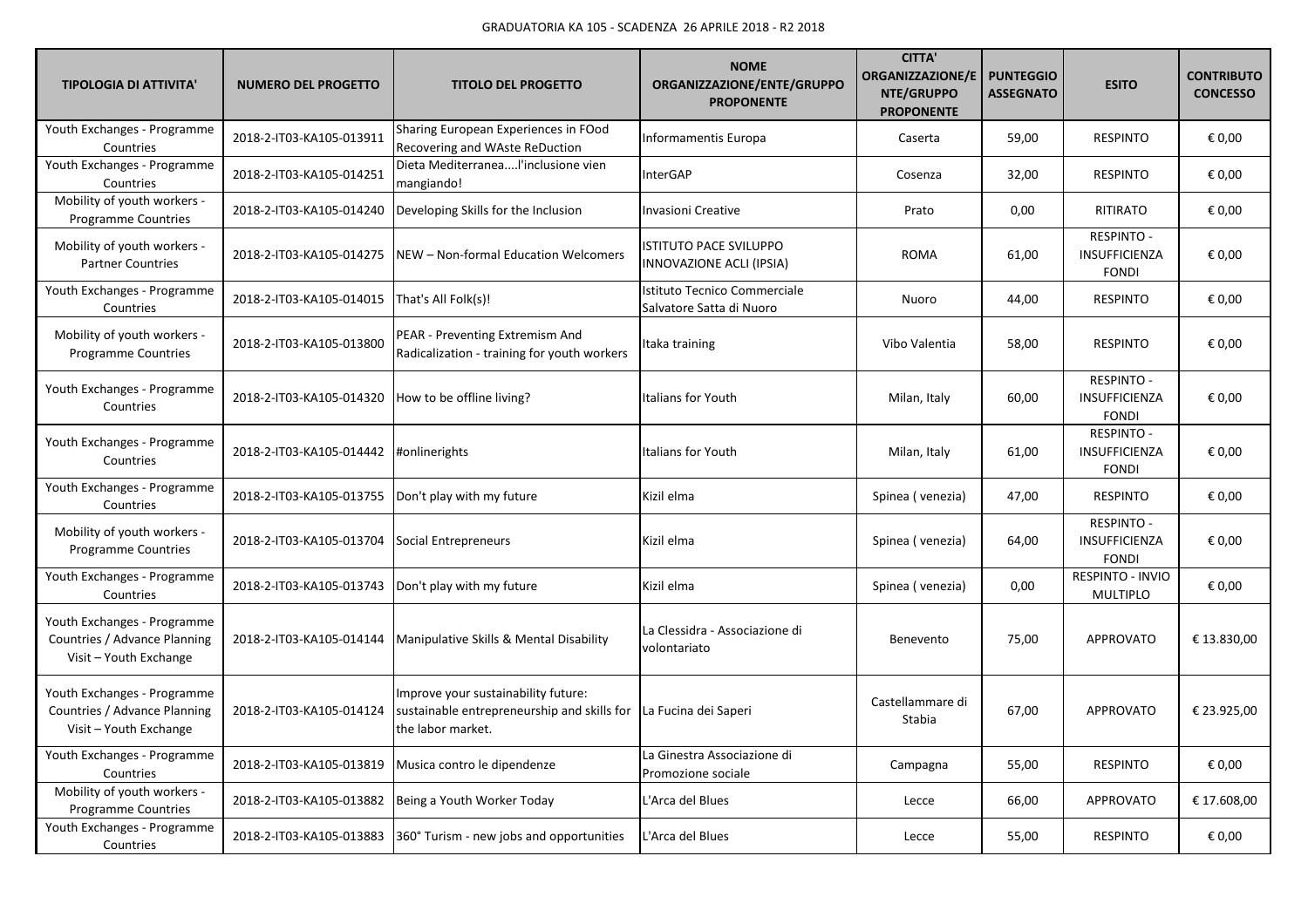| <b>TIPOLOGIA DI ATTIVITA'</b>                                                         | <b>NUMERO DEL PROGETTO</b> | <b>TITOLO DEL PROGETTO</b>                                                                              | <b>NOME</b><br>ORGANIZZAZIONE/ENTE/GRUPPO<br><b>PROPONENTE</b> | <b>CITTA'</b><br><b>ORGANIZZAZIONE/E</b><br>NTE/GRUPPO<br><b>PROPONENTE</b> | <b>PUNTEGGIO</b><br><b>ASSEGNATO</b> | <b>ESITO</b>                                              | <b>CONTRIBUTO</b><br><b>CONCESSO</b> |
|---------------------------------------------------------------------------------------|----------------------------|---------------------------------------------------------------------------------------------------------|----------------------------------------------------------------|-----------------------------------------------------------------------------|--------------------------------------|-----------------------------------------------------------|--------------------------------------|
| Youth Exchanges - Programme<br>Countries                                              | 2018-2-IT03-KA105-013911   | Sharing European Experiences in FOod<br>Recovering and WAste ReDuction                                  | Informamentis Europa                                           | Caserta                                                                     | 59,00                                | <b>RESPINTO</b>                                           | € 0,00                               |
| Youth Exchanges - Programme<br>Countries                                              | 2018-2-IT03-KA105-014251   | Dieta MediterraneaI'inclusione vien<br>mangiando!                                                       | InterGAP                                                       | Cosenza                                                                     | 32,00                                | <b>RESPINTO</b>                                           | € 0,00                               |
| Mobility of youth workers -<br><b>Programme Countries</b>                             | 2018-2-IT03-KA105-014240   | Developing Skills for the Inclusion                                                                     | <b>Invasioni Creative</b>                                      | Prato                                                                       | 0,00                                 | RITIRATO                                                  | € 0,00                               |
| Mobility of youth workers -<br><b>Partner Countries</b>                               | 2018-2-IT03-KA105-014275   | <b>INEW - Non-formal Education Welcomers</b>                                                            | <b>ISTITUTO PACE SVILUPPO</b><br>INNOVAZIONE ACLI (IPSIA)      | <b>ROMA</b>                                                                 | 61,00                                | <b>RESPINTO -</b><br>INSUFFICIENZA<br><b>FONDI</b>        | € 0.00                               |
| Youth Exchanges - Programme<br>Countries                                              | 2018-2-IT03-KA105-014015   | That's All Folk(s)!                                                                                     | Istituto Tecnico Commerciale<br>Salvatore Satta di Nuoro       | Nuoro                                                                       | 44,00                                | <b>RESPINTO</b>                                           | € 0,00                               |
| Mobility of youth workers -<br><b>Programme Countries</b>                             | 2018-2-IT03-KA105-013800   | PEAR - Preventing Extremism And<br>Radicalization - training for youth workers                          | Itaka training                                                 | Vibo Valentia                                                               | 58,00                                | <b>RESPINTO</b>                                           | € 0,00                               |
| Youth Exchanges - Programme<br>Countries                                              | 2018-2-IT03-KA105-014320   | How to be offline living?                                                                               | Italians for Youth                                             | Milan, Italy                                                                | 60,00                                | RESPINTO -<br><b>INSUFFICIENZA</b><br><b>FONDI</b>        | € 0,00                               |
| Youth Exchanges - Programme<br>Countries                                              | 2018-2-IT03-KA105-014442   | #onlinerights                                                                                           | Italians for Youth                                             | Milan, Italy                                                                | 61,00                                | <b>RESPINTO -</b><br>INSUFFICIENZA<br><b>FONDI</b>        | € 0,00                               |
| Youth Exchanges - Programme<br>Countries                                              | 2018-2-IT03-KA105-013755   | Don't play with my future                                                                               | Kizil elma                                                     | Spinea (venezia)                                                            | 47,00                                | <b>RESPINTO</b>                                           | € 0,00                               |
| Mobility of youth workers -<br><b>Programme Countries</b>                             | 2018-2-IT03-KA105-013704   | Social Entrepreneurs                                                                                    | Kizil elma                                                     | Spinea (venezia)                                                            | 64,00                                | <b>RESPINTO -</b><br><b>INSUFFICIENZA</b><br><b>FONDI</b> | € 0,00                               |
| Youth Exchanges - Programme<br>Countries                                              | 2018-2-IT03-KA105-013743   | Don't play with my future                                                                               | Kizil elma                                                     | Spinea (venezia)                                                            | 0,00                                 | RESPINTO - INVIO<br><b>MULTIPLO</b>                       | € 0,00                               |
| Youth Exchanges - Programme<br>Countries / Advance Planning<br>Visit - Youth Exchange | 2018-2-IT03-KA105-014144   | Manipulative Skills & Mental Disability                                                                 | La Clessidra - Associazione di<br>volontariato                 | Benevento                                                                   | 75,00                                | <b>APPROVATO</b>                                          | € 13.830,00                          |
| Youth Exchanges - Programme<br>Countries / Advance Planning<br>Visit - Youth Exchange | 2018-2-IT03-KA105-014124   | Improve your sustainability future:<br>sustainable entrepreneurship and skills for<br>the labor market. | La Fucina dei Saperi                                           | Castellammare di<br>Stabia                                                  | 67,00                                | <b>APPROVATO</b>                                          | € 23.925,00                          |
| Youth Exchanges - Programme<br>Countries                                              | 2018-2-IT03-KA105-013819   | Musica contro le dipendenze                                                                             | La Ginestra Associazione di<br>Promozione sociale              | Campagna                                                                    | 55,00                                | <b>RESPINTO</b>                                           | € 0,00                               |
| Mobility of youth workers -<br><b>Programme Countries</b>                             | 2018-2-IT03-KA105-013882   | Being a Youth Worker Today                                                                              | L'Arca del Blues                                               | Lecce                                                                       | 66,00                                | <b>APPROVATO</b>                                          | € 17.608,00                          |
| Youth Exchanges - Programme<br>Countries                                              | 2018-2-IT03-KA105-013883   | 360° Turism - new jobs and opportunities                                                                | L'Arca del Blues                                               | Lecce                                                                       | 55,00                                | <b>RESPINTO</b>                                           | € 0,00                               |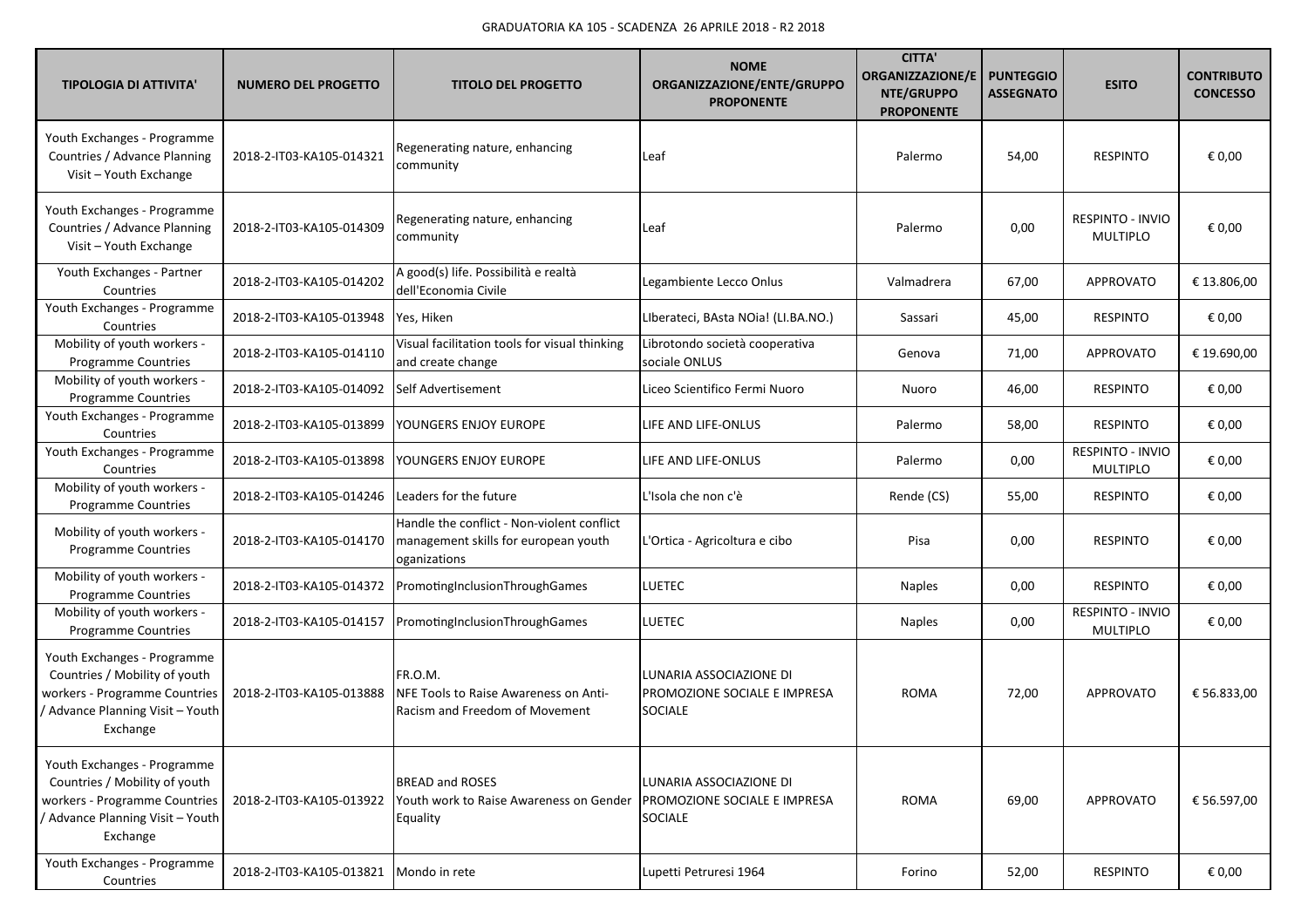| <b>TIPOLOGIA DI ATTIVITA'</b>                                                                                                               | <b>NUMERO DEL PROGETTO</b> | <b>TITOLO DEL PROGETTO</b>                                                                         | <b>NOME</b><br>ORGANIZZAZIONE/ENTE/GRUPPO<br><b>PROPONENTE</b>            | <b>CITTA'</b><br><b>ORGANIZZAZIONE/E</b><br>NTE/GRUPPO<br><b>PROPONENTE</b> | <b>PUNTEGGIO</b><br><b>ASSEGNATO</b> | <b>ESITO</b>                               | <b>CONTRIBUTO</b><br><b>CONCESSO</b> |
|---------------------------------------------------------------------------------------------------------------------------------------------|----------------------------|----------------------------------------------------------------------------------------------------|---------------------------------------------------------------------------|-----------------------------------------------------------------------------|--------------------------------------|--------------------------------------------|--------------------------------------|
| Youth Exchanges - Programme<br>Countries / Advance Planning<br>Visit - Youth Exchange                                                       | 2018-2-IT03-KA105-014321   | Regenerating nature, enhancing<br>community                                                        | Leaf                                                                      | Palermo                                                                     | 54,00                                | <b>RESPINTO</b>                            | € 0,00                               |
| Youth Exchanges - Programme<br>Countries / Advance Planning<br>Visit - Youth Exchange                                                       | 2018-2-IT03-KA105-014309   | Regenerating nature, enhancing<br>community                                                        | Leaf                                                                      | Palermo                                                                     | 0,00                                 | <b>RESPINTO - INVIO</b><br><b>MULTIPLO</b> | € 0,00                               |
| Youth Exchanges - Partner<br>Countries                                                                                                      | 2018-2-IT03-KA105-014202   | A good(s) life. Possibilità e realtà<br>dell'Economia Civile                                       | Legambiente Lecco Onlus                                                   | Valmadrera                                                                  | 67,00                                | <b>APPROVATO</b>                           | € 13.806,00                          |
| Youth Exchanges - Programme<br>Countries                                                                                                    | 2018-2-IT03-KA105-013948   | Yes, Hiken                                                                                         | Liberateci, BAsta NOia! (LI.BA.NO.)                                       | Sassari                                                                     | 45,00                                | <b>RESPINTO</b>                            | € 0,00                               |
| Mobility of youth workers -<br>Programme Countries                                                                                          | 2018-2-IT03-KA105-014110   | Visual facilitation tools for visual thinking<br>and create change                                 | Librotondo società cooperativa<br>sociale ONLUS                           | Genova                                                                      | 71,00                                | <b>APPROVATO</b>                           | € 19.690,00                          |
| Mobility of youth workers -<br>Programme Countries                                                                                          | 2018-2-IT03-KA105-014092   | Self Advertisement                                                                                 | Liceo Scientifico Fermi Nuoro                                             | Nuoro                                                                       | 46,00                                | <b>RESPINTO</b>                            | € 0,00                               |
| Youth Exchanges - Programme<br>Countries                                                                                                    | 2018-2-IT03-KA105-013899   | YOUNGERS ENJOY EUROPE                                                                              | LIFE AND LIFE-ONLUS                                                       | Palermo                                                                     | 58,00                                | <b>RESPINTO</b>                            | € 0,00                               |
| Youth Exchanges - Programme<br>Countries                                                                                                    | 2018-2-IT03-KA105-013898   | YOUNGERS ENJOY EUROPE                                                                              | LIFE AND LIFE-ONLUS                                                       | Palermo                                                                     | 0,00                                 | RESPINTO - INVIO<br><b>MULTIPLO</b>        | € 0,00                               |
| Mobility of youth workers -<br>Programme Countries                                                                                          | 2018-2-IT03-KA105-014246   | Leaders for the future                                                                             | L'Isola che non c'è                                                       | Rende (CS)                                                                  | 55,00                                | <b>RESPINTO</b>                            | € 0,00                               |
| Mobility of youth workers -<br><b>Programme Countries</b>                                                                                   | 2018-2-IT03-KA105-014170   | Handle the conflict - Non-violent conflict<br>management skills for european youth<br>oganizations | L'Ortica - Agricoltura e cibo                                             | Pisa                                                                        | 0,00                                 | <b>RESPINTO</b>                            | € 0,00                               |
| Mobility of youth workers -<br><b>Programme Countries</b>                                                                                   | 2018-2-IT03-KA105-014372   | PromotingInclusionThroughGames                                                                     | <b>LUETEC</b>                                                             | <b>Naples</b>                                                               | 0,00                                 | <b>RESPINTO</b>                            | € 0,00                               |
| Mobility of youth workers -<br>Programme Countries                                                                                          | 2018-2-IT03-KA105-014157   | PromotingInclusionThroughGames                                                                     | <b>LUETEC</b>                                                             | <b>Naples</b>                                                               | 0,00                                 | RESPINTO - INVIO<br><b>MULTIPLO</b>        | € 0,00                               |
| Youth Exchanges - Programme<br>Countries / Mobility of youth<br>workers - Programme Countries<br>Advance Planning Visit - Youth<br>Exchange | 2018-2-IT03-KA105-013888   | FR.O.M.<br>NFE Tools to Raise Awareness on Anti-<br>Racism and Freedom of Movement                 | LUNARIA ASSOCIAZIONE DI<br>PROMOZIONE SOCIALE E IMPRESA<br><b>SOCIALE</b> | <b>ROMA</b>                                                                 | 72,00                                | <b>APPROVATO</b>                           | € 56.833,00                          |
| Youth Exchanges - Programme<br>Countries / Mobility of youth<br>workers - Programme Countries<br>Advance Planning Visit - Youth<br>Exchange | 2018-2-IT03-KA105-013922   | <b>BREAD and ROSES</b><br>Youth work to Raise Awareness on Gender<br>Equality                      | LUNARIA ASSOCIAZIONE DI<br>PROMOZIONE SOCIALE E IMPRESA<br><b>SOCIALE</b> | ROMA                                                                        | 69,00                                | APPROVATO                                  | € 56.597,00                          |
| Youth Exchanges - Programme<br>Countries                                                                                                    | 2018-2-IT03-KA105-013821   | Mondo in rete                                                                                      | Lupetti Petruresi 1964                                                    | Forino                                                                      | 52,00                                | <b>RESPINTO</b>                            | € 0,00                               |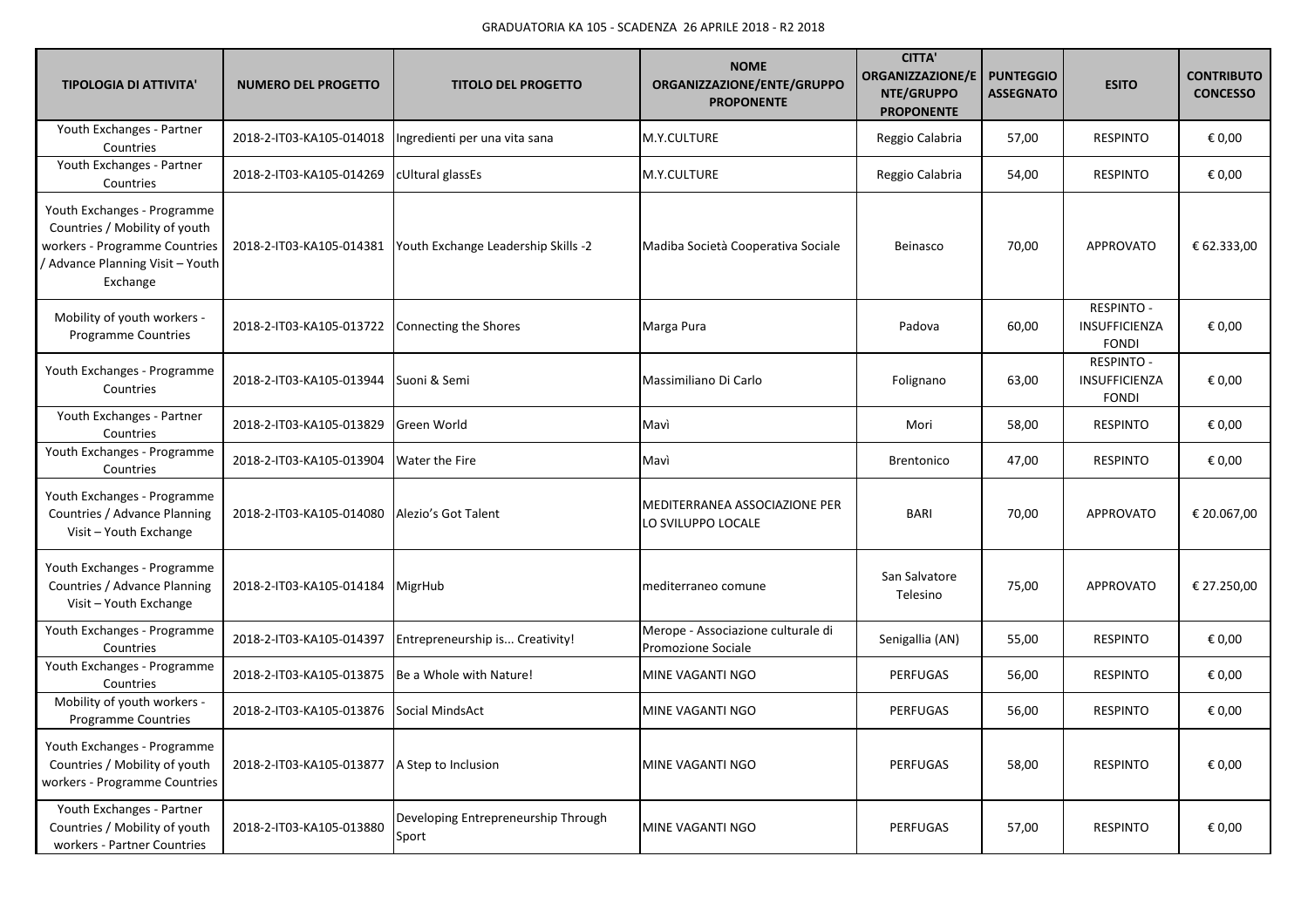| <b>TIPOLOGIA DI ATTIVITA'</b>                                                                                                               | <b>NUMERO DEL PROGETTO</b> | <b>TITOLO DEL PROGETTO</b>                   | <b>NOME</b><br>ORGANIZZAZIONE/ENTE/GRUPPO<br><b>PROPONENTE</b> | <b>CITTA</b><br><b>ORGANIZZAZIONE/E</b><br>NTE/GRUPPO<br><b>PROPONENTE</b> | <b>PUNTEGGIO</b><br><b>ASSEGNATO</b> | <b>ESITO</b>                                       | <b>CONTRIBUTO</b><br><b>CONCESSO</b> |
|---------------------------------------------------------------------------------------------------------------------------------------------|----------------------------|----------------------------------------------|----------------------------------------------------------------|----------------------------------------------------------------------------|--------------------------------------|----------------------------------------------------|--------------------------------------|
| Youth Exchanges - Partner<br>Countries                                                                                                      | 2018-2-IT03-KA105-014018   | Ingredienti per una vita sana                | M.Y.CULTURE                                                    | Reggio Calabria                                                            | 57,00                                | <b>RESPINTO</b>                                    | € 0,00                               |
| Youth Exchanges - Partner<br>Countries                                                                                                      | 2018-2-IT03-KA105-014269   | cUltural glassEs                             | M.Y.CULTURE                                                    | Reggio Calabria                                                            | 54,00                                | <b>RESPINTO</b>                                    | € 0,00                               |
| Youth Exchanges - Programme<br>Countries / Mobility of youth<br>workers - Programme Countries<br>Advance Planning Visit - Youth<br>Exchange | 2018-2-IT03-KA105-014381   | Youth Exchange Leadership Skills -2          | Madiba Società Cooperativa Sociale                             | Beinasco                                                                   | 70,00                                | <b>APPROVATO</b>                                   | € 62.333,00                          |
| Mobility of youth workers -<br><b>Programme Countries</b>                                                                                   | 2018-2-IT03-KA105-013722   | Connecting the Shores                        | Marga Pura                                                     | Padova                                                                     | 60,00                                | RESPINTO -<br><b>INSUFFICIENZA</b><br><b>FONDI</b> | € 0,00                               |
| Youth Exchanges - Programme<br>Countries                                                                                                    | 2018-2-IT03-KA105-013944   | Suoni & Semi                                 | Massimiliano Di Carlo                                          | Folignano                                                                  | 63,00                                | <b>RESPINTO -</b><br>INSUFFICIENZA<br><b>FONDI</b> | € 0,00                               |
| Youth Exchanges - Partner<br>Countries                                                                                                      | 2018-2-IT03-KA105-013829   | Green World                                  | Mavì                                                           | Mori                                                                       | 58,00                                | <b>RESPINTO</b>                                    | € 0,00                               |
| Youth Exchanges - Programme<br>Countries                                                                                                    | 2018-2-IT03-KA105-013904   | Water the Fire                               | Mavì                                                           | <b>Brentonico</b>                                                          | 47,00                                | <b>RESPINTO</b>                                    | € 0,00                               |
| Youth Exchanges - Programme<br>Countries / Advance Planning<br>Visit - Youth Exchange                                                       | 2018-2-IT03-KA105-014080   | Alezio's Got Talent                          | MEDITERRANEA ASSOCIAZIONE PER<br>LO SVILUPPO LOCALE            | <b>BARI</b>                                                                | 70,00                                | <b>APPROVATO</b>                                   | € 20.067,00                          |
| Youth Exchanges - Programme<br>Countries / Advance Planning<br>Visit - Youth Exchange                                                       | 2018-2-IT03-KA105-014184   | MigrHub                                      | mediterraneo comune                                            | San Salvatore<br>Telesino                                                  | 75,00                                | <b>APPROVATO</b>                                   | € 27.250,00                          |
| Youth Exchanges - Programme<br>Countries                                                                                                    | 2018-2-IT03-KA105-014397   | Entrepreneurship is Creativity!              | Merope - Associazione culturale di<br>Promozione Sociale       | Senigallia (AN)                                                            | 55,00                                | <b>RESPINTO</b>                                    | € 0,00                               |
| Youth Exchanges - Programme<br>Countries                                                                                                    | 2018-2-IT03-KA105-013875   | Be a Whole with Nature!                      | MINE VAGANTI NGO                                               | <b>PERFUGAS</b>                                                            | 56,00                                | <b>RESPINTO</b>                                    | $\epsilon$ 0,00                      |
| Mobility of youth workers -<br>Programme Countries                                                                                          | 2018-2-IT03-KA105-013876   | Social MindsAct                              | MINE VAGANTI NGO                                               | <b>PERFUGAS</b>                                                            | 56,00                                | <b>RESPINTO</b>                                    | € 0,00                               |
| Youth Exchanges - Programme<br>Countries / Mobility of youth<br>workers - Programme Countries                                               | 2018-2-IT03-KA105-013877   | A Step to Inclusion                          | MINE VAGANTI NGO                                               | <b>PERFUGAS</b>                                                            | 58,00                                | <b>RESPINTO</b>                                    | € 0,00                               |
| Youth Exchanges - Partner<br>Countries / Mobility of youth<br>workers - Partner Countries                                                   | 2018-2-IT03-KA105-013880   | Developing Entrepreneurship Through<br>Sport | MINE VAGANTI NGO                                               | <b>PERFUGAS</b>                                                            | 57,00                                | <b>RESPINTO</b>                                    | € 0,00                               |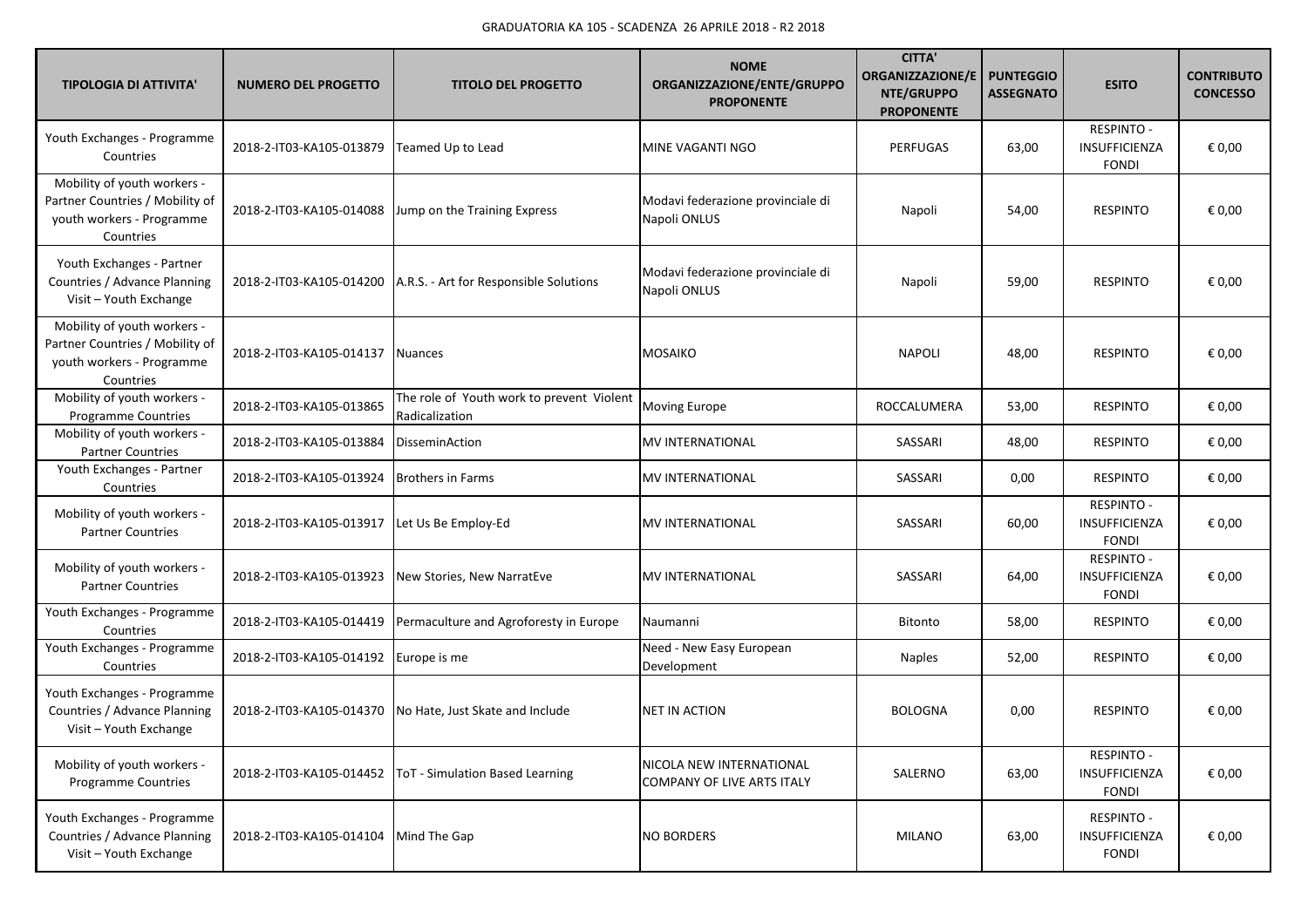| <b>TIPOLOGIA DI ATTIVITA'</b>                                                                            | <b>NUMERO DEL PROGETTO</b> | <b>TITOLO DEL PROGETTO</b>                                  | <b>NOME</b><br>ORGANIZZAZIONE/ENTE/GRUPPO<br><b>PROPONENTE</b> | <b>CITTA'</b><br><b>ORGANIZZAZIONE/E</b><br>NTE/GRUPPO<br><b>PROPONENTE</b> | <b>PUNTEGGIO</b><br><b>ASSEGNATO</b> | <b>ESITO</b>                                       | <b>CONTRIBUTO</b><br><b>CONCESSO</b> |
|----------------------------------------------------------------------------------------------------------|----------------------------|-------------------------------------------------------------|----------------------------------------------------------------|-----------------------------------------------------------------------------|--------------------------------------|----------------------------------------------------|--------------------------------------|
| Youth Exchanges - Programme<br>Countries                                                                 | 2018-2-IT03-KA105-013879   | Teamed Up to Lead                                           | MINE VAGANTI NGO                                               | <b>PERFUGAS</b>                                                             | 63,00                                | <b>RESPINTO -</b><br>INSUFFICIENZA<br><b>FONDI</b> | € 0,00                               |
| Mobility of youth workers -<br>Partner Countries / Mobility of<br>youth workers - Programme<br>Countries | 2018-2-IT03-KA105-014088   | Jump on the Training Express                                | Modavi federazione provinciale di<br>Napoli ONLUS              | Napoli                                                                      | 54,00                                | <b>RESPINTO</b>                                    | € 0,00                               |
| Youth Exchanges - Partner<br>Countries / Advance Planning<br>Visit - Youth Exchange                      | 2018-2-IT03-KA105-014200   | A.R.S. - Art for Responsible Solutions                      | Modavi federazione provinciale di<br>Napoli ONLUS              | Napoli                                                                      | 59,00                                | <b>RESPINTO</b>                                    | € 0,00                               |
| Mobility of youth workers -<br>Partner Countries / Mobility of<br>youth workers - Programme<br>Countries | 2018-2-IT03-KA105-014137   | <b>Nuances</b>                                              | <b>MOSAIKO</b>                                                 | <b>NAPOLI</b>                                                               | 48,00                                | <b>RESPINTO</b>                                    | € 0,00                               |
| Mobility of youth workers -<br>Programme Countries                                                       | 2018-2-IT03-KA105-013865   | The role of Youth work to prevent Violent<br>Radicalization | <b>Moving Europe</b>                                           | ROCCALUMERA                                                                 | 53,00                                | <b>RESPINTO</b>                                    | € 0,00                               |
| Mobility of youth workers -<br><b>Partner Countries</b>                                                  | 2018-2-IT03-KA105-013884   | DisseminAction                                              | <b>MV INTERNATIONAL</b>                                        | SASSARI                                                                     | 48,00                                | <b>RESPINTO</b>                                    | € 0,00                               |
| Youth Exchanges - Partner<br>Countries                                                                   | 2018-2-IT03-KA105-013924   | <b>Brothers in Farms</b>                                    | <b>MV INTERNATIONAL</b>                                        | SASSARI                                                                     | 0,00                                 | <b>RESPINTO</b>                                    | € 0,00                               |
| Mobility of youth workers -<br><b>Partner Countries</b>                                                  | 2018-2-IT03-KA105-013917   | Let Us Be Employ-Ed                                         | <b>MV INTERNATIONAL</b>                                        | SASSARI                                                                     | 60,00                                | <b>RESPINTO -</b><br>INSUFFICIENZA<br><b>FONDI</b> | € 0,00                               |
| Mobility of youth workers -<br><b>Partner Countries</b>                                                  | 2018-2-IT03-KA105-013923   | New Stories, New NarratEve                                  | <b>MV INTERNATIONAL</b>                                        | SASSARI                                                                     | 64,00                                | <b>RESPINTO -</b><br>INSUFFICIENZA<br><b>FONDI</b> | € 0,00                               |
| Youth Exchanges - Programme<br>Countries                                                                 | 2018-2-IT03-KA105-014419   | Permaculture and Agroforesty in Europe                      | Naumanni                                                       | Bitonto                                                                     | 58,00                                | <b>RESPINTO</b>                                    | € 0,00                               |
| Youth Exchanges - Programme<br>Countries                                                                 | 2018-2-IT03-KA105-014192   | Europe is me                                                | Need - New Easy European<br>Development                        | <b>Naples</b>                                                               | 52,00                                | <b>RESPINTO</b>                                    | € 0,00                               |
| Youth Exchanges - Programme<br>Countries / Advance Planning<br>Visit - Youth Exchange                    | 2018-2-IT03-KA105-014370   | No Hate, Just Skate and Include                             | <b>INET IN ACTION</b>                                          | <b>BOLOGNA</b>                                                              | 0,00                                 | <b>RESPINTO</b>                                    | € 0,00                               |
| Mobility of youth workers -<br>Programme Countries                                                       | 2018-2-IT03-KA105-014452   | <b>ToT</b> - Simulation Based Learning                      | NICOLA NEW INTERNATIONAL<br><b>COMPANY OF LIVE ARTS ITALY</b>  | SALERNO                                                                     | 63,00                                | <b>RESPINTO -</b><br>INSUFFICIENZA<br><b>FONDI</b> | € 0,00                               |
| Youth Exchanges - Programme<br>Countries / Advance Planning<br>Visit - Youth Exchange                    | 2018-2-IT03-KA105-014104   | Mind The Gap                                                | <b>NO BORDERS</b>                                              | <b>MILANO</b>                                                               | 63,00                                | <b>RESPINTO -</b><br>INSUFFICIENZA<br><b>FONDI</b> | € 0,00                               |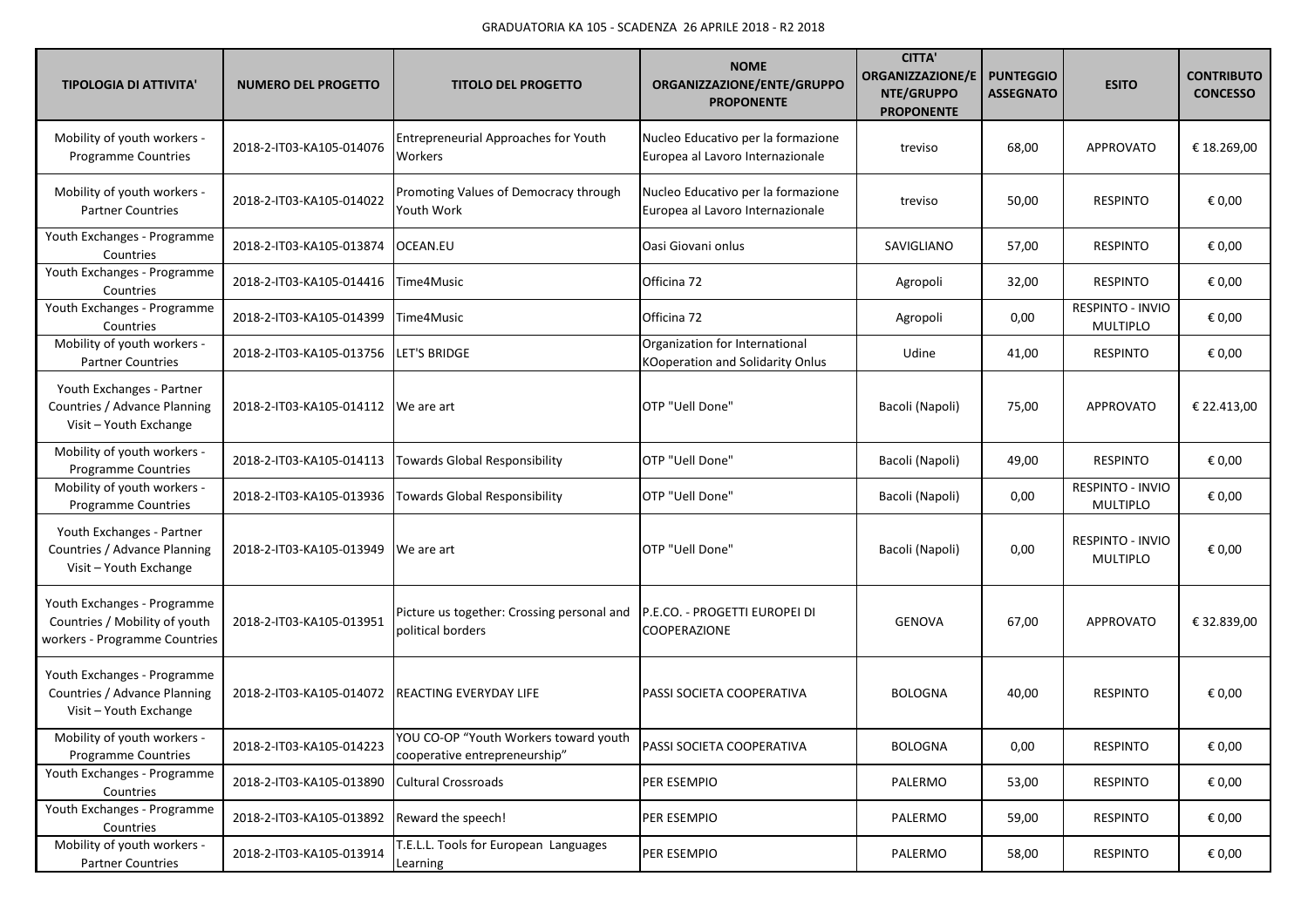| <b>TIPOLOGIA DI ATTIVITA'</b>                                                                 | <b>NUMERO DEL PROGETTO</b> | <b>TITOLO DEL PROGETTO</b>                                             | <b>NOME</b><br>ORGANIZZAZIONE/ENTE/GRUPPO<br><b>PROPONENTE</b>         | <b>CITTA'</b><br><b>ORGANIZZAZIONE/E</b><br>NTE/GRUPPO<br><b>PROPONENTE</b> | <b>PUNTEGGIO</b><br><b>ASSEGNATO</b> | <b>ESITO</b>                        | <b>CONTRIBUTO</b><br><b>CONCESSO</b> |
|-----------------------------------------------------------------------------------------------|----------------------------|------------------------------------------------------------------------|------------------------------------------------------------------------|-----------------------------------------------------------------------------|--------------------------------------|-------------------------------------|--------------------------------------|
| Mobility of youth workers -<br><b>Programme Countries</b>                                     | 2018-2-IT03-KA105-014076   | Entrepreneurial Approaches for Youth<br>Workers                        | Nucleo Educativo per la formazione<br>Europea al Lavoro Internazionale | treviso                                                                     | 68,00                                | <b>APPROVATO</b>                    | € 18.269,00                          |
| Mobility of youth workers -<br><b>Partner Countries</b>                                       | 2018-2-IT03-KA105-014022   | Promoting Values of Democracy through<br>Youth Work                    | Nucleo Educativo per la formazione<br>Europea al Lavoro Internazionale | treviso                                                                     | 50,00                                | <b>RESPINTO</b>                     | € 0,00                               |
| Youth Exchanges - Programme<br>Countries                                                      | 2018-2-IT03-KA105-013874   | OCEAN.EU                                                               | Oasi Giovani onlus                                                     | SAVIGLIANO                                                                  | 57,00                                | <b>RESPINTO</b>                     | € 0,00                               |
| Youth Exchanges - Programme<br>Countries                                                      | 2018-2-IT03-KA105-014416   | Time4Music                                                             | Officina 72                                                            | Agropoli                                                                    | 32,00                                | <b>RESPINTO</b>                     | € 0,00                               |
| Youth Exchanges - Programme<br>Countries                                                      | 2018-2-IT03-KA105-014399   | Time4Music                                                             | Officina 72                                                            | Agropoli                                                                    | 0,00                                 | RESPINTO - INVIO<br><b>MULTIPLO</b> | € 0,00                               |
| Mobility of youth workers -<br><b>Partner Countries</b>                                       | 2018-2-IT03-KA105-013756   | LET'S BRIDGE                                                           | Organization for International<br>KOoperation and Solidarity Onlus     | Udine                                                                       | 41,00                                | <b>RESPINTO</b>                     | € 0,00                               |
| Youth Exchanges - Partner<br>Countries / Advance Planning<br>Visit - Youth Exchange           | 2018-2-IT03-KA105-014112   | We are art                                                             | OTP "Uell Done"                                                        | Bacoli (Napoli)                                                             | 75,00                                | <b>APPROVATO</b>                    | € 22.413,00                          |
| Mobility of youth workers -<br>Programme Countries                                            | 2018-2-IT03-KA105-014113   | <b>Towards Global Responsibility</b>                                   | OTP "Uell Done"                                                        | Bacoli (Napoli)                                                             | 49,00                                | <b>RESPINTO</b>                     | € 0,00                               |
| Mobility of youth workers -<br>Programme Countries                                            | 2018-2-IT03-KA105-013936   | <b>Towards Global Responsibility</b>                                   | OTP "Uell Done"                                                        | Bacoli (Napoli)                                                             | 0,00                                 | RESPINTO - INVIO<br><b>MULTIPLO</b> | € 0,00                               |
| Youth Exchanges - Partner<br>Countries / Advance Planning<br>Visit - Youth Exchange           | 2018-2-IT03-KA105-013949   | We are art                                                             | OTP "Uell Done"                                                        | Bacoli (Napoli)                                                             | 0,00                                 | RESPINTO - INVIO<br><b>MULTIPLO</b> | € 0,00                               |
| Youth Exchanges - Programme<br>Countries / Mobility of youth<br>workers - Programme Countries | 2018-2-IT03-KA105-013951   | Picture us together: Crossing personal and<br>political borders        | P.E.CO. - PROGETTI EUROPEI DI<br>COOPERAZIONE                          | <b>GENOVA</b>                                                               | 67,00                                | <b>APPROVATO</b>                    | € 32.839,00                          |
| Youth Exchanges - Programme<br>Countries / Advance Planning<br>Visit - Youth Exchange         | 2018-2-IT03-KA105-014072   | <b>REACTING EVERYDAY LIFE</b>                                          | PASSI SOCIETA COOPERATIVA                                              | <b>BOLOGNA</b>                                                              | 40,00                                | <b>RESPINTO</b>                     | € 0,00                               |
| Mobility of youth workers -<br><b>Programme Countries</b>                                     | 2018-2-IT03-KA105-014223   | YOU CO-OP "Youth Workers toward youth<br>cooperative entrepreneurship" | PASSI SOCIETA COOPERATIVA                                              | <b>BOLOGNA</b>                                                              | 0,00                                 | RESPINTO                            | $\epsilon$ 0,00                      |
| Youth Exchanges - Programme<br>Countries                                                      | 2018-2-IT03-KA105-013890   | <b>Cultural Crossroads</b>                                             | PER ESEMPIO                                                            | PALERMO                                                                     | 53,00                                | <b>RESPINTO</b>                     | € 0,00                               |
| Youth Exchanges - Programme<br>Countries                                                      | 2018-2-IT03-KA105-013892   | Reward the speech!                                                     | PER ESEMPIO                                                            | PALERMO                                                                     | 59,00                                | <b>RESPINTO</b>                     | € 0,00                               |
| Mobility of youth workers -<br><b>Partner Countries</b>                                       | 2018-2-IT03-KA105-013914   | T.E.L.L. Tools for European Languages<br>Learning                      | PER ESEMPIO                                                            | PALERMO                                                                     | 58,00                                | <b>RESPINTO</b>                     | € 0,00                               |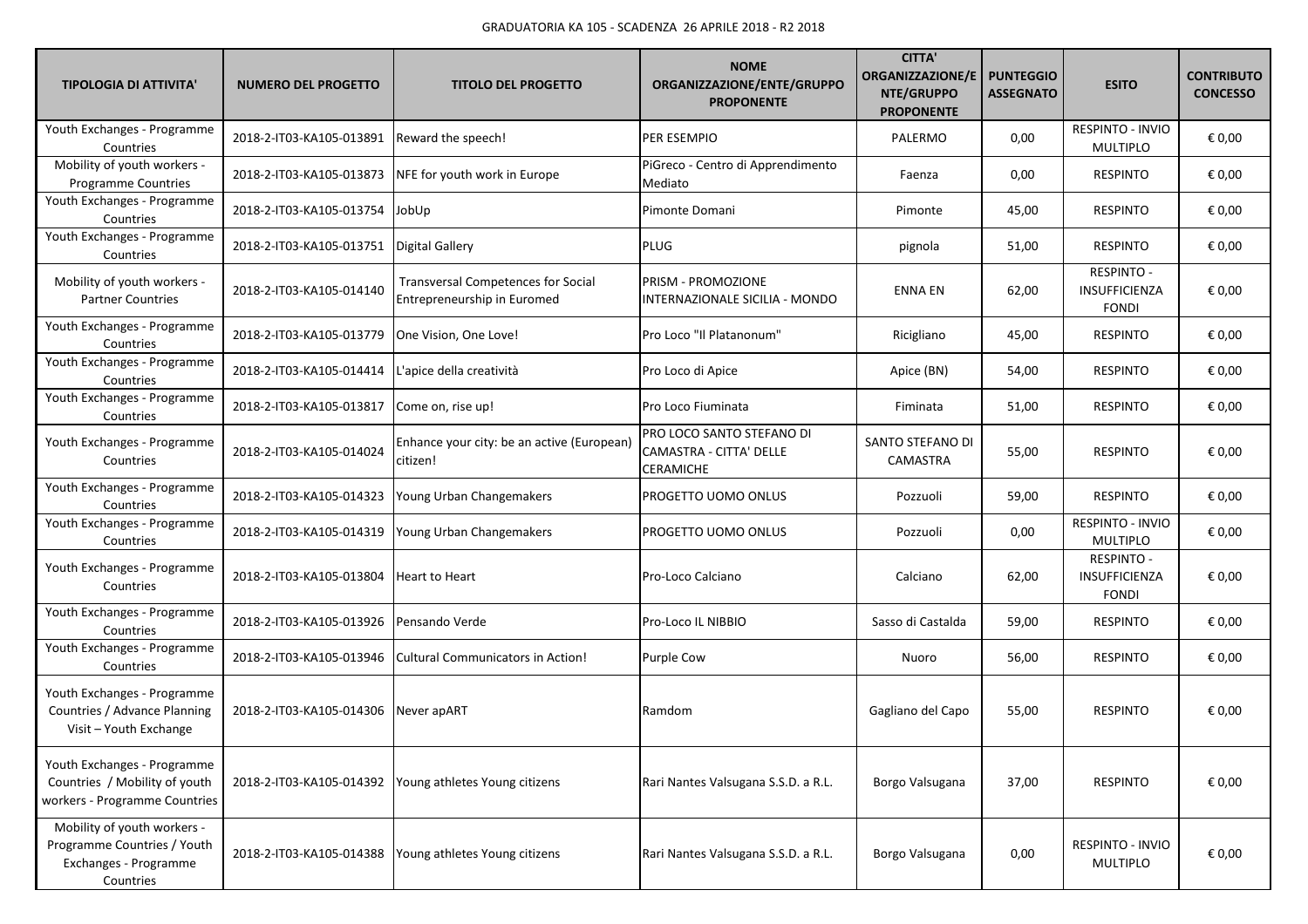| <b>TIPOLOGIA DI ATTIVITA'</b>                                                                    | <b>NUMERO DEL PROGETTO</b>                 | <b>TITOLO DEL PROGETTO</b>                                               | <b>NOME</b><br>ORGANIZZAZIONE/ENTE/GRUPPO<br><b>PROPONENTE</b>    | <b>CITTA'</b><br><b>ORGANIZZAZIONE/E</b><br>NTE/GRUPPO<br><b>PROPONENTE</b> | <b>PUNTEGGIO</b><br><b>ASSEGNATO</b> | <b>ESITO</b>                                       | <b>CONTRIBUTO</b><br><b>CONCESSO</b> |
|--------------------------------------------------------------------------------------------------|--------------------------------------------|--------------------------------------------------------------------------|-------------------------------------------------------------------|-----------------------------------------------------------------------------|--------------------------------------|----------------------------------------------------|--------------------------------------|
| Youth Exchanges - Programme<br>Countries                                                         | 2018-2-IT03-KA105-013891                   | Reward the speech!                                                       | PER ESEMPIO                                                       | PALERMO                                                                     | 0,00                                 | RESPINTO - INVIO<br><b>MULTIPLO</b>                | € 0,00                               |
| Mobility of youth workers -<br>Programme Countries                                               | 2018-2-IT03-KA105-013873                   | NFE for youth work in Europe                                             | PiGreco - Centro di Apprendimento<br>Mediato                      | Faenza                                                                      | 0,00                                 | <b>RESPINTO</b>                                    | € 0,00                               |
| Youth Exchanges - Programme<br>Countries                                                         | 2018-2-IT03-KA105-013754                   | JobUp                                                                    | Pimonte Domani                                                    | Pimonte                                                                     | 45,00                                | <b>RESPINTO</b>                                    | € 0,00                               |
| Youth Exchanges - Programme<br>Countries                                                         | 2018-2-IT03-KA105-013751   Digital Gallery |                                                                          | <b>PLUG</b>                                                       | pignola                                                                     | 51,00                                | <b>RESPINTO</b>                                    | € 0,00                               |
| Mobility of youth workers -<br><b>Partner Countries</b>                                          | 2018-2-IT03-KA105-014140                   | <b>Transversal Competences for Social</b><br>Entrepreneurship in Euromed | PRISM - PROMOZIONE<br>INTERNAZIONALE SICILIA - MONDO              | <b>ENNA EN</b>                                                              | 62,00                                | <b>RESPINTO -</b><br>INSUFFICIENZA<br><b>FONDI</b> | € 0,00                               |
| Youth Exchanges - Programme<br>Countries                                                         | 2018-2-IT03-KA105-013779                   | One Vision, One Love!                                                    | Pro Loco "Il Platanonum"                                          | Ricigliano                                                                  | 45,00                                | <b>RESPINTO</b>                                    | € 0,00                               |
| Youth Exchanges - Programme<br>Countries                                                         | 2018-2-IT03-KA105-014414                   | L'apice della creatività                                                 | Pro Loco di Apice                                                 | Apice (BN)                                                                  | 54,00                                | <b>RESPINTO</b>                                    | € 0,00                               |
| Youth Exchanges - Programme<br>Countries                                                         | 2018-2-IT03-KA105-013817                   | Come on, rise up!                                                        | Pro Loco Fiuminata                                                | Fiminata                                                                    | 51,00                                | <b>RESPINTO</b>                                    | € 0,00                               |
| Youth Exchanges - Programme<br>Countries                                                         | 2018-2-IT03-KA105-014024                   | Enhance your city: be an active (European)<br>citizen!                   | PRO LOCO SANTO STEFANO DI<br>CAMASTRA - CITTA' DELLE<br>CERAMICHE | SANTO STEFANO DI<br>CAMASTRA                                                | 55,00                                | <b>RESPINTO</b>                                    | € 0,00                               |
| Youth Exchanges - Programme<br>Countries                                                         | 2018-2-IT03-KA105-014323                   | Young Urban Changemakers                                                 | PROGETTO UOMO ONLUS                                               | Pozzuoli                                                                    | 59,00                                | <b>RESPINTO</b>                                    | € 0,00                               |
| Youth Exchanges - Programme<br>Countries                                                         | 2018-2-IT03-KA105-014319                   | Young Urban Changemakers                                                 | PROGETTO UOMO ONLUS                                               | Pozzuoli                                                                    | 0,00                                 | RESPINTO - INVIO<br><b>MULTIPLO</b>                | € 0,00                               |
| Youth Exchanges - Programme<br>Countries                                                         | 2018-2-IT03-KA105-013804                   | Heart to Heart                                                           | Pro-Loco Calciano                                                 | Calciano                                                                    | 62,00                                | <b>RESPINTO -</b><br>INSUFFICIENZA<br><b>FONDI</b> | € 0,00                               |
| Youth Exchanges - Programme<br>Countries                                                         | 2018-2-IT03-KA105-013926                   | Pensando Verde                                                           | Pro-Loco IL NIBBIO                                                | Sasso di Castalda                                                           | 59,00                                | RESPINTO                                           | € 0,00                               |
| Youth Exchanges - Programme<br>Countries                                                         | 2018-2-IT03-KA105-013946                   | Cultural Communicators in Action!                                        | <b>Purple Cow</b>                                                 | Nuoro                                                                       | 56,00                                | <b>RESPINTO</b>                                    | € 0,00                               |
| Youth Exchanges - Programme<br>Countries / Advance Planning<br>Visit - Youth Exchange            | 2018-2-IT03-KA105-014306 Never apART       |                                                                          | Ramdom                                                            | Gagliano del Capo                                                           | 55,00                                | <b>RESPINTO</b>                                    | € 0,00                               |
| Youth Exchanges - Programme<br>Countries / Mobility of youth<br>workers - Programme Countries    | 2018-2-IT03-KA105-014392                   | Young athletes Young citizens                                            | Rari Nantes Valsugana S.S.D. a R.L.                               | Borgo Valsugana                                                             | 37,00                                | <b>RESPINTO</b>                                    | € 0,00                               |
| Mobility of youth workers -<br>Programme Countries / Youth<br>Exchanges - Programme<br>Countries | 2018-2-IT03-KA105-014388                   | Young athletes Young citizens                                            | Rari Nantes Valsugana S.S.D. a R.L.                               | Borgo Valsugana                                                             | 0,00                                 | RESPINTO - INVIO<br>MULTIPLO                       | € 0,00                               |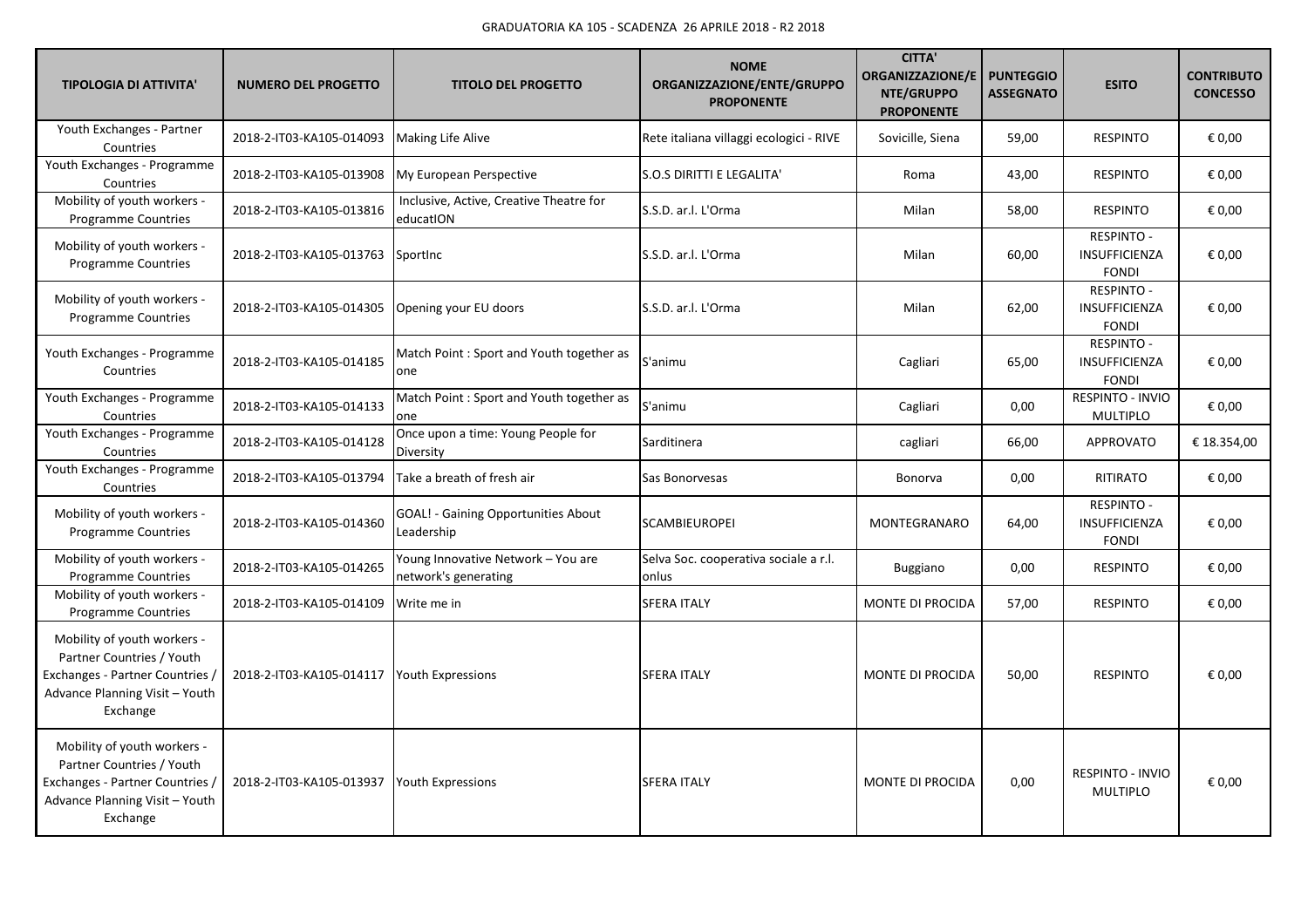| <b>TIPOLOGIA DI ATTIVITA'</b>                                                                                                             | <b>NUMERO DEL PROGETTO</b> | <b>TITOLO DEL PROGETTO</b>                                 | <b>NOME</b><br>ORGANIZZAZIONE/ENTE/GRUPPO<br><b>PROPONENTE</b> | <b>CITTA'</b><br><b>ORGANIZZAZIONE/E</b><br>NTE/GRUPPO<br><b>PROPONENTE</b> | <b>PUNTEGGIO</b><br><b>ASSEGNATO</b> | <b>ESITO</b>                                              | <b>CONTRIBUTO</b><br><b>CONCESSO</b> |
|-------------------------------------------------------------------------------------------------------------------------------------------|----------------------------|------------------------------------------------------------|----------------------------------------------------------------|-----------------------------------------------------------------------------|--------------------------------------|-----------------------------------------------------------|--------------------------------------|
| Youth Exchanges - Partner<br>Countries                                                                                                    | 2018-2-IT03-KA105-014093   | <b>Making Life Alive</b>                                   | Rete italiana villaggi ecologici - RIVE                        | Sovicille, Siena                                                            | 59,00                                | <b>RESPINTO</b>                                           | € 0,00                               |
| Youth Exchanges - Programme<br>Countries                                                                                                  | 2018-2-IT03-KA105-013908   | My European Perspective                                    | S.O.S DIRITTI E LEGALITA'                                      | Roma                                                                        | 43,00                                | <b>RESPINTO</b>                                           | € 0,00                               |
| Mobility of youth workers -<br><b>Programme Countries</b>                                                                                 | 2018-2-IT03-KA105-013816   | Inclusive, Active, Creative Theatre for<br>educatION       | S.S.D. ar.l. L'Orma                                            | Milan                                                                       | 58,00                                | <b>RESPINTO</b>                                           | € 0,00                               |
| Mobility of youth workers -<br><b>Programme Countries</b>                                                                                 | 2018-2-IT03-KA105-013763   | Sportinc                                                   | S.S.D. ar.l. L'Orma                                            | Milan                                                                       | 60,00                                | <b>RESPINTO -</b><br><b>INSUFFICIENZA</b><br><b>FONDI</b> | € 0,00                               |
| Mobility of youth workers -<br><b>Programme Countries</b>                                                                                 | 2018-2-IT03-KA105-014305   | Opening your EU doors                                      | S.S.D. ar.l. L'Orma                                            | Milan                                                                       | 62,00                                | <b>RESPINTO -</b><br>INSUFFICIENZA<br><b>FONDI</b>        | € 0,00                               |
| Youth Exchanges - Programme<br>Countries                                                                                                  | 2018-2-IT03-KA105-014185   | Match Point: Sport and Youth together as<br>one            | S'animu                                                        | Cagliari                                                                    | 65,00                                | RESPINTO -<br>INSUFFICIENZA<br><b>FONDI</b>               | € 0,00                               |
| Youth Exchanges - Programme<br>Countries                                                                                                  | 2018-2-IT03-KA105-014133   | Match Point : Sport and Youth together as<br>one           | S'animu                                                        | Cagliari                                                                    | 0,00                                 | RESPINTO - INVIO<br><b>MULTIPLO</b>                       | € 0,00                               |
| Youth Exchanges - Programme<br>Countries                                                                                                  | 2018-2-IT03-KA105-014128   | Once upon a time: Young People for<br>Diversity            | Sarditinera                                                    | cagliari                                                                    | 66,00                                | <b>APPROVATO</b>                                          | € 18.354,00                          |
| Youth Exchanges - Programme<br>Countries                                                                                                  | 2018-2-IT03-KA105-013794   | Take a breath of fresh air                                 | Sas Bonorvesas                                                 | Bonorva                                                                     | 0,00                                 | RITIRATO                                                  | € 0,00                               |
| Mobility of youth workers -<br><b>Programme Countries</b>                                                                                 | 2018-2-IT03-KA105-014360   | <b>GOAL! - Gaining Opportunities About</b><br>Leadership   | SCAMBIEUROPEI                                                  | MONTEGRANARO                                                                | 64,00                                | RESPINTO -<br>INSUFFICIENZA<br><b>FONDI</b>               | € 0,00                               |
| Mobility of youth workers -<br><b>Programme Countries</b>                                                                                 | 2018-2-IT03-KA105-014265   | Young Innovative Network - You are<br>network's generating | Selva Soc. cooperativa sociale a r.l.<br>onlus                 | Buggiano                                                                    | 0,00                                 | <b>RESPINTO</b>                                           | € 0,00                               |
| Mobility of youth workers -<br><b>Programme Countries</b>                                                                                 | 2018-2-IT03-KA105-014109   | Write me in                                                | <b>SFERA ITALY</b>                                             | <b>MONTE DI PROCIDA</b>                                                     | 57,00                                | <b>RESPINTO</b>                                           | € 0,00                               |
| Mobility of youth workers -<br>Partner Countries / Youth<br>Exchanges - Partner Countries /<br>Advance Planning Visit - Youth<br>Exchange | 2018-2-IT03-KA105-014117   | <b>Youth Expressions</b>                                   | <b>SFERA ITALY</b>                                             | <b>MONTE DI PROCIDA</b>                                                     | 50,00                                | <b>RESPINTO</b>                                           | € 0,00                               |
| Mobility of youth workers -<br>Partner Countries / Youth<br>Exchanges - Partner Countries /<br>Advance Planning Visit - Youth<br>Exchange | 2018-2-IT03-KA105-013937   | <b>Youth Expressions</b>                                   | <b>SFERA ITALY</b>                                             | <b>MONTE DI PROCIDA</b>                                                     | 0,00                                 | RESPINTO - INVIO<br><b>MULTIPLO</b>                       | € 0.00                               |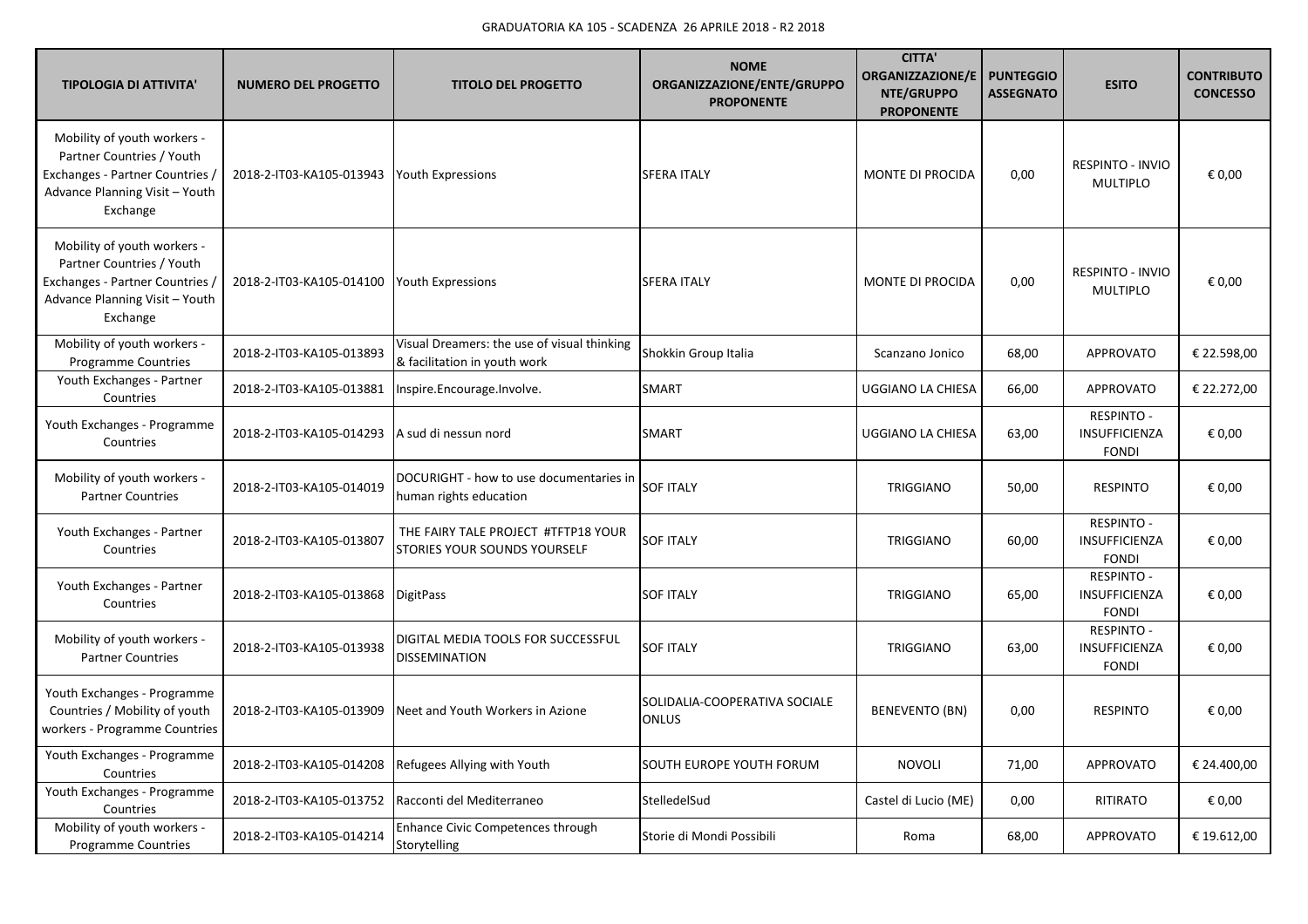| <b>TIPOLOGIA DI ATTIVITA'</b>                                                                                                             | <b>NUMERO DEL PROGETTO</b> | <b>TITOLO DEL PROGETTO</b>                                                  | <b>NOME</b><br>ORGANIZZAZIONE/ENTE/GRUPPO<br><b>PROPONENTE</b> | <b>CITTA'</b><br><b>ORGANIZZAZIONE/E</b><br>NTE/GRUPPO<br><b>PROPONENTE</b> | <b>PUNTEGGIO</b><br><b>ASSEGNATO</b> | <b>ESITO</b>                                              | <b>CONTRIBUTO</b><br><b>CONCESSO</b> |
|-------------------------------------------------------------------------------------------------------------------------------------------|----------------------------|-----------------------------------------------------------------------------|----------------------------------------------------------------|-----------------------------------------------------------------------------|--------------------------------------|-----------------------------------------------------------|--------------------------------------|
| Mobility of youth workers -<br>Partner Countries / Youth<br>Exchanges - Partner Countries /<br>Advance Planning Visit - Youth<br>Exchange | 2018-2-IT03-KA105-013943   | <b>Youth Expressions</b>                                                    | <b>SFERA ITALY</b>                                             | MONTE DI PROCIDA                                                            | 0,00                                 | <b>RESPINTO - INVIO</b><br><b>MULTIPLO</b>                | € 0,00                               |
| Mobility of youth workers -<br>Partner Countries / Youth<br>Exchanges - Partner Countries /<br>Advance Planning Visit - Youth<br>Exchange | 2018-2-IT03-KA105-014100   | <b>Youth Expressions</b>                                                    | <b>SFERA ITALY</b>                                             | MONTE DI PROCIDA                                                            | 0,00                                 | <b>RESPINTO - INVIO</b><br><b>MULTIPLO</b>                | € 0,00                               |
| Mobility of youth workers -<br>Programme Countries                                                                                        | 2018-2-IT03-KA105-013893   | Visual Dreamers: the use of visual thinking<br>& facilitation in youth work | Shokkin Group Italia                                           | Scanzano Jonico                                                             | 68,00                                | <b>APPROVATO</b>                                          | € 22.598,00                          |
| Youth Exchanges - Partner<br>Countries                                                                                                    | 2018-2-IT03-KA105-013881   | Inspire.Encourage.Involve.                                                  | SMART                                                          | UGGIANO LA CHIESA                                                           | 66,00                                | APPROVATO                                                 | € 22.272,00                          |
| Youth Exchanges - Programme<br>Countries                                                                                                  | 2018-2-IT03-KA105-014293   | A sud di nessun nord                                                        | <b>SMART</b>                                                   | <b>UGGIANO LA CHIESA</b>                                                    | 63,00                                | <b>RESPINTO -</b><br><b>INSUFFICIENZA</b><br><b>FONDI</b> | € 0,00                               |
| Mobility of youth workers -<br><b>Partner Countries</b>                                                                                   | 2018-2-IT03-KA105-014019   | DOCURIGHT - how to use documentaries in<br>human rights education           | <b>SOF ITALY</b>                                               | TRIGGIANO                                                                   | 50,00                                | <b>RESPINTO</b>                                           | € 0,00                               |
| Youth Exchanges - Partner<br>Countries                                                                                                    | 2018-2-IT03-KA105-013807   | THE FAIRY TALE PROJECT #TFTP18 YOUR<br><b>STORIES YOUR SOUNDS YOURSELF</b>  | <b>SOF ITALY</b>                                               | TRIGGIANO                                                                   | 60,00                                | <b>RESPINTO -</b><br>INSUFFICIENZA<br><b>FONDI</b>        | € 0,00                               |
| Youth Exchanges - Partner<br>Countries                                                                                                    | 2018-2-IT03-KA105-013868   | <b>DigitPass</b>                                                            | <b>SOF ITALY</b>                                               | TRIGGIANO                                                                   | 65,00                                | <b>RESPINTO -</b><br>INSUFFICIENZA<br><b>FONDI</b>        | € 0,00                               |
| Mobility of youth workers -<br><b>Partner Countries</b>                                                                                   | 2018-2-IT03-KA105-013938   | DIGITAL MEDIA TOOLS FOR SUCCESSFUL<br><b>DISSEMINATION</b>                  | <b>SOF ITALY</b>                                               | TRIGGIANO                                                                   | 63,00                                | <b>RESPINTO -</b><br>INSUFFICIENZA<br><b>FONDI</b>        | € 0,00                               |
| Youth Exchanges - Programme<br>Countries / Mobility of youth<br>workers - Programme Countries                                             | 2018-2-IT03-KA105-013909   | Neet and Youth Workers in Azione                                            | SOLIDALIA-COOPERATIVA SOCIALE<br><b>ONLUS</b>                  | <b>BENEVENTO (BN)</b>                                                       | 0,00                                 | <b>RESPINTO</b>                                           | € 0,00                               |
| Youth Exchanges - Programme<br>Countries                                                                                                  | 2018-2-IT03-KA105-014208   | Refugees Allying with Youth                                                 | SOUTH EUROPE YOUTH FORUM                                       | <b>NOVOLI</b>                                                               | 71,00                                | <b>APPROVATO</b>                                          | € 24.400,00                          |
| Youth Exchanges - Programme<br>Countries                                                                                                  | 2018-2-IT03-KA105-013752   | Racconti del Mediterraneo                                                   | StelledelSud                                                   | Castel di Lucio (ME)                                                        | 0,00                                 | RITIRATO                                                  | € 0,00                               |
| Mobility of youth workers -<br><b>Programme Countries</b>                                                                                 | 2018-2-IT03-KA105-014214   | <b>Enhance Civic Competences through</b><br>Storytelling                    | Storie di Mondi Possibili                                      | Roma                                                                        | 68,00                                | <b>APPROVATO</b>                                          | € 19.612,00                          |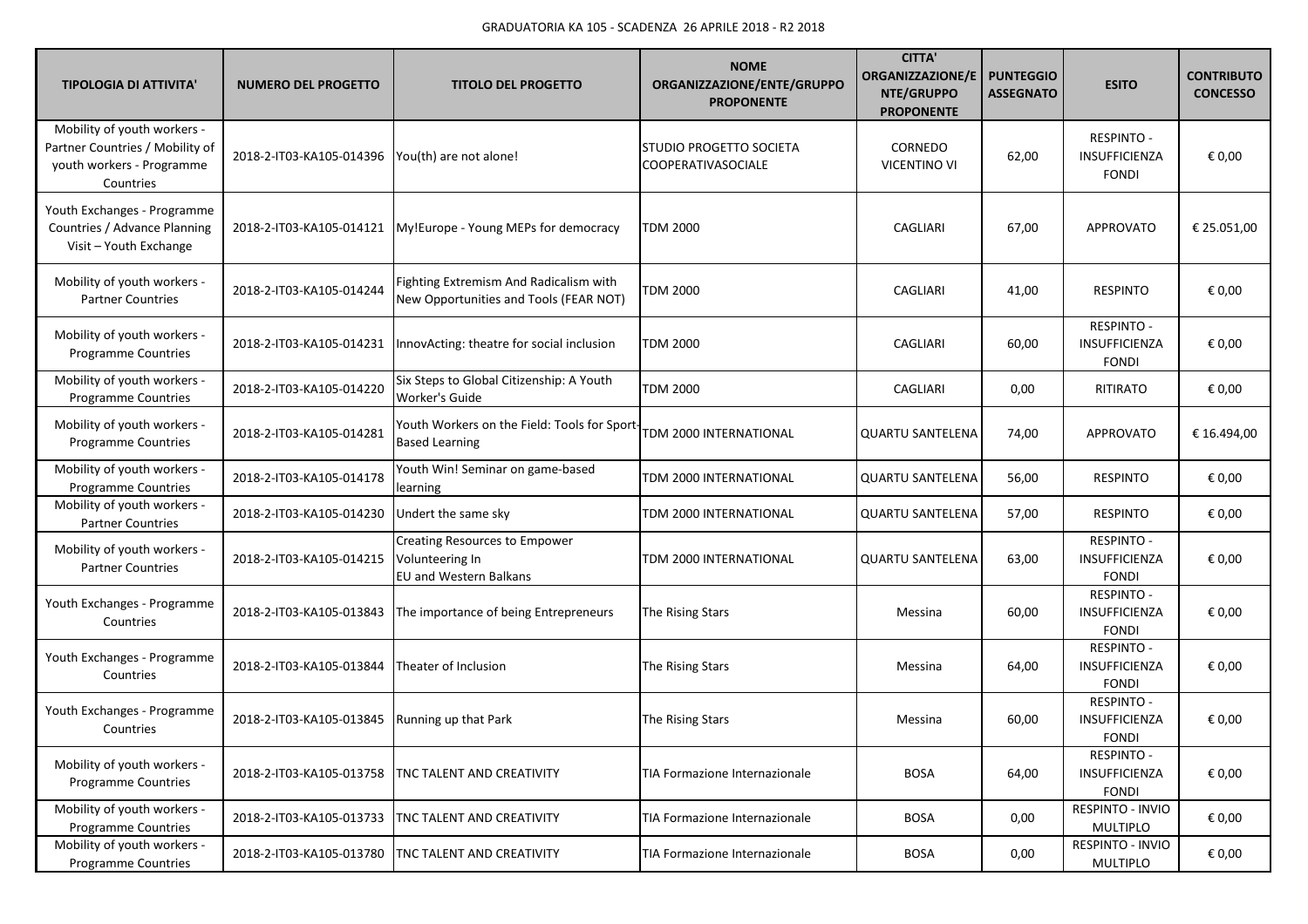| <b>TIPOLOGIA DI ATTIVITA'</b>                                                                            | <b>NUMERO DEL PROGETTO</b>                        | <b>TITOLO DEL PROGETTO</b>                                                       | <b>NOME</b><br>ORGANIZZAZIONE/ENTE/GRUPPO<br><b>PROPONENTE</b> | <b>CITTA'</b><br><b>ORGANIZZAZIONE/E</b><br>NTE/GRUPPO<br><b>PROPONENTE</b> | <b>PUNTEGGIO</b><br><b>ASSEGNATO</b> | <b>ESITO</b>                                              | <b>CONTRIBUTO</b><br><b>CONCESSO</b> |
|----------------------------------------------------------------------------------------------------------|---------------------------------------------------|----------------------------------------------------------------------------------|----------------------------------------------------------------|-----------------------------------------------------------------------------|--------------------------------------|-----------------------------------------------------------|--------------------------------------|
| Mobility of youth workers -<br>Partner Countries / Mobility of<br>youth workers - Programme<br>Countries | 2018-2-IT03-KA105-014396   You(th) are not alone! |                                                                                  | STUDIO PROGETTO SOCIETA<br><b>COOPERATIVASOCIALE</b>           | CORNEDO<br><b>VICENTINO VI</b>                                              | 62,00                                | <b>RESPINTO -</b><br><b>INSUFFICIENZA</b><br><b>FONDI</b> | € 0,00                               |
| Youth Exchanges - Programme<br>Countries / Advance Planning<br>Visit - Youth Exchange                    | 2018-2-IT03-KA105-014121                          | My!Europe - Young MEPs for democracy                                             | <b>TDM 2000</b>                                                | CAGLIARI                                                                    | 67,00                                | APPROVATO                                                 | € 25.051,00                          |
| Mobility of youth workers -<br><b>Partner Countries</b>                                                  | 2018-2-IT03-KA105-014244                          | Fighting Extremism And Radicalism with<br>New Opportunities and Tools (FEAR NOT) | <b>TDM 2000</b>                                                | CAGLIARI                                                                    | 41,00                                | <b>RESPINTO</b>                                           | € 0,00                               |
| Mobility of youth workers -<br>Programme Countries                                                       | 2018-2-IT03-KA105-014231                          | InnovActing: theatre for social inclusion                                        | <b>TDM 2000</b>                                                | CAGLIARI                                                                    | 60,00                                | <b>RESPINTO -</b><br>INSUFFICIENZA<br><b>FONDI</b>        | € 0,00                               |
| Mobility of youth workers -<br><b>Programme Countries</b>                                                | 2018-2-IT03-KA105-014220                          | Six Steps to Global Citizenship: A Youth<br><b>Worker's Guide</b>                | TDM 2000                                                       | CAGLIARI                                                                    | 0,00                                 | RITIRATO                                                  | € 0,00                               |
| Mobility of youth workers -<br>Programme Countries                                                       | 2018-2-IT03-KA105-014281                          | Youth Workers on the Field: Tools for Sport-<br><b>Based Learning</b>            | TDM 2000 INTERNATIONAL                                         | <b>QUARTU SANTELENA</b>                                                     | 74,00                                | APPROVATO                                                 | € 16.494,00                          |
| Mobility of youth workers -<br>Programme Countries                                                       | 2018-2-IT03-KA105-014178                          | Youth Win! Seminar on game-based<br>learning                                     | TDM 2000 INTERNATIONAL                                         | <b>QUARTU SANTELENA</b>                                                     | 56,00                                | <b>RESPINTO</b>                                           | € 0,00                               |
| Mobility of youth workers -<br><b>Partner Countries</b>                                                  | 2018-2-IT03-KA105-014230                          | Undert the same sky                                                              | TDM 2000 INTERNATIONAL                                         | <b>QUARTU SANTELENA</b>                                                     | 57,00                                | <b>RESPINTO</b>                                           | € 0,00                               |
| Mobility of youth workers -<br><b>Partner Countries</b>                                                  | 2018-2-IT03-KA105-014215                          | Creating Resources to Empower<br>Volunteering In<br>EU and Western Balkans       | TDM 2000 INTERNATIONAL                                         | <b>QUARTU SANTELENA</b>                                                     | 63,00                                | <b>RESPINTO -</b><br>INSUFFICIENZA<br><b>FONDI</b>        | € 0,00                               |
| Youth Exchanges - Programme<br>Countries                                                                 | 2018-2-IT03-KA105-013843                          | The importance of being Entrepreneurs                                            | The Rising Stars                                               | Messina                                                                     | 60,00                                | <b>RESPINTO -</b><br><b>INSUFFICIENZA</b><br><b>FONDI</b> | € 0,00                               |
| Youth Exchanges - Programme<br>Countries                                                                 | 2018-2-IT03-KA105-013844                          | Theater of Inclusion                                                             | The Rising Stars                                               | Messina                                                                     | 64,00                                | <b>RESPINTO -</b><br><b>INSUFFICIENZA</b><br><b>FONDI</b> | € 0,00                               |
| Youth Exchanges - Programme<br>Countries                                                                 | 2018-2-IT03-KA105-013845                          | Running up that Park                                                             | The Rising Stars                                               | Messina                                                                     | 60,00                                | RESPINTO -<br><b>INSUFFICIENZA</b><br><b>FONDI</b>        | € 0,00                               |
| Mobility of youth workers -<br>Programme Countries                                                       | 2018-2-IT03-KA105-013758                          | <b>TNC TALENT AND CREATIVITY</b>                                                 | TIA Formazione Internazionale                                  | <b>BOSA</b>                                                                 | 64,00                                | <b>RESPINTO -</b><br>INSUFFICIENZA<br><b>FONDI</b>        | € 0,00                               |
| Mobility of youth workers -<br><b>Programme Countries</b>                                                | 2018-2-IT03-KA105-013733                          | <b>TNC TALENT AND CREATIVITY</b>                                                 | TIA Formazione Internazionale                                  | <b>BOSA</b>                                                                 | 0,00                                 | RESPINTO - INVIO<br><b>MULTIPLO</b>                       | € 0,00                               |
| Mobility of youth workers -<br>Programme Countries                                                       | 2018-2-IT03-KA105-013780                          | <b>TNC TALENT AND CREATIVITY</b>                                                 | TIA Formazione Internazionale                                  | <b>BOSA</b>                                                                 | 0,00                                 | RESPINTO - INVIO<br><b>MULTIPLO</b>                       | € 0,00                               |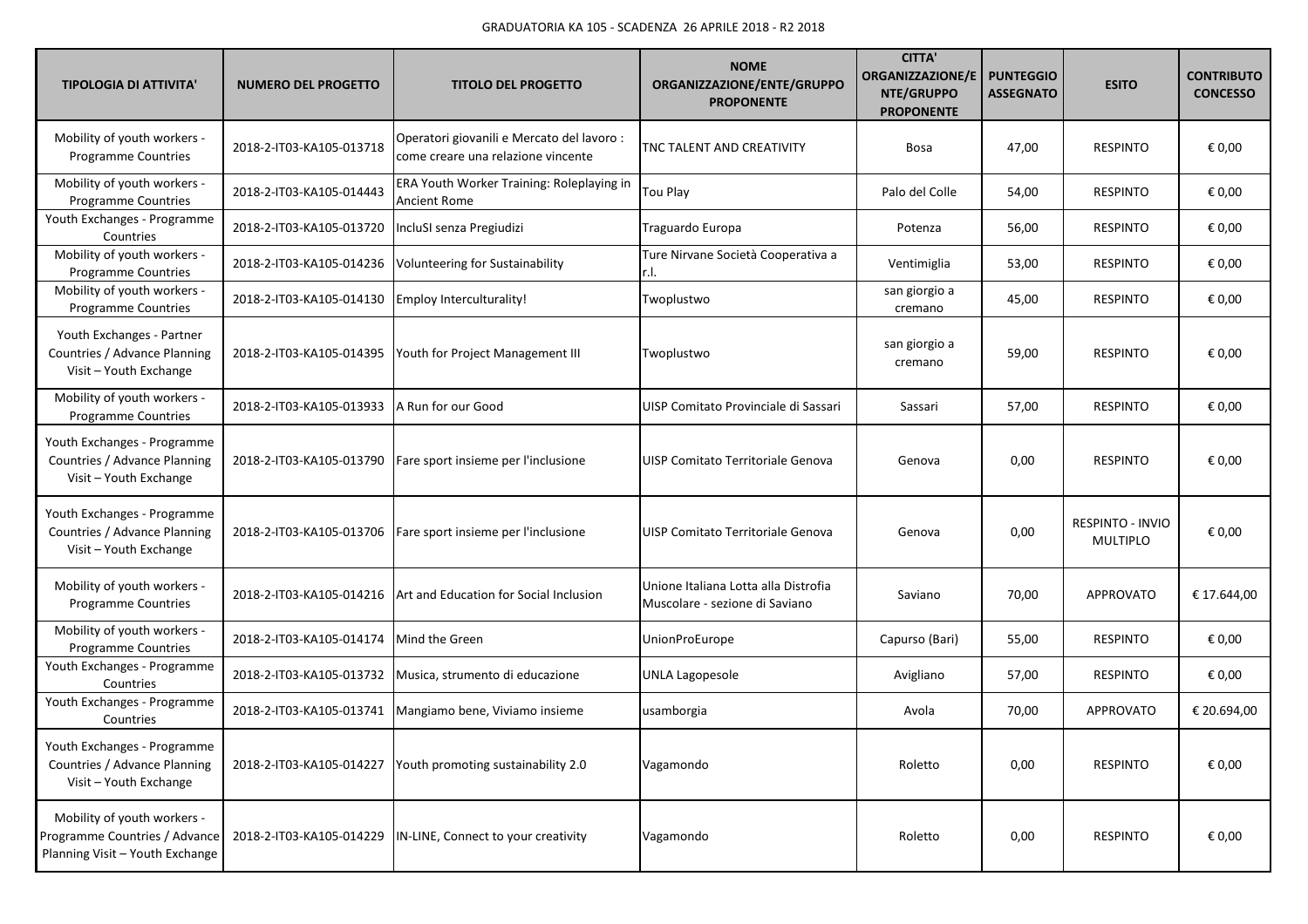| <b>TIPOLOGIA DI ATTIVITA'</b>                                                                   | <b>NUMERO DEL PROGETTO</b> | <b>TITOLO DEL PROGETTO</b>                                                       | <b>NOME</b><br>ORGANIZZAZIONE/ENTE/GRUPPO<br><b>PROPONENTE</b>         | <b>CITTA'</b><br><b>ORGANIZZAZIONE/E</b><br>NTE/GRUPPO<br><b>PROPONENTE</b> | <b>PUNTEGGIO</b><br><b>ASSEGNATO</b> | <b>ESITO</b>                        | <b>CONTRIBUTO</b><br><b>CONCESSO</b> |
|-------------------------------------------------------------------------------------------------|----------------------------|----------------------------------------------------------------------------------|------------------------------------------------------------------------|-----------------------------------------------------------------------------|--------------------------------------|-------------------------------------|--------------------------------------|
| Mobility of youth workers -<br><b>Programme Countries</b>                                       | 2018-2-IT03-KA105-013718   | Operatori giovanili e Mercato del lavoro :<br>come creare una relazione vincente | TNC TALENT AND CREATIVITY                                              | <b>Bosa</b>                                                                 | 47,00                                | <b>RESPINTO</b>                     | € 0,00                               |
| Mobility of youth workers -<br>Programme Countries                                              | 2018-2-IT03-KA105-014443   | ERA Youth Worker Training: Roleplaying in<br>Ancient Rome                        | Tou Play                                                               | Palo del Colle                                                              | 54,00                                | <b>RESPINTO</b>                     | € 0,00                               |
| Youth Exchanges - Programme<br>Countries                                                        | 2018-2-IT03-KA105-013720   | IncluSI senza Pregiudizi                                                         | Traguardo Europa                                                       | Potenza                                                                     | 56,00                                | <b>RESPINTO</b>                     | € 0,00                               |
| Mobility of youth workers -<br><b>Programme Countries</b>                                       | 2018-2-IT03-KA105-014236   | Volunteering for Sustainability                                                  | Ture Nirvane Società Cooperativa a                                     | Ventimiglia                                                                 | 53,00                                | <b>RESPINTO</b>                     | € 0,00                               |
| Mobility of youth workers -<br>Programme Countries                                              | 2018-2-IT03-KA105-014130   | <b>Employ Interculturality!</b>                                                  | Twoplustwo                                                             | san giorgio a<br>cremano                                                    | 45,00                                | <b>RESPINTO</b>                     | € 0,00                               |
| Youth Exchanges - Partner<br>Countries / Advance Planning<br>Visit - Youth Exchange             | 2018-2-IT03-KA105-014395   | Youth for Project Management III                                                 | Twoplustwo                                                             | san giorgio a<br>cremano                                                    | 59,00                                | <b>RESPINTO</b>                     | € 0,00                               |
| Mobility of youth workers -<br>Programme Countries                                              | 2018-2-IT03-KA105-013933   | A Run for our Good                                                               | UISP Comitato Provinciale di Sassari                                   | Sassari                                                                     | 57,00                                | <b>RESPINTO</b>                     | € 0,00                               |
| Youth Exchanges - Programme<br>Countries / Advance Planning<br>Visit - Youth Exchange           | 2018-2-IT03-KA105-013790   | Fare sport insieme per l'inclusione                                              | UISP Comitato Territoriale Genova                                      | Genova                                                                      | 0,00                                 | <b>RESPINTO</b>                     | € 0,00                               |
| Youth Exchanges - Programme<br>Countries / Advance Planning<br>Visit - Youth Exchange           | 2018-2-IT03-KA105-013706   | Fare sport insieme per l'inclusione                                              | UISP Comitato Territoriale Genova                                      | Genova                                                                      | 0,00                                 | RESPINTO - INVIO<br><b>MULTIPLO</b> | € 0,00                               |
| Mobility of youth workers -<br><b>Programme Countries</b>                                       | 2018-2-IT03-KA105-014216   | Art and Education for Social Inclusion                                           | Unione Italiana Lotta alla Distrofia<br>Muscolare - sezione di Saviano | Saviano                                                                     | 70,00                                | <b>APPROVATO</b>                    | € 17.644,00                          |
| Mobility of youth workers -<br>Programme Countries                                              | 2018-2-IT03-KA105-014174   | Mind the Green                                                                   | UnionProEurope                                                         | Capurso (Bari)                                                              | 55,00                                | <b>RESPINTO</b>                     | € 0,00                               |
| Youth Exchanges - Programme<br>Countries                                                        | 2018-2-IT03-KA105-013732   | Musica, strumento di educazione                                                  | <b>UNLA Lagopesole</b>                                                 | Avigliano                                                                   | 57,00                                | <b>RESPINTO</b>                     | € 0,00                               |
| Youth Exchanges - Programme<br>Countries                                                        | 2018-2-IT03-KA105-013741   | Mangiamo bene, Viviamo insieme                                                   | usamborgia                                                             | Avola                                                                       | 70,00                                | <b>APPROVATO</b>                    | € 20.694,00                          |
| Youth Exchanges - Programme<br>Countries / Advance Planning<br>Visit - Youth Exchange           | 2018-2-IT03-KA105-014227   | Youth promoting sustainability 2.0                                               | Vagamondo                                                              | Roletto                                                                     | 0,00                                 | <b>RESPINTO</b>                     | € 0,00                               |
| Mobility of youth workers -<br>Programme Countries / Advance<br>Planning Visit - Youth Exchange | 2018-2-IT03-KA105-014229   | IN-LINE, Connect to your creativity                                              | Vagamondo                                                              | Roletto                                                                     | 0,00                                 | <b>RESPINTO</b>                     | € 0,00                               |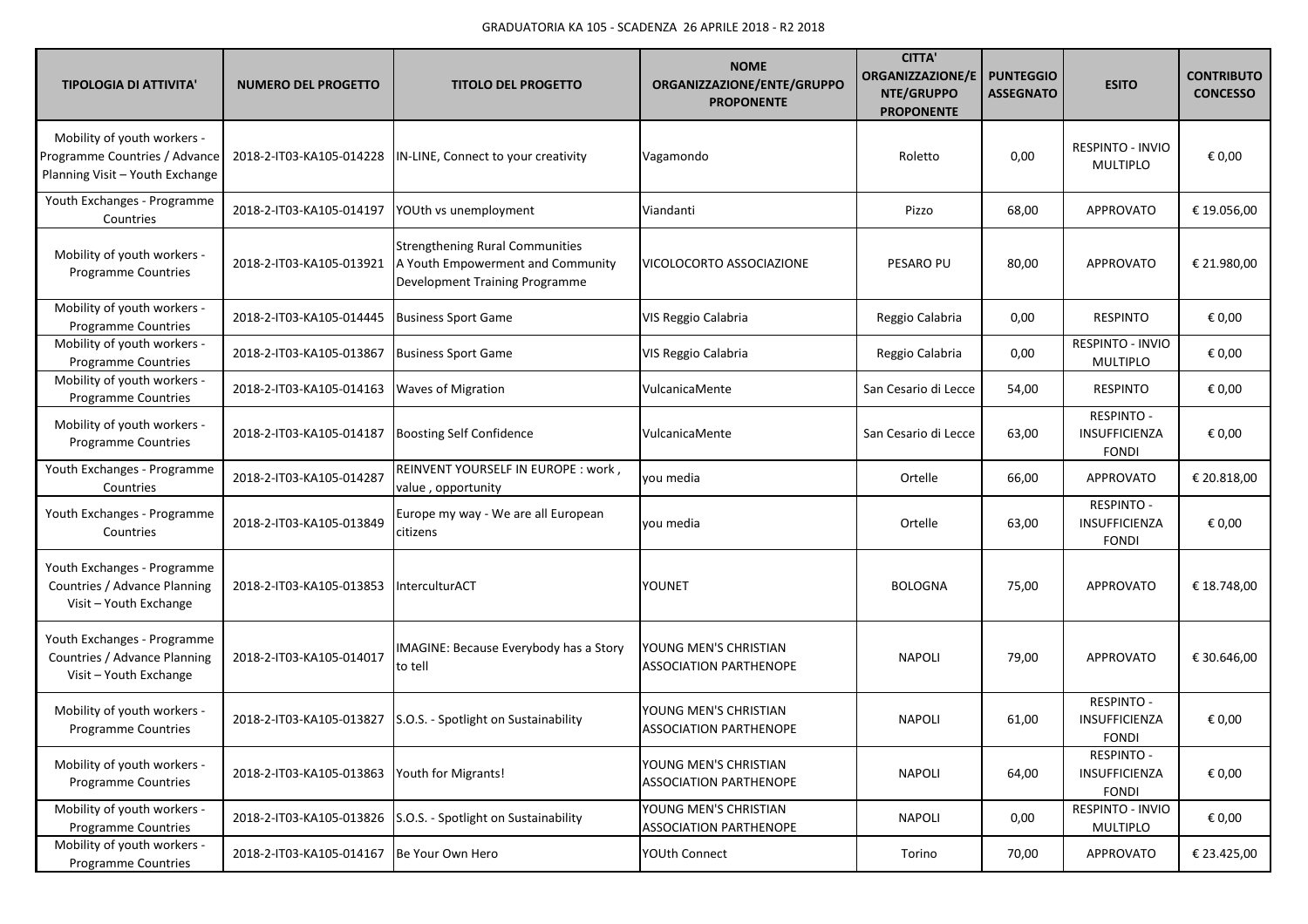| <b>TIPOLOGIA DI ATTIVITA'</b>                                                                   | <b>NUMERO DEL PROGETTO</b> | <b>TITOLO DEL PROGETTO</b>                                                                                    | <b>NOME</b><br>ORGANIZZAZIONE/ENTE/GRUPPO<br><b>PROPONENTE</b> | <b>CITTA</b><br><b>ORGANIZZAZIONE/E</b><br>NTE/GRUPPO<br><b>PROPONENTE</b> | <b>PUNTEGGIO</b><br><b>ASSEGNATO</b> | <b>ESITO</b>                                              | <b>CONTRIBUTO</b><br><b>CONCESSO</b> |
|-------------------------------------------------------------------------------------------------|----------------------------|---------------------------------------------------------------------------------------------------------------|----------------------------------------------------------------|----------------------------------------------------------------------------|--------------------------------------|-----------------------------------------------------------|--------------------------------------|
| Mobility of youth workers -<br>Programme Countries / Advance<br>Planning Visit - Youth Exchange | 2018-2-IT03-KA105-014228   | IN-LINE, Connect to your creativity                                                                           | Vagamondo                                                      | Roletto                                                                    | 0,00                                 | RESPINTO - INVIO<br><b>MULTIPLO</b>                       | € 0,00                               |
| Youth Exchanges - Programme<br>Countries                                                        | 2018-2-IT03-KA105-014197   | YOUth vs unemployment                                                                                         | Viandanti                                                      | Pizzo                                                                      | 68,00                                | APPROVATO                                                 | € 19.056,00                          |
| Mobility of youth workers -<br><b>Programme Countries</b>                                       | 2018-2-IT03-KA105-013921   | <b>Strengthening Rural Communities</b><br>A Youth Empowerment and Community<br>Development Training Programme | VICOLOCORTO ASSOCIAZIONE                                       | PESARO PU                                                                  | 80,00                                | <b>APPROVATO</b>                                          | € 21.980,00                          |
| Mobility of youth workers -<br><b>Programme Countries</b>                                       | 2018-2-IT03-KA105-014445   | <b>Business Sport Game</b>                                                                                    | VIS Reggio Calabria                                            | Reggio Calabria                                                            | 0,00                                 | <b>RESPINTO</b>                                           | € 0,00                               |
| Mobility of youth workers -<br><b>Programme Countries</b>                                       | 2018-2-IT03-KA105-013867   | <b>Business Sport Game</b>                                                                                    | VIS Reggio Calabria                                            | Reggio Calabria                                                            | 0,00                                 | RESPINTO - INVIO<br><b>MULTIPLO</b>                       | € 0,00                               |
| Mobility of youth workers -<br>Programme Countries                                              | 2018-2-IT03-KA105-014163   | <b>Waves of Migration</b>                                                                                     | VulcanicaMente                                                 | San Cesario di Lecce                                                       | 54,00                                | <b>RESPINTO</b>                                           | € 0,00                               |
| Mobility of youth workers -<br>Programme Countries                                              | 2018-2-IT03-KA105-014187   | <b>Boosting Self Confidence</b>                                                                               | VulcanicaMente                                                 | San Cesario di Lecce                                                       | 63,00                                | RESPINTO -<br>INSUFFICIENZA<br><b>FONDI</b>               | € 0,00                               |
| Youth Exchanges - Programme<br>Countries                                                        | 2018-2-IT03-KA105-014287   | REINVENT YOURSELF IN EUROPE : work,<br>value, opportunity                                                     | you media                                                      | Ortelle                                                                    | 66,00                                | APPROVATO                                                 | € 20.818,00                          |
| Youth Exchanges - Programme<br>Countries                                                        | 2018-2-IT03-KA105-013849   | Europe my way - We are all European<br>citizens                                                               | you media                                                      | Ortelle                                                                    | 63,00                                | RESPINTO -<br>INSUFFICIENZA<br><b>FONDI</b>               | € 0,00                               |
| Youth Exchanges - Programme<br>Countries / Advance Planning<br>Visit - Youth Exchange           | 2018-2-IT03-KA105-013853   | InterculturACT                                                                                                | YOUNET                                                         | <b>BOLOGNA</b>                                                             | 75,00                                | APPROVATO                                                 | € 18.748,00                          |
| Youth Exchanges - Programme<br>Countries / Advance Planning<br>Visit - Youth Exchange           | 2018-2-IT03-KA105-014017   | IMAGINE: Because Everybody has a Story<br>to tell                                                             | YOUNG MEN'S CHRISTIAN<br>ASSOCIATION PARTHENOPE                | <b>NAPOLI</b>                                                              | 79,00                                | <b>APPROVATO</b>                                          | € 30.646,00                          |
| Mobility of youth workers -<br>Programme Countries                                              | 2018-2-IT03-KA105-013827   | S.O.S. - Spotlight on Sustainability                                                                          | YOUNG MEN'S CHRISTIAN<br><b>ASSOCIATION PARTHENOPE</b>         | <b>NAPOLI</b>                                                              | 61,00                                | <b>RESPINTO -</b><br><b>INSUFFICIENZA</b><br><b>FONDI</b> | € 0,00                               |
| Mobility of youth workers -<br>Programme Countries                                              | 2018-2-IT03-KA105-013863   | Youth for Migrants!                                                                                           | YOUNG MEN'S CHRISTIAN<br><b>ASSOCIATION PARTHENOPE</b>         | <b>NAPOLI</b>                                                              | 64,00                                | <b>RESPINTO -</b><br>INSUFFICIENZA<br><b>FONDI</b>        | € 0,00                               |
| Mobility of youth workers -<br>Programme Countries                                              | 2018-2-IT03-KA105-013826   | S.O.S. - Spotlight on Sustainability                                                                          | YOUNG MEN'S CHRISTIAN<br><b>ASSOCIATION PARTHENOPE</b>         | <b>NAPOLI</b>                                                              | 0,00                                 | RESPINTO - INVIO<br><b>MULTIPLO</b>                       | € 0,00                               |
| Mobility of youth workers -<br>Programme Countries                                              | 2018-2-IT03-KA105-014167   | Be Your Own Hero                                                                                              | <b>YOUth Connect</b>                                           | Torino                                                                     | 70,00                                | APPROVATO                                                 | € 23.425,00                          |